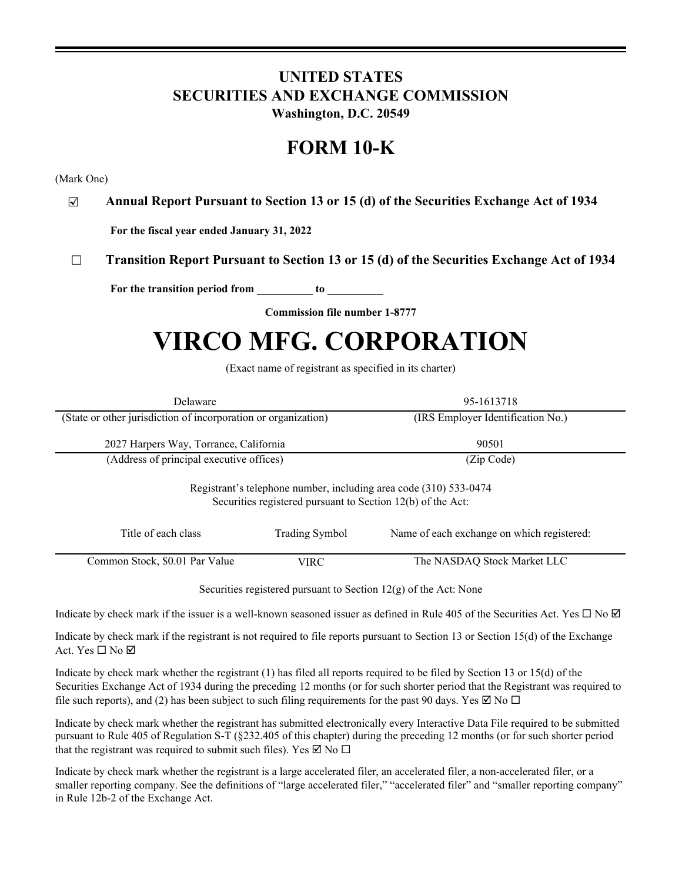# **UNITED STATES SECURITIES AND EXCHANGE COMMISSION Washington, D.C. 20549**

# **FORM 10-K**

(Mark One)

# ☑ **Annual Report Pursuant to Section 13 or 15 (d) of the Securities Exchange Act of 1934**

**For the fiscal year ended January 31, 2022**

☐ **Transition Report Pursuant to Section 13 or 15 (d) of the Securities Exchange Act of 1934**

For the transition period from \_\_\_\_\_\_\_\_\_\_ to \_\_\_\_\_\_\_\_\_\_

**Commission file number 1-8777**

# **VIRCO MFG. CORPORATION**

(Exact name of registrant as specified in its charter)

| Delaware                                                                                                                         |                | 95-1613718                                 |  |  |
|----------------------------------------------------------------------------------------------------------------------------------|----------------|--------------------------------------------|--|--|
| (State or other jurisdiction of incorporation or organization)                                                                   |                | (IRS Employer Identification No.)          |  |  |
| 2027 Harpers Way, Torrance, California                                                                                           |                | 90501                                      |  |  |
| (Address of principal executive offices)                                                                                         |                | (Zip Code)                                 |  |  |
| Registrant's telephone number, including area code (310) 533-0474<br>Securities registered pursuant to Section 12(b) of the Act: |                |                                            |  |  |
| Title of each class                                                                                                              | Trading Symbol | Name of each exchange on which registered: |  |  |
| Common Stock, \$0.01 Par Value                                                                                                   | VIRC           | The NASDAQ Stock Market LLC                |  |  |

Securities registered pursuant to Section 12(g) of the Act: None

Indicate by check mark if the issuer is a well-known seasoned issuer as defined in Rule 405 of the Securities Act. Yes  $\Box$  No  $\Box$ 

Indicate by check mark if the registrant is not required to file reports pursuant to Section 13 or Section 15(d) of the Exchange Act. Yes  $\square$  No  $\square$ 

Indicate by check mark whether the registrant (1) has filed all reports required to be filed by Section 13 or 15(d) of the Securities Exchange Act of 1934 during the preceding 12 months (or for such shorter period that the Registrant was required to file such reports), and (2) has been subject to such filing requirements for the past 90 days. Yes  $\boxtimes$  No  $\Box$ 

Indicate by check mark whether the registrant has submitted electronically every Interactive Data File required to be submitted pursuant to Rule 405 of Regulation S-T (§232.405 of this chapter) during the preceding 12 months (or for such shorter period that the registrant was required to submit such files). Yes  $\boxtimes$  No  $\square$ 

Indicate by check mark whether the registrant is a large accelerated filer, an accelerated filer, a non-accelerated filer, or a smaller reporting company. See the definitions of "large accelerated filer," "accelerated filer" and "smaller reporting company" in Rule 12b-2 of the Exchange Act.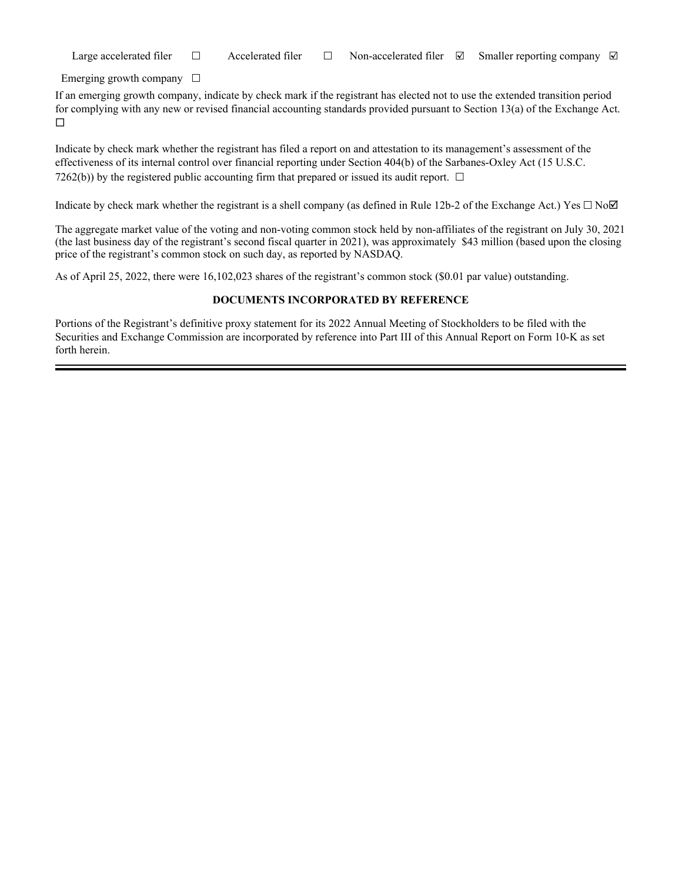Large accelerated filer <del>□</del> Accelerated filer □ Non-accelerated filer **⊡** Smaller reporting company **⊡** 

Emerging growth company  $\Box$ 

If an emerging growth company, indicate by check mark if the registrant has elected not to use the extended transition period for complying with any new or revised financial accounting standards provided pursuant to Section 13(a) of the Exchange Act.  $\Box$ 

Indicate by check mark whether the registrant has filed a report on and attestation to its management's assessment of the effectiveness of its internal control over financial reporting under Section 404(b) of the Sarbanes-Oxley Act (15 U.S.C. 7262(b)) by the registered public accounting firm that prepared or issued its audit report.  $\Box$ 

Indicate by check mark whether the registrant is a shell company (as defined in Rule 12b-2 of the Exchange Act.) Yes  $\Box$  No $\Box$ 

The aggregate market value of the voting and non-voting common stock held by non-affiliates of the registrant on July 30, 2021 (the last business day of the registrant's second fiscal quarter in 2021), was approximately \$43 million (based upon the closing price of the registrant's common stock on such day, as reported by NASDAQ.

As of April 25, 2022, there were 16,102,023 shares of the registrant's common stock (\$0.01 par value) outstanding.

# **DOCUMENTS INCORPORATED BY REFERENCE**

Portions of the Registrant's definitive proxy statement for its 2022 Annual Meeting of Stockholders to be filed with the Securities and Exchange Commission are incorporated by reference into Part III of this Annual Report on Form 10-K as set forth herein.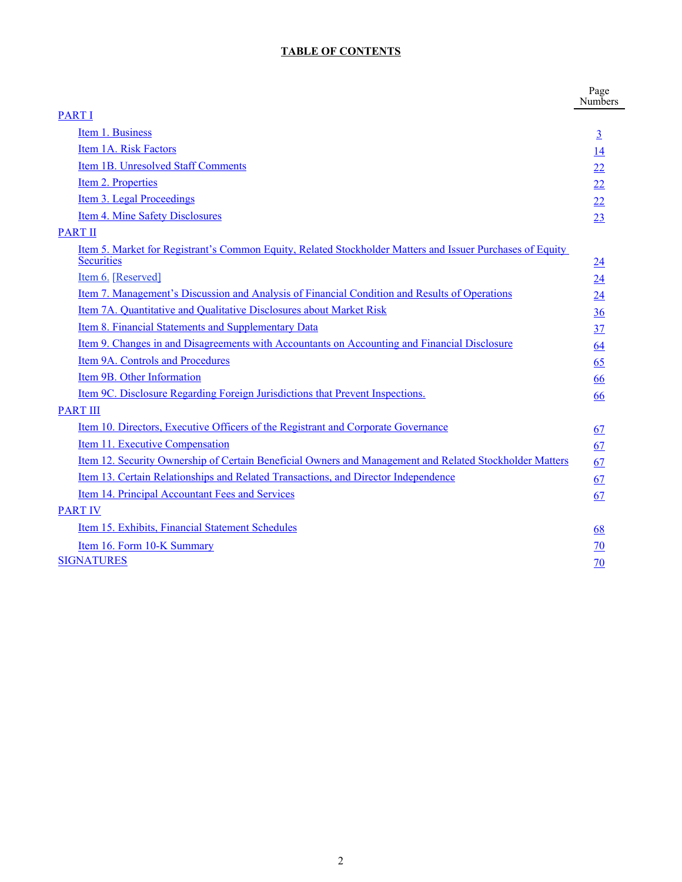# **TABLE OF CONTENTS**

<span id="page-2-0"></span>

|                                                                                                                | Page<br>Numbers |
|----------------------------------------------------------------------------------------------------------------|-----------------|
| <b>PARTI</b>                                                                                                   |                 |
| Item 1. Business                                                                                               | $\overline{3}$  |
| Item 1A. Risk Factors                                                                                          | <u>14</u>       |
| <b>Item 1B. Unresolved Staff Comments</b>                                                                      | $\overline{22}$ |
| Item 2. Properties                                                                                             | 22              |
| Item 3. Legal Proceedings                                                                                      | 22              |
| <b>Item 4. Mine Safety Disclosures</b>                                                                         | 23              |
| <b>PART II</b>                                                                                                 |                 |
| Item 5. Market for Registrant's Common Equity, Related Stockholder Matters and Issuer Purchases of Equity      |                 |
| <b>Securities</b>                                                                                              | <u>24</u>       |
| Item 6. [Reserved]                                                                                             | 24              |
| <u>Item 7. Management's Discussion and Analysis of Financial Condition and Results of Operations</u>           | $\overline{24}$ |
| Item 7A. Quantitative and Qualitative Disclosures about Market Risk                                            | 36              |
| Item 8. Financial Statements and Supplementary Data                                                            | 37              |
| <u>Item 9. Changes in and Disagreements with Accountants on Accounting and Financial Disclosure</u>            | 64              |
| Item 9A. Controls and Procedures                                                                               | 65              |
| Item 9B. Other Information                                                                                     | 66              |
| <u>Item 9C. Disclosure Regarding Foreign Jurisdictions that Prevent Inspections.</u>                           | 66              |
| <b>PART III</b>                                                                                                |                 |
| <u>Item 10. Directors, Executive Officers of the Registrant and Corporate Governance</u>                       | <u>67</u>       |
| <b>Item 11. Executive Compensation</b>                                                                         | 67              |
| <u>Item 12. Security Ownership of Certain Beneficial Owners and Management and Related Stockholder Matters</u> | 67              |
| Item 13. Certain Relationships and Related Transactions, and Director Independence                             | 67              |
| Item 14. Principal Accountant Fees and Services                                                                | 67              |
| <b>PART IV</b>                                                                                                 |                 |
| Item 15. Exhibits, Financial Statement Schedules                                                               | 68              |
| Item 16. Form 10-K Summary                                                                                     | 70              |
| <b>SIGNATURES</b>                                                                                              | 70              |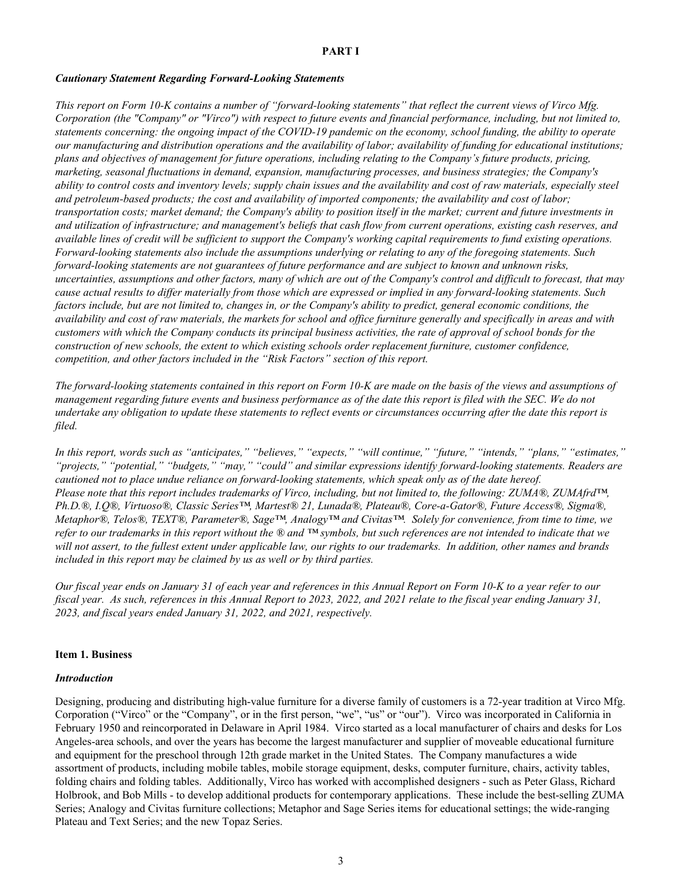#### **PART I**

#### <span id="page-3-0"></span>*Cautionary Statement Regarding Forward-Looking Statements*

*This report on Form 10-K contains a number of "forward-looking statements" that reflect the current views of Virco Mfg. Corporation (the "Company" or "Virco") with respect to future events and financial performance, including, but not limited to, statements concerning: the ongoing impact of the COVID-19 pandemic on the economy, school funding, the ability to operate our manufacturing and distribution operations and the availability of labor; availability of funding for educational institutions; plans and objectives of management for future operations, including relating to the Company's future products, pricing, marketing, seasonal fluctuations in demand, expansion, manufacturing processes, and business strategies; the Company's ability to control costs and inventory levels; supply chain issues and the availability and cost of raw materials, especially steel and petroleum-based products; the cost and availability of imported components; the availability and cost of labor; transportation costs; market demand; the Company's ability to position itself in the market; current and future investments in and utilization of infrastructure; and management's beliefs that cash flow from current operations, existing cash reserves, and available lines of credit will be sufficient to support the Company's working capital requirements to fund existing operations. Forward-looking statements also include the assumptions underlying or relating to any of the foregoing statements. Such forward-looking statements are not guarantees of future performance and are subject to known and unknown risks, uncertainties, assumptions and other factors, many of which are out of the Company's control and difficult to forecast, that may cause actual results to differ materially from those which are expressed or implied in any forward-looking statements. Such factors include, but are not limited to, changes in, or the Company's ability to predict, general economic conditions, the availability and cost of raw materials, the markets for school and office furniture generally and specifically in areas and with customers with which the Company conducts its principal business activities, the rate of approval of school bonds for the construction of new schools, the extent to which existing schools order replacement furniture, customer confidence, competition, and other factors included in the "Risk Factors" section of this report.*

*The forward-looking statements contained in this report on Form 10-K are made on the basis of the views and assumptions of management regarding future events and business performance as of the date this report is filed with the SEC. We do not undertake any obligation to update these statements to reflect events or circumstances occurring after the date this report is filed.*

*In this report, words such as "anticipates," "believes," "expects," "will continue," "future," "intends," "plans," "estimates," "projects," "potential," "budgets," "may," "could" and similar expressions identify forward-looking statements. Readers are cautioned not to place undue reliance on forward-looking statements, which speak only as of the date hereof. Please note that this report includes trademarks of Virco, including, but not limited to, the following: ZUMA®, ZUMAfrd™, Ph.D.®, I.Q®, Virtuoso®, Classic Series™, Martest® 21, Lunada®, Plateau®, Core-a-Gator®, Future Access®, Sigma®, Metaphor®, Telos®, TEXT®, Parameter®, Sage™, Analogy™ and Civitas™. Solely for convenience, from time to time, we refer to our trademarks in this report without the ® and ™ symbols, but such references are not intended to indicate that we will not assert, to the fullest extent under applicable law, our rights to our trademarks. In addition, other names and brands included in this report may be claimed by us as well or by third parties.*

*Our fiscal year ends on January 31 of each year and references in this Annual Report on Form 10-K to a year refer to our fiscal year. As such, references in this Annual Report to 2023, 2022, and 2021 relate to the fiscal year ending January 31, 2023, and fiscal years ended January 31, 2022, and 2021, respectively.*

#### **Item 1. Business**

#### *Introduction*

Designing, producing and distributing high-value furniture for a diverse family of customers is a 72-year tradition at Virco Mfg. Corporation ("Virco" or the "Company", or in the first person, "we", "us" or "our"). Virco was incorporated in California in February 1950 and reincorporated in Delaware in April 1984. Virco started as a local manufacturer of chairs and desks for Los Angeles-area schools, and over the years has become the largest manufacturer and supplier of moveable educational furniture and equipment for the preschool through 12th grade market in the United States. The Company manufactures a wide assortment of products, including mobile tables, mobile storage equipment, desks, computer furniture, chairs, activity tables, folding chairs and folding tables. Additionally, Virco has worked with accomplished designers - such as Peter Glass, Richard Holbrook, and Bob Mills - to develop additional products for contemporary applications. These include the best-selling ZUMA Series; Analogy and Civitas furniture collections; Metaphor and Sage Series items for educational settings; the wide-ranging Plateau and Text Series; and the new Topaz Series.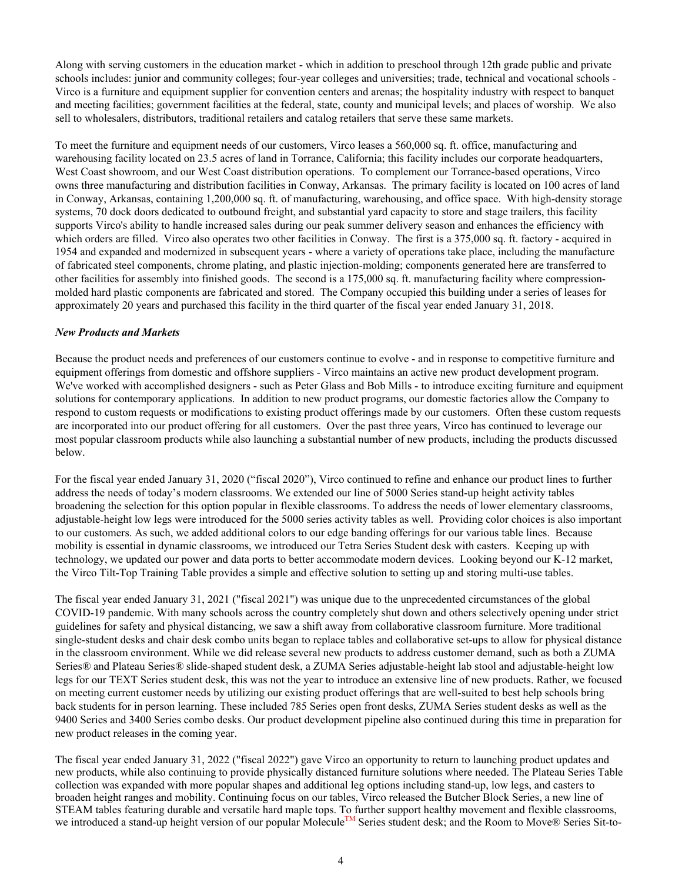Along with serving customers in the education market - which in addition to preschool through 12th grade public and private schools includes: junior and community colleges; four-year colleges and universities; trade, technical and vocational schools - Virco is a furniture and equipment supplier for convention centers and arenas; the hospitality industry with respect to banquet and meeting facilities; government facilities at the federal, state, county and municipal levels; and places of worship. We also sell to wholesalers, distributors, traditional retailers and catalog retailers that serve these same markets.

To meet the furniture and equipment needs of our customers, Virco leases a 560,000 sq. ft. office, manufacturing and warehousing facility located on 23.5 acres of land in Torrance, California; this facility includes our corporate headquarters, West Coast showroom, and our West Coast distribution operations. To complement our Torrance-based operations, Virco owns three manufacturing and distribution facilities in Conway, Arkansas. The primary facility is located on 100 acres of land in Conway, Arkansas, containing 1,200,000 sq. ft. of manufacturing, warehousing, and office space. With high-density storage systems, 70 dock doors dedicated to outbound freight, and substantial yard capacity to store and stage trailers, this facility supports Virco's ability to handle increased sales during our peak summer delivery season and enhances the efficiency with which orders are filled. Virco also operates two other facilities in Conway. The first is a 375,000 sq. ft. factory - acquired in 1954 and expanded and modernized in subsequent years - where a variety of operations take place, including the manufacture of fabricated steel components, chrome plating, and plastic injection-molding; components generated here are transferred to other facilities for assembly into finished goods. The second is a 175,000 sq. ft. manufacturing facility where compressionmolded hard plastic components are fabricated and stored. The Company occupied this building under a series of leases for approximately 20 years and purchased this facility in the third quarter of the fiscal year ended January 31, 2018.

# *New Products and Markets*

Because the product needs and preferences of our customers continue to evolve - and in response to competitive furniture and equipment offerings from domestic and offshore suppliers - Virco maintains an active new product development program. We've worked with accomplished designers - such as Peter Glass and Bob Mills - to introduce exciting furniture and equipment solutions for contemporary applications. In addition to new product programs, our domestic factories allow the Company to respond to custom requests or modifications to existing product offerings made by our customers. Often these custom requests are incorporated into our product offering for all customers. Over the past three years, Virco has continued to leverage our most popular classroom products while also launching a substantial number of new products, including the products discussed below.

For the fiscal year ended January 31, 2020 ("fiscal 2020"), Virco continued to refine and enhance our product lines to further address the needs of today's modern classrooms. We extended our line of 5000 Series stand-up height activity tables broadening the selection for this option popular in flexible classrooms. To address the needs of lower elementary classrooms, adjustable-height low legs were introduced for the 5000 series activity tables as well. Providing color choices is also important to our customers. As such, we added additional colors to our edge banding offerings for our various table lines. Because mobility is essential in dynamic classrooms, we introduced our Tetra Series Student desk with casters. Keeping up with technology, we updated our power and data ports to better accommodate modern devices. Looking beyond our K-12 market, the Virco Tilt-Top Training Table provides a simple and effective solution to setting up and storing multi-use tables.

The fiscal year ended January 31, 2021 ("fiscal 2021") was unique due to the unprecedented circumstances of the global COVID-19 pandemic. With many schools across the country completely shut down and others selectively opening under strict guidelines for safety and physical distancing, we saw a shift away from collaborative classroom furniture. More traditional single-student desks and chair desk combo units began to replace tables and collaborative set-ups to allow for physical distance in the classroom environment. While we did release several new products to address customer demand, such as both a ZUMA Series*®* and Plateau Series*®* slide-shaped student desk, a ZUMA Series adjustable-height lab stool and adjustable-height low legs for our TEXT Series student desk, this was not the year to introduce an extensive line of new products. Rather, we focused on meeting current customer needs by utilizing our existing product offerings that are well-suited to best help schools bring back students for in person learning. These included 785 Series open front desks, ZUMA Series student desks as well as the 9400 Series and 3400 Series combo desks. Our product development pipeline also continued during this time in preparation for new product releases in the coming year.

The fiscal year ended January 31, 2022 ("fiscal 2022") gave Virco an opportunity to return to launching product updates and new products, while also continuing to provide physically distanced furniture solutions where needed. The Plateau Series Table collection was expanded with more popular shapes and additional leg options including stand-up, low legs, and casters to broaden height ranges and mobility. Continuing focus on our tables, Virco released the Butcher Block Series, a new line of STEAM tables featuring durable and versatile hard maple tops. To further support healthy movement and flexible classrooms, we introduced a stand-up height version of our popular Molecule<sup>TM</sup> Series student desk; and the Room to Move® Series Sit-to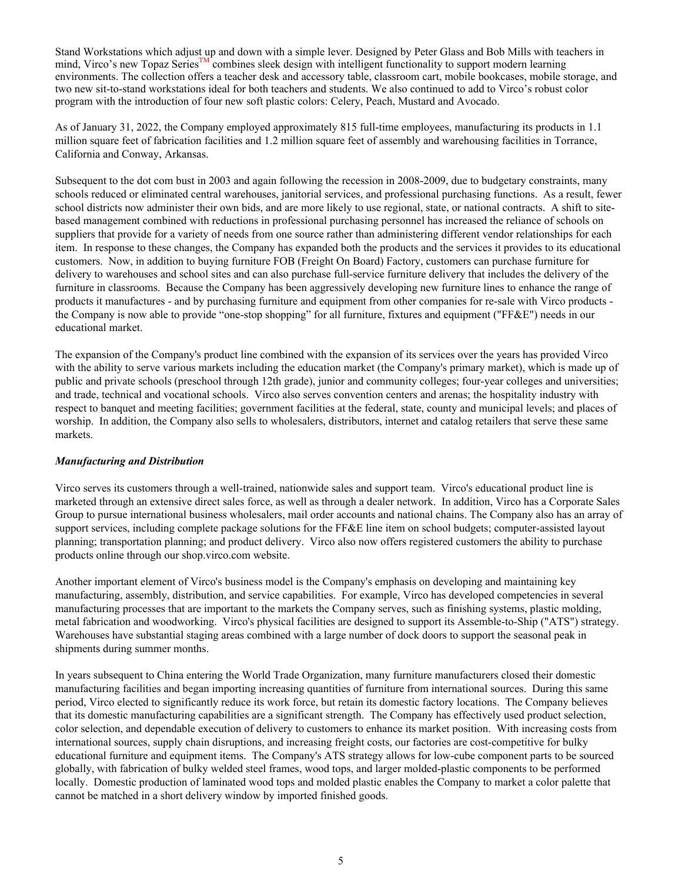Stand Workstations which adjust up and down with a simple lever. Designed by Peter Glass and Bob Mills with teachers in mind, Virco's new Topaz Series<sup>TM</sup> combines sleek design with intelligent functionality to support modern learning environments. The collection offers a teacher desk and accessory table, classroom cart, mobile bookcases, mobile storage, and two new sit-to-stand workstations ideal for both teachers and students. We also continued to add to Virco's robust color program with the introduction of four new soft plastic colors: Celery, Peach, Mustard and Avocado.

As of January 31, 2022, the Company employed approximately 815 full-time employees, manufacturing its products in 1.1 million square feet of fabrication facilities and 1.2 million square feet of assembly and warehousing facilities in Torrance, California and Conway, Arkansas.

Subsequent to the dot com bust in 2003 and again following the recession in 2008-2009, due to budgetary constraints, many schools reduced or eliminated central warehouses, janitorial services, and professional purchasing functions. As a result, fewer school districts now administer their own bids, and are more likely to use regional, state, or national contracts. A shift to sitebased management combined with reductions in professional purchasing personnel has increased the reliance of schools on suppliers that provide for a variety of needs from one source rather than administering different vendor relationships for each item. In response to these changes, the Company has expanded both the products and the services it provides to its educational customers. Now, in addition to buying furniture FOB (Freight On Board) Factory, customers can purchase furniture for delivery to warehouses and school sites and can also purchase full-service furniture delivery that includes the delivery of the furniture in classrooms. Because the Company has been aggressively developing new furniture lines to enhance the range of products it manufactures - and by purchasing furniture and equipment from other companies for re-sale with Virco products the Company is now able to provide "one-stop shopping" for all furniture, fixtures and equipment ("FF&E") needs in our educational market.

The expansion of the Company's product line combined with the expansion of its services over the years has provided Virco with the ability to serve various markets including the education market (the Company's primary market), which is made up of public and private schools (preschool through 12th grade), junior and community colleges; four-year colleges and universities; and trade, technical and vocational schools. Virco also serves convention centers and arenas; the hospitality industry with respect to banquet and meeting facilities; government facilities at the federal, state, county and municipal levels; and places of worship. In addition, the Company also sells to wholesalers, distributors, internet and catalog retailers that serve these same markets.

# *Manufacturing and Distribution*

Virco serves its customers through a well-trained, nationwide sales and support team. Virco's educational product line is marketed through an extensive direct sales force, as well as through a dealer network. In addition, Virco has a Corporate Sales Group to pursue international business wholesalers, mail order accounts and national chains. The Company also has an array of support services, including complete package solutions for the FF&E line item on school budgets; computer-assisted layout planning; transportation planning; and product delivery. Virco also now offers registered customers the ability to purchase products online through our shop.virco.com website.

Another important element of Virco's business model is the Company's emphasis on developing and maintaining key manufacturing, assembly, distribution, and service capabilities. For example, Virco has developed competencies in several manufacturing processes that are important to the markets the Company serves, such as finishing systems, plastic molding, metal fabrication and woodworking. Virco's physical facilities are designed to support its Assemble-to-Ship ("ATS") strategy. Warehouses have substantial staging areas combined with a large number of dock doors to support the seasonal peak in shipments during summer months.

In years subsequent to China entering the World Trade Organization, many furniture manufacturers closed their domestic manufacturing facilities and began importing increasing quantities of furniture from international sources. During this same period, Virco elected to significantly reduce its work force, but retain its domestic factory locations. The Company believes that its domestic manufacturing capabilities are a significant strength. The Company has effectively used product selection, color selection, and dependable execution of delivery to customers to enhance its market position. With increasing costs from international sources, supply chain disruptions, and increasing freight costs, our factories are cost-competitive for bulky educational furniture and equipment items. The Company's ATS strategy allows for low-cube component parts to be sourced globally, with fabrication of bulky welded steel frames, wood tops, and larger molded-plastic components to be performed locally. Domestic production of laminated wood tops and molded plastic enables the Company to market a color palette that cannot be matched in a short delivery window by imported finished goods.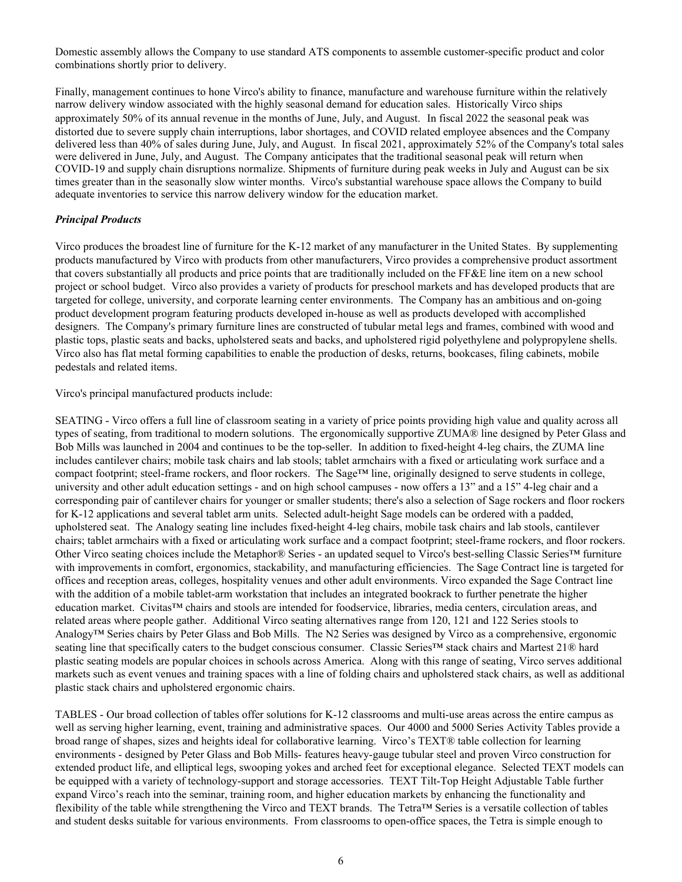Domestic assembly allows the Company to use standard ATS components to assemble customer-specific product and color combinations shortly prior to delivery.

Finally, management continues to hone Virco's ability to finance, manufacture and warehouse furniture within the relatively narrow delivery window associated with the highly seasonal demand for education sales. Historically Virco ships approximately 50% of its annual revenue in the months of June, July, and August. In fiscal 2022 the seasonal peak was distorted due to severe supply chain interruptions, labor shortages, and COVID related employee absences and the Company delivered less than 40% of sales during June, July, and August. In fiscal 2021, approximately 52% of the Company's total sales were delivered in June, July, and August. The Company anticipates that the traditional seasonal peak will return when COVID-19 and supply chain disruptions normalize. Shipments of furniture during peak weeks in July and August can be six times greater than in the seasonally slow winter months. Virco's substantial warehouse space allows the Company to build adequate inventories to service this narrow delivery window for the education market.

# *Principal Products*

Virco produces the broadest line of furniture for the K-12 market of any manufacturer in the United States. By supplementing products manufactured by Virco with products from other manufacturers, Virco provides a comprehensive product assortment that covers substantially all products and price points that are traditionally included on the FF&E line item on a new school project or school budget. Virco also provides a variety of products for preschool markets and has developed products that are targeted for college, university, and corporate learning center environments. The Company has an ambitious and on-going product development program featuring products developed in-house as well as products developed with accomplished designers. The Company's primary furniture lines are constructed of tubular metal legs and frames, combined with wood and plastic tops, plastic seats and backs, upholstered seats and backs, and upholstered rigid polyethylene and polypropylene shells. Virco also has flat metal forming capabilities to enable the production of desks, returns, bookcases, filing cabinets, mobile pedestals and related items.

Virco's principal manufactured products include:

SEATING - Virco offers a full line of classroom seating in a variety of price points providing high value and quality across all types of seating, from traditional to modern solutions. The ergonomically supportive ZUMA® line designed by Peter Glass and Bob Mills was launched in 2004 and continues to be the top-seller. In addition to fixed-height 4-leg chairs, the ZUMA line includes cantilever chairs; mobile task chairs and lab stools; tablet armchairs with a fixed or articulating work surface and a compact footprint; steel-frame rockers, and floor rockers. The Sage™ line, originally designed to serve students in college, university and other adult education settings - and on high school campuses - now offers a 13" and a 15" 4-leg chair and a corresponding pair of cantilever chairs for younger or smaller students; there's also a selection of Sage rockers and floor rockers for K-12 applications and several tablet arm units. Selected adult-height Sage models can be ordered with a padded, upholstered seat. The Analogy seating line includes fixed-height 4-leg chairs, mobile task chairs and lab stools, cantilever chairs; tablet armchairs with a fixed or articulating work surface and a compact footprint; steel-frame rockers, and floor rockers. Other Virco seating choices include the Metaphor® Series - an updated sequel to Virco's best-selling Classic Series™ furniture with improvements in comfort, ergonomics, stackability, and manufacturing efficiencies. The Sage Contract line is targeted for offices and reception areas, colleges, hospitality venues and other adult environments. Virco expanded the Sage Contract line with the addition of a mobile tablet-arm workstation that includes an integrated bookrack to further penetrate the higher education market. Civitas™ chairs and stools are intended for foodservice, libraries, media centers, circulation areas, and related areas where people gather. Additional Virco seating alternatives range from 120, 121 and 122 Series stools to Analogy™ Series chairs by Peter Glass and Bob Mills. The N2 Series was designed by Virco as a comprehensive, ergonomic seating line that specifically caters to the budget conscious consumer. Classic Series™ stack chairs and Martest 21® hard plastic seating models are popular choices in schools across America. Along with this range of seating, Virco serves additional markets such as event venues and training spaces with a line of folding chairs and upholstered stack chairs, as well as additional plastic stack chairs and upholstered ergonomic chairs.

TABLES - Our broad collection of tables offer solutions for K-12 classrooms and multi-use areas across the entire campus as well as serving higher learning, event, training and administrative spaces. Our 4000 and 5000 Series Activity Tables provide a broad range of shapes, sizes and heights ideal for collaborative learning. Virco's TEXT® table collection for learning environments - designed by Peter Glass and Bob Mills- features heavy-gauge tubular steel and proven Virco construction for extended product life, and elliptical legs, swooping yokes and arched feet for exceptional elegance. Selected TEXT models can be equipped with a variety of technology-support and storage accessories. TEXT Tilt-Top Height Adjustable Table further expand Virco's reach into the seminar, training room, and higher education markets by enhancing the functionality and flexibility of the table while strengthening the Virco and TEXT brands. The Tetra™ Series is a versatile collection of tables and student desks suitable for various environments. From classrooms to open-office spaces, the Tetra is simple enough to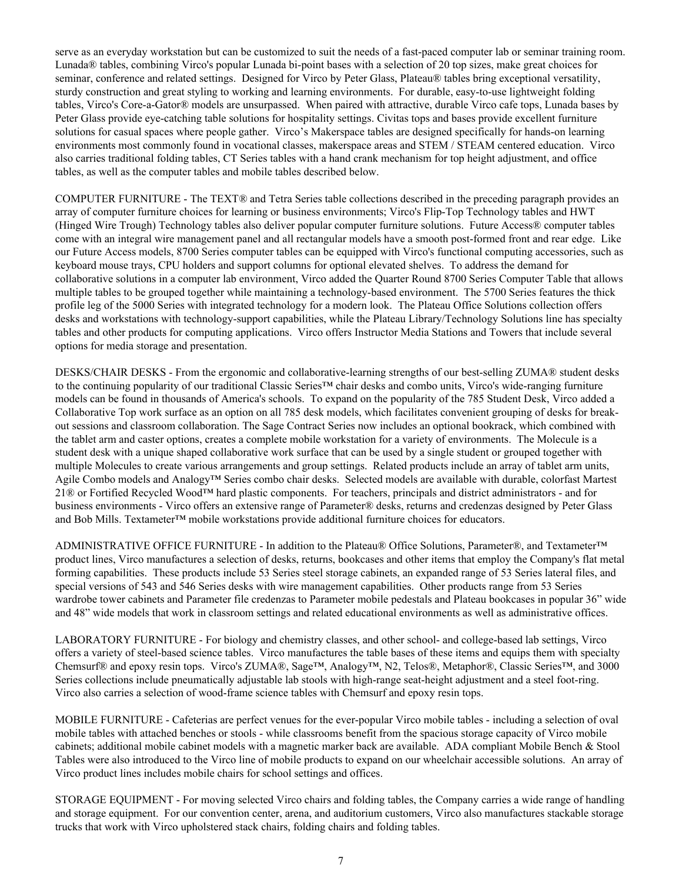serve as an everyday workstation but can be customized to suit the needs of a fast-paced computer lab or seminar training room. Lunada® tables, combining Virco's popular Lunada bi-point bases with a selection of 20 top sizes, make great choices for seminar, conference and related settings. Designed for Virco by Peter Glass, Plateau® tables bring exceptional versatility, sturdy construction and great styling to working and learning environments. For durable, easy-to-use lightweight folding tables, Virco's Core-a-Gator® models are unsurpassed. When paired with attractive, durable Virco cafe tops, Lunada bases by Peter Glass provide eye-catching table solutions for hospitality settings. Civitas tops and bases provide excellent furniture solutions for casual spaces where people gather. Virco's Makerspace tables are designed specifically for hands-on learning environments most commonly found in vocational classes, makerspace areas and STEM / STEAM centered education. Virco also carries traditional folding tables, CT Series tables with a hand crank mechanism for top height adjustment, and office tables, as well as the computer tables and mobile tables described below.

COMPUTER FURNITURE - The TEXT*®* and Tetra Series table collections described in the preceding paragraph provides an array of computer furniture choices for learning or business environments; Virco's Flip-Top Technology tables and HWT (Hinged Wire Trough) Technology tables also deliver popular computer furniture solutions. Future Access® computer tables come with an integral wire management panel and all rectangular models have a smooth post-formed front and rear edge. Like our Future Access models, 8700 Series computer tables can be equipped with Virco's functional computing accessories, such as keyboard mouse trays, CPU holders and support columns for optional elevated shelves. To address the demand for collaborative solutions in a computer lab environment, Virco added the Quarter Round 8700 Series Computer Table that allows multiple tables to be grouped together while maintaining a technology-based environment. The 5700 Series features the thick profile leg of the 5000 Series with integrated technology for a modern look. The Plateau Office Solutions collection offers desks and workstations with technology-support capabilities, while the Plateau Library/Technology Solutions line has specialty tables and other products for computing applications. Virco offers Instructor Media Stations and Towers that include several options for media storage and presentation.

DESKS/CHAIR DESKS - From the ergonomic and collaborative-learning strengths of our best-selling ZUMA® student desks to the continuing popularity of our traditional Classic Series™ chair desks and combo units, Virco's wide-ranging furniture models can be found in thousands of America's schools. To expand on the popularity of the 785 Student Desk, Virco added a Collaborative Top work surface as an option on all 785 desk models, which facilitates convenient grouping of desks for breakout sessions and classroom collaboration. The Sage Contract Series now includes an optional bookrack, which combined with the tablet arm and caster options, creates a complete mobile workstation for a variety of environments. The Molecule is a student desk with a unique shaped collaborative work surface that can be used by a single student or grouped together with multiple Molecules to create various arrangements and group settings. Related products include an array of tablet arm units, Agile Combo models and Analogy™ Series combo chair desks. Selected models are available with durable, colorfast Martest 21® or Fortified Recycled Wood™ hard plastic components. For teachers, principals and district administrators - and for business environments - Virco offers an extensive range of Parameter® desks, returns and credenzas designed by Peter Glass and Bob Mills. Textameter™ mobile workstations provide additional furniture choices for educators.

ADMINISTRATIVE OFFICE FURNITURE - In addition to the Plateau® Office Solutions, Parameter®, and Textameter™ product lines, Virco manufactures a selection of desks, returns, bookcases and other items that employ the Company's flat metal forming capabilities. These products include 53 Series steel storage cabinets, an expanded range of 53 Series lateral files, and special versions of 543 and 546 Series desks with wire management capabilities. Other products range from 53 Series wardrobe tower cabinets and Parameter file credenzas to Parameter mobile pedestals and Plateau bookcases in popular 36" wide and 48" wide models that work in classroom settings and related educational environments as well as administrative offices.

LABORATORY FURNITURE - For biology and chemistry classes, and other school- and college-based lab settings, Virco offers a variety of steel-based science tables. Virco manufactures the table bases of these items and equips them with specialty Chemsurf® and epoxy resin tops. Virco's ZUMA®, Sage™, Analogy™, N2, Telos®, Metaphor®, Classic Series™, and 3000 Series collections include pneumatically adjustable lab stools with high-range seat-height adjustment and a steel foot-ring. Virco also carries a selection of wood-frame science tables with Chemsurf and epoxy resin tops.

MOBILE FURNITURE - Cafeterias are perfect venues for the ever-popular Virco mobile tables - including a selection of oval mobile tables with attached benches or stools - while classrooms benefit from the spacious storage capacity of Virco mobile cabinets; additional mobile cabinet models with a magnetic marker back are available. ADA compliant Mobile Bench & Stool Tables were also introduced to the Virco line of mobile products to expand on our wheelchair accessible solutions. An array of Virco product lines includes mobile chairs for school settings and offices.

STORAGE EQUIPMENT - For moving selected Virco chairs and folding tables, the Company carries a wide range of handling and storage equipment. For our convention center, arena, and auditorium customers, Virco also manufactures stackable storage trucks that work with Virco upholstered stack chairs, folding chairs and folding tables.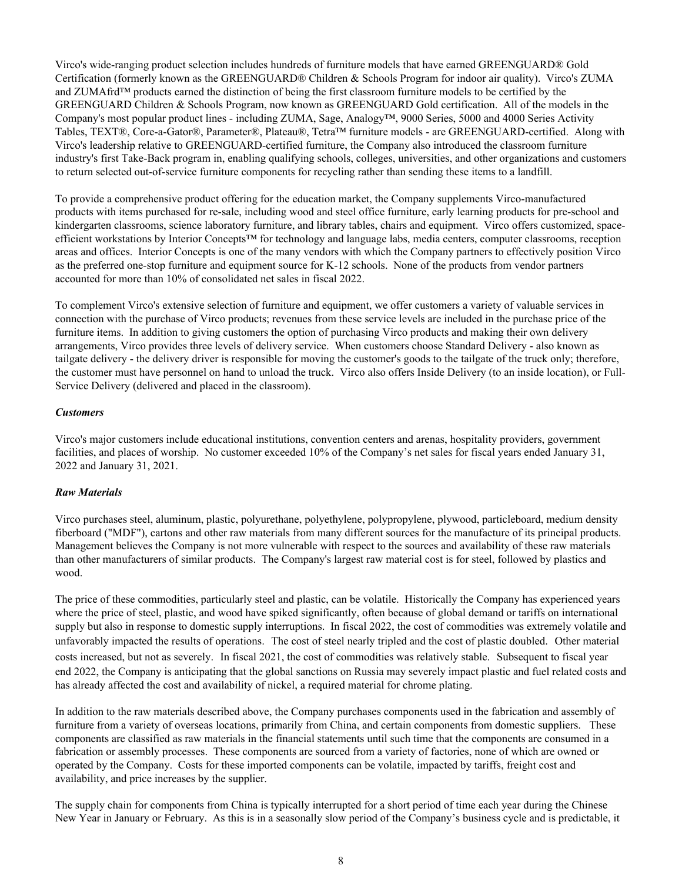Virco's wide-ranging product selection includes hundreds of furniture models that have earned GREENGUARD® Gold Certification (formerly known as the GREENGUARD® Children & Schools Program for indoor air quality). Virco's ZUMA and ZUMAfrd™ products earned the distinction of being the first classroom furniture models to be certified by the GREENGUARD Children & Schools Program, now known as GREENGUARD Gold certification. All of the models in the Company's most popular product lines - including ZUMA, Sage, Analogy™, 9000 Series, 5000 and 4000 Series Activity Tables, TEXT®, Core-a-Gator®, Parameter®, Plateau®, Tetra™ furniture models - are GREENGUARD-certified. Along with Virco's leadership relative to GREENGUARD-certified furniture, the Company also introduced the classroom furniture industry's first Take-Back program in, enabling qualifying schools, colleges, universities, and other organizations and customers to return selected out-of-service furniture components for recycling rather than sending these items to a landfill.

To provide a comprehensive product offering for the education market, the Company supplements Virco-manufactured products with items purchased for re-sale, including wood and steel office furniture, early learning products for pre-school and kindergarten classrooms, science laboratory furniture, and library tables, chairs and equipment. Virco offers customized, spaceefficient workstations by Interior Concepts™ for technology and language labs, media centers, computer classrooms, reception areas and offices. Interior Concepts is one of the many vendors with which the Company partners to effectively position Virco as the preferred one-stop furniture and equipment source for K-12 schools. None of the products from vendor partners accounted for more than 10% of consolidated net sales in fiscal 2022.

To complement Virco's extensive selection of furniture and equipment, we offer customers a variety of valuable services in connection with the purchase of Virco products; revenues from these service levels are included in the purchase price of the furniture items. In addition to giving customers the option of purchasing Virco products and making their own delivery arrangements, Virco provides three levels of delivery service. When customers choose Standard Delivery - also known as tailgate delivery - the delivery driver is responsible for moving the customer's goods to the tailgate of the truck only; therefore, the customer must have personnel on hand to unload the truck. Virco also offers Inside Delivery (to an inside location), or Full-Service Delivery (delivered and placed in the classroom).

# *Customers*

Virco's major customers include educational institutions, convention centers and arenas, hospitality providers, government facilities, and places of worship. No customer exceeded 10% of the Company's net sales for fiscal years ended January 31, 2022 and January 31, 2021.

# *Raw Materials*

Virco purchases steel, aluminum, plastic, polyurethane, polyethylene, polypropylene, plywood, particleboard, medium density fiberboard ("MDF"), cartons and other raw materials from many different sources for the manufacture of its principal products. Management believes the Company is not more vulnerable with respect to the sources and availability of these raw materials than other manufacturers of similar products. The Company's largest raw material cost is for steel, followed by plastics and wood.

The price of these commodities, particularly steel and plastic, can be volatile. Historically the Company has experienced years where the price of steel, plastic, and wood have spiked significantly, often because of global demand or tariffs on international supply but also in response to domestic supply interruptions. In fiscal 2022, the cost of commodities was extremely volatile and unfavorably impacted the results of operations. The cost of steel nearly tripled and the cost of plastic doubled. Other material costs increased, but not as severely. In fiscal 2021, the cost of commodities was relatively stable. Subsequent to fiscal year end 2022, the Company is anticipating that the global sanctions on Russia may severely impact plastic and fuel related costs and has already affected the cost and availability of nickel, a required material for chrome plating.

In addition to the raw materials described above, the Company purchases components used in the fabrication and assembly of furniture from a variety of overseas locations, primarily from China, and certain components from domestic suppliers. These components are classified as raw materials in the financial statements until such time that the components are consumed in a fabrication or assembly processes. These components are sourced from a variety of factories, none of which are owned or operated by the Company. Costs for these imported components can be volatile, impacted by tariffs, freight cost and availability, and price increases by the supplier.

The supply chain for components from China is typically interrupted for a short period of time each year during the Chinese New Year in January or February. As this is in a seasonally slow period of the Company's business cycle and is predictable, it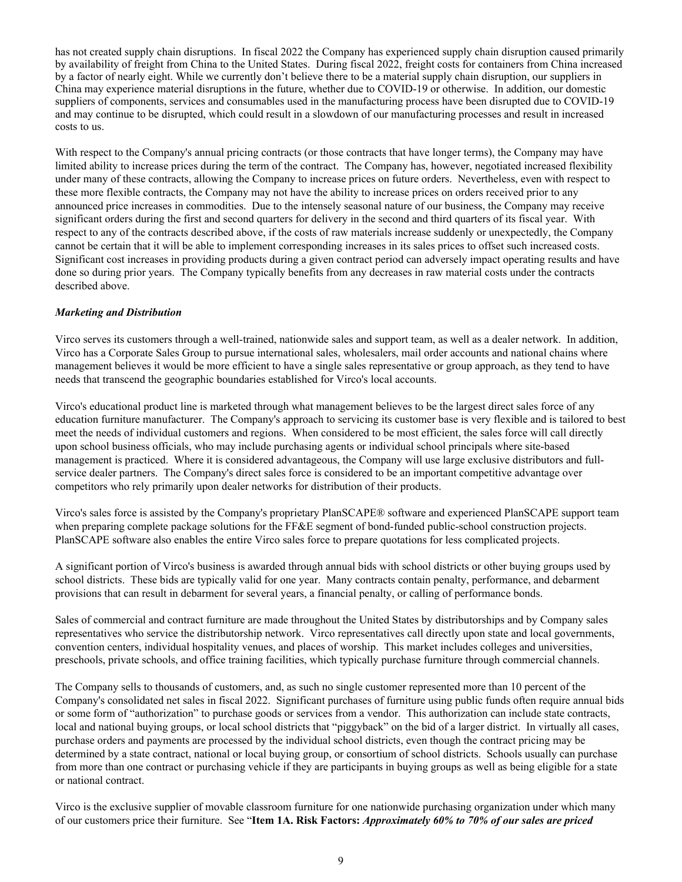has not created supply chain disruptions. In fiscal 2022 the Company has experienced supply chain disruption caused primarily by availability of freight from China to the United States. During fiscal 2022, freight costs for containers from China increased by a factor of nearly eight. While we currently don't believe there to be a material supply chain disruption, our suppliers in China may experience material disruptions in the future, whether due to COVID-19 or otherwise. In addition, our domestic suppliers of components, services and consumables used in the manufacturing process have been disrupted due to COVID-19 and may continue to be disrupted, which could result in a slowdown of our manufacturing processes and result in increased costs to us.

With respect to the Company's annual pricing contracts (or those contracts that have longer terms), the Company may have limited ability to increase prices during the term of the contract. The Company has, however, negotiated increased flexibility under many of these contracts, allowing the Company to increase prices on future orders. Nevertheless, even with respect to these more flexible contracts, the Company may not have the ability to increase prices on orders received prior to any announced price increases in commodities. Due to the intensely seasonal nature of our business, the Company may receive significant orders during the first and second quarters for delivery in the second and third quarters of its fiscal year. With respect to any of the contracts described above, if the costs of raw materials increase suddenly or unexpectedly, the Company cannot be certain that it will be able to implement corresponding increases in its sales prices to offset such increased costs. Significant cost increases in providing products during a given contract period can adversely impact operating results and have done so during prior years. The Company typically benefits from any decreases in raw material costs under the contracts described above.

# *Marketing and Distribution*

Virco serves its customers through a well-trained, nationwide sales and support team, as well as a dealer network. In addition, Virco has a Corporate Sales Group to pursue international sales, wholesalers, mail order accounts and national chains where management believes it would be more efficient to have a single sales representative or group approach, as they tend to have needs that transcend the geographic boundaries established for Virco's local accounts.

Virco's educational product line is marketed through what management believes to be the largest direct sales force of any education furniture manufacturer. The Company's approach to servicing its customer base is very flexible and is tailored to best meet the needs of individual customers and regions. When considered to be most efficient, the sales force will call directly upon school business officials, who may include purchasing agents or individual school principals where site-based management is practiced. Where it is considered advantageous, the Company will use large exclusive distributors and fullservice dealer partners. The Company's direct sales force is considered to be an important competitive advantage over competitors who rely primarily upon dealer networks for distribution of their products.

Virco's sales force is assisted by the Company's proprietary PlanSCAPE® software and experienced PlanSCAPE support team when preparing complete package solutions for the FF&E segment of bond-funded public-school construction projects. PlanSCAPE software also enables the entire Virco sales force to prepare quotations for less complicated projects.

A significant portion of Virco's business is awarded through annual bids with school districts or other buying groups used by school districts. These bids are typically valid for one year. Many contracts contain penalty, performance, and debarment provisions that can result in debarment for several years, a financial penalty, or calling of performance bonds.

Sales of commercial and contract furniture are made throughout the United States by distributorships and by Company sales representatives who service the distributorship network. Virco representatives call directly upon state and local governments, convention centers, individual hospitality venues, and places of worship. This market includes colleges and universities, preschools, private schools, and office training facilities, which typically purchase furniture through commercial channels.

The Company sells to thousands of customers, and, as such no single customer represented more than 10 percent of the Company's consolidated net sales in fiscal 2022. Significant purchases of furniture using public funds often require annual bids or some form of "authorization" to purchase goods or services from a vendor. This authorization can include state contracts, local and national buying groups, or local school districts that "piggyback" on the bid of a larger district. In virtually all cases, purchase orders and payments are processed by the individual school districts, even though the contract pricing may be determined by a state contract, national or local buying group, or consortium of school districts. Schools usually can purchase from more than one contract or purchasing vehicle if they are participants in buying groups as well as being eligible for a state or national contract.

Virco is the exclusive supplier of movable classroom furniture for one nationwide purchasing organization under which many of our customers price their furniture. See "**Item 1A. Risk Factors:** *Approximately 60% to 70% of our sales are priced*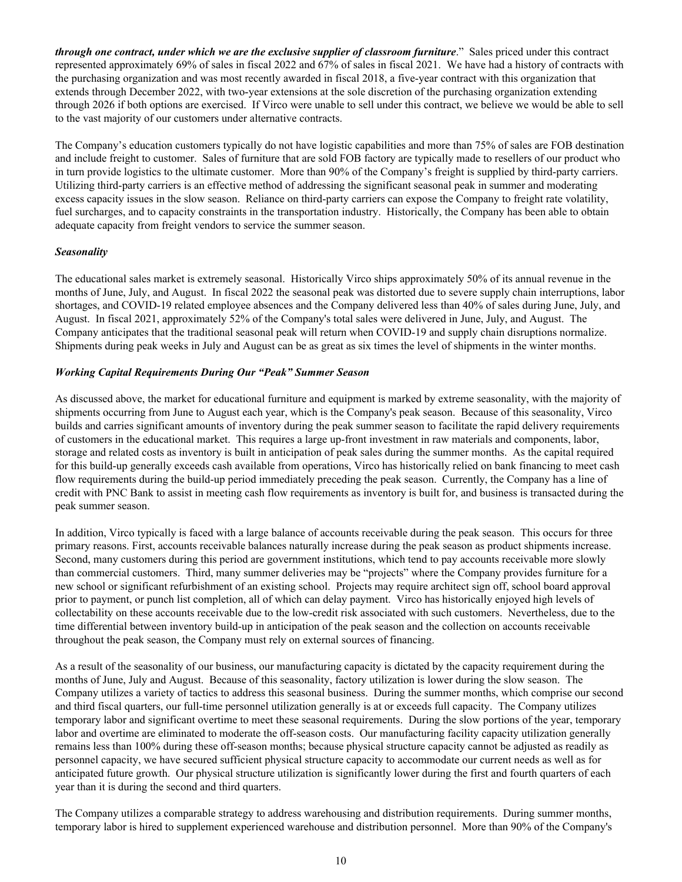*through one contract, under which we are the exclusive supplier of classroom furniture*." Sales priced under this contract represented approximately 69% of sales in fiscal 2022 and 67% of sales in fiscal 2021. We have had a history of contracts with the purchasing organization and was most recently awarded in fiscal 2018, a five-year contract with this organization that extends through December 2022, with two-year extensions at the sole discretion of the purchasing organization extending through 2026 if both options are exercised. If Virco were unable to sell under this contract, we believe we would be able to sell to the vast majority of our customers under alternative contracts.

The Company's education customers typically do not have logistic capabilities and more than 75% of sales are FOB destination and include freight to customer. Sales of furniture that are sold FOB factory are typically made to resellers of our product who in turn provide logistics to the ultimate customer. More than 90% of the Company's freight is supplied by third-party carriers. Utilizing third-party carriers is an effective method of addressing the significant seasonal peak in summer and moderating excess capacity issues in the slow season. Reliance on third-party carriers can expose the Company to freight rate volatility, fuel surcharges, and to capacity constraints in the transportation industry. Historically, the Company has been able to obtain adequate capacity from freight vendors to service the summer season.

# *Seasonality*

The educational sales market is extremely seasonal. Historically Virco ships approximately 50% of its annual revenue in the months of June, July, and August. In fiscal 2022 the seasonal peak was distorted due to severe supply chain interruptions, labor shortages, and COVID-19 related employee absences and the Company delivered less than 40% of sales during June, July, and August. In fiscal 2021, approximately 52% of the Company's total sales were delivered in June, July, and August. The Company anticipates that the traditional seasonal peak will return when COVID-19 and supply chain disruptions normalize. Shipments during peak weeks in July and August can be as great as six times the level of shipments in the winter months.

# *Working Capital Requirements During Our "Peak" Summer Season*

As discussed above, the market for educational furniture and equipment is marked by extreme seasonality, with the majority of shipments occurring from June to August each year, which is the Company's peak season. Because of this seasonality, Virco builds and carries significant amounts of inventory during the peak summer season to facilitate the rapid delivery requirements of customers in the educational market. This requires a large up-front investment in raw materials and components, labor, storage and related costs as inventory is built in anticipation of peak sales during the summer months. As the capital required for this build-up generally exceeds cash available from operations, Virco has historically relied on bank financing to meet cash flow requirements during the build-up period immediately preceding the peak season. Currently, the Company has a line of credit with PNC Bank to assist in meeting cash flow requirements as inventory is built for, and business is transacted during the peak summer season.

In addition, Virco typically is faced with a large balance of accounts receivable during the peak season. This occurs for three primary reasons. First, accounts receivable balances naturally increase during the peak season as product shipments increase. Second, many customers during this period are government institutions, which tend to pay accounts receivable more slowly than commercial customers. Third, many summer deliveries may be "projects" where the Company provides furniture for a new school or significant refurbishment of an existing school. Projects may require architect sign off, school board approval prior to payment, or punch list completion, all of which can delay payment. Virco has historically enjoyed high levels of collectability on these accounts receivable due to the low-credit risk associated with such customers. Nevertheless, due to the time differential between inventory build-up in anticipation of the peak season and the collection on accounts receivable throughout the peak season, the Company must rely on external sources of financing.

As a result of the seasonality of our business, our manufacturing capacity is dictated by the capacity requirement during the months of June, July and August. Because of this seasonality, factory utilization is lower during the slow season. The Company utilizes a variety of tactics to address this seasonal business. During the summer months, which comprise our second and third fiscal quarters, our full-time personnel utilization generally is at or exceeds full capacity. The Company utilizes temporary labor and significant overtime to meet these seasonal requirements. During the slow portions of the year, temporary labor and overtime are eliminated to moderate the off-season costs. Our manufacturing facility capacity utilization generally remains less than 100% during these off-season months; because physical structure capacity cannot be adjusted as readily as personnel capacity, we have secured sufficient physical structure capacity to accommodate our current needs as well as for anticipated future growth. Our physical structure utilization is significantly lower during the first and fourth quarters of each year than it is during the second and third quarters.

The Company utilizes a comparable strategy to address warehousing and distribution requirements. During summer months, temporary labor is hired to supplement experienced warehouse and distribution personnel. More than 90% of the Company's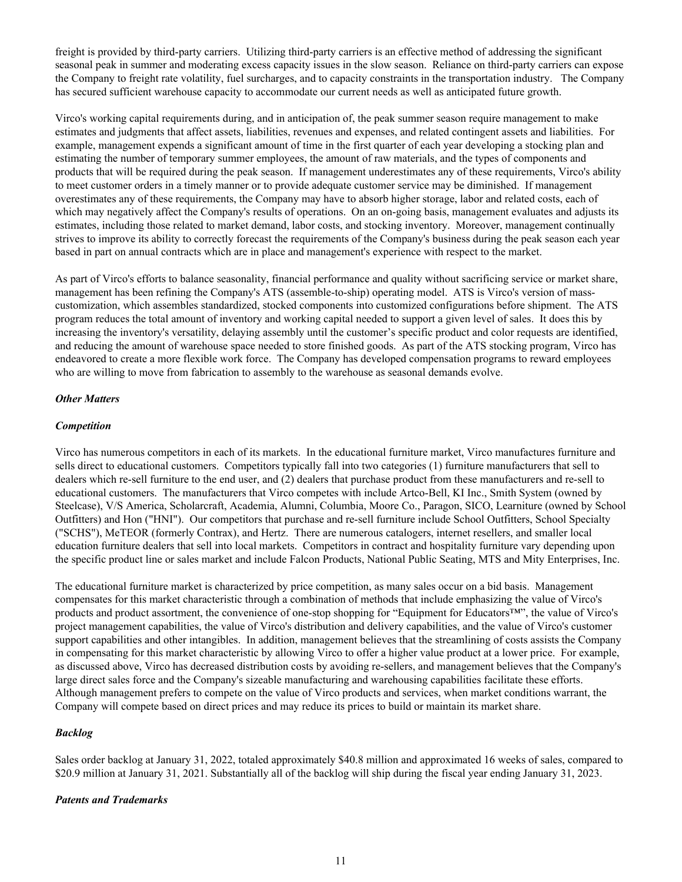freight is provided by third-party carriers. Utilizing third-party carriers is an effective method of addressing the significant seasonal peak in summer and moderating excess capacity issues in the slow season. Reliance on third-party carriers can expose the Company to freight rate volatility, fuel surcharges, and to capacity constraints in the transportation industry. The Company has secured sufficient warehouse capacity to accommodate our current needs as well as anticipated future growth.

Virco's working capital requirements during, and in anticipation of, the peak summer season require management to make estimates and judgments that affect assets, liabilities, revenues and expenses, and related contingent assets and liabilities. For example, management expends a significant amount of time in the first quarter of each year developing a stocking plan and estimating the number of temporary summer employees, the amount of raw materials, and the types of components and products that will be required during the peak season. If management underestimates any of these requirements, Virco's ability to meet customer orders in a timely manner or to provide adequate customer service may be diminished. If management overestimates any of these requirements, the Company may have to absorb higher storage, labor and related costs, each of which may negatively affect the Company's results of operations. On an on-going basis, management evaluates and adjusts its estimates, including those related to market demand, labor costs, and stocking inventory. Moreover, management continually strives to improve its ability to correctly forecast the requirements of the Company's business during the peak season each year based in part on annual contracts which are in place and management's experience with respect to the market.

As part of Virco's efforts to balance seasonality, financial performance and quality without sacrificing service or market share, management has been refining the Company's ATS (assemble-to-ship) operating model. ATS is Virco's version of masscustomization, which assembles standardized, stocked components into customized configurations before shipment. The ATS program reduces the total amount of inventory and working capital needed to support a given level of sales. It does this by increasing the inventory's versatility, delaying assembly until the customer's specific product and color requests are identified, and reducing the amount of warehouse space needed to store finished goods. As part of the ATS stocking program, Virco has endeavored to create a more flexible work force. The Company has developed compensation programs to reward employees who are willing to move from fabrication to assembly to the warehouse as seasonal demands evolve.

# *Other Matters*

# *Competition*

Virco has numerous competitors in each of its markets. In the educational furniture market, Virco manufactures furniture and sells direct to educational customers. Competitors typically fall into two categories (1) furniture manufacturers that sell to dealers which re-sell furniture to the end user, and (2) dealers that purchase product from these manufacturers and re-sell to educational customers. The manufacturers that Virco competes with include Artco-Bell, KI Inc., Smith System (owned by Steelcase), V/S America, Scholarcraft, Academia, Alumni, Columbia, Moore Co., Paragon, SICO, Learniture (owned by School Outfitters) and Hon ("HNI"). Our competitors that purchase and re-sell furniture include School Outfitters, School Specialty ("SCHS"), MeTEOR (formerly Contrax), and Hertz. There are numerous catalogers, internet resellers, and smaller local education furniture dealers that sell into local markets. Competitors in contract and hospitality furniture vary depending upon the specific product line or sales market and include Falcon Products, National Public Seating, MTS and Mity Enterprises, Inc.

The educational furniture market is characterized by price competition, as many sales occur on a bid basis. Management compensates for this market characteristic through a combination of methods that include emphasizing the value of Virco's products and product assortment, the convenience of one-stop shopping for "Equipment for Educators™", the value of Virco's project management capabilities, the value of Virco's distribution and delivery capabilities, and the value of Virco's customer support capabilities and other intangibles. In addition, management believes that the streamlining of costs assists the Company in compensating for this market characteristic by allowing Virco to offer a higher value product at a lower price. For example, as discussed above, Virco has decreased distribution costs by avoiding re-sellers, and management believes that the Company's large direct sales force and the Company's sizeable manufacturing and warehousing capabilities facilitate these efforts. Although management prefers to compete on the value of Virco products and services, when market conditions warrant, the Company will compete based on direct prices and may reduce its prices to build or maintain its market share.

# *Backlog*

Sales order backlog at January 31, 2022, totaled approximately \$40.8 million and approximated 16 weeks of sales, compared to \$20.9 million at January 31, 2021. Substantially all of the backlog will ship during the fiscal year ending January 31, 2023.

# *Patents and Trademarks*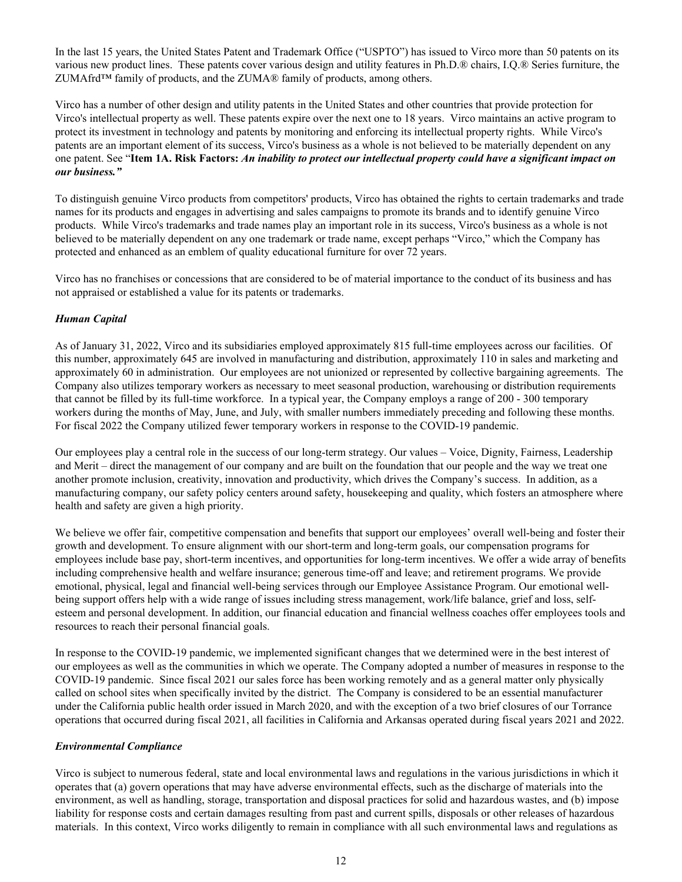In the last 15 years, the United States Patent and Trademark Office ("USPTO") has issued to Virco more than 50 patents on its various new product lines. These patents cover various design and utility features in Ph.D.® chairs, I.Q.® Series furniture, the ZUMAfrd™ family of products, and the ZUMA® family of products, among others.

Virco has a number of other design and utility patents in the United States and other countries that provide protection for Virco's intellectual property as well. These patents expire over the next one to 18 years. Virco maintains an active program to protect its investment in technology and patents by monitoring and enforcing its intellectual property rights. While Virco's patents are an important element of its success, Virco's business as a whole is not believed to be materially dependent on any one patent. See "**Item 1A. Risk Factors:** *An inability to protect our intellectual property could have a significant impact on our business."*

To distinguish genuine Virco products from competitors' products, Virco has obtained the rights to certain trademarks and trade names for its products and engages in advertising and sales campaigns to promote its brands and to identify genuine Virco products. While Virco's trademarks and trade names play an important role in its success, Virco's business as a whole is not believed to be materially dependent on any one trademark or trade name, except perhaps "Virco," which the Company has protected and enhanced as an emblem of quality educational furniture for over 72 years.

Virco has no franchises or concessions that are considered to be of material importance to the conduct of its business and has not appraised or established a value for its patents or trademarks.

# *Human Capital*

As of January 31, 2022, Virco and its subsidiaries employed approximately 815 full-time employees across our facilities. Of this number, approximately 645 are involved in manufacturing and distribution, approximately 110 in sales and marketing and approximately 60 in administration. Our employees are not unionized or represented by collective bargaining agreements. The Company also utilizes temporary workers as necessary to meet seasonal production, warehousing or distribution requirements that cannot be filled by its full-time workforce. In a typical year, the Company employs a range of 200 - 300 temporary workers during the months of May, June, and July, with smaller numbers immediately preceding and following these months. For fiscal 2022 the Company utilized fewer temporary workers in response to the COVID-19 pandemic.

Our employees play a central role in the success of our long-term strategy. Our values – Voice, Dignity, Fairness, Leadership and Merit – direct the management of our company and are built on the foundation that our people and the way we treat one another promote inclusion, creativity, innovation and productivity, which drives the Company's success. In addition, as a manufacturing company, our safety policy centers around safety, housekeeping and quality, which fosters an atmosphere where health and safety are given a high priority.

We believe we offer fair, competitive compensation and benefits that support our employees' overall well-being and foster their growth and development. To ensure alignment with our short-term and long-term goals, our compensation programs for employees include base pay, short-term incentives, and opportunities for long-term incentives. We offer a wide array of benefits including comprehensive health and welfare insurance; generous time-off and leave; and retirement programs. We provide emotional, physical, legal and financial well-being services through our Employee Assistance Program. Our emotional wellbeing support offers help with a wide range of issues including stress management, work/life balance, grief and loss, selfesteem and personal development. In addition, our financial education and financial wellness coaches offer employees tools and resources to reach their personal financial goals.

In response to the COVID-19 pandemic, we implemented significant changes that we determined were in the best interest of our employees as well as the communities in which we operate. The Company adopted a number of measures in response to the COVID-19 pandemic. Since fiscal 2021 our sales force has been working remotely and as a general matter only physically called on school sites when specifically invited by the district. The Company is considered to be an essential manufacturer under the California public health order issued in March 2020, and with the exception of a two brief closures of our Torrance operations that occurred during fiscal 2021, all facilities in California and Arkansas operated during fiscal years 2021 and 2022.

# *Environmental Compliance*

Virco is subject to numerous federal, state and local environmental laws and regulations in the various jurisdictions in which it operates that (a) govern operations that may have adverse environmental effects, such as the discharge of materials into the environment, as well as handling, storage, transportation and disposal practices for solid and hazardous wastes, and (b) impose liability for response costs and certain damages resulting from past and current spills, disposals or other releases of hazardous materials. In this context, Virco works diligently to remain in compliance with all such environmental laws and regulations as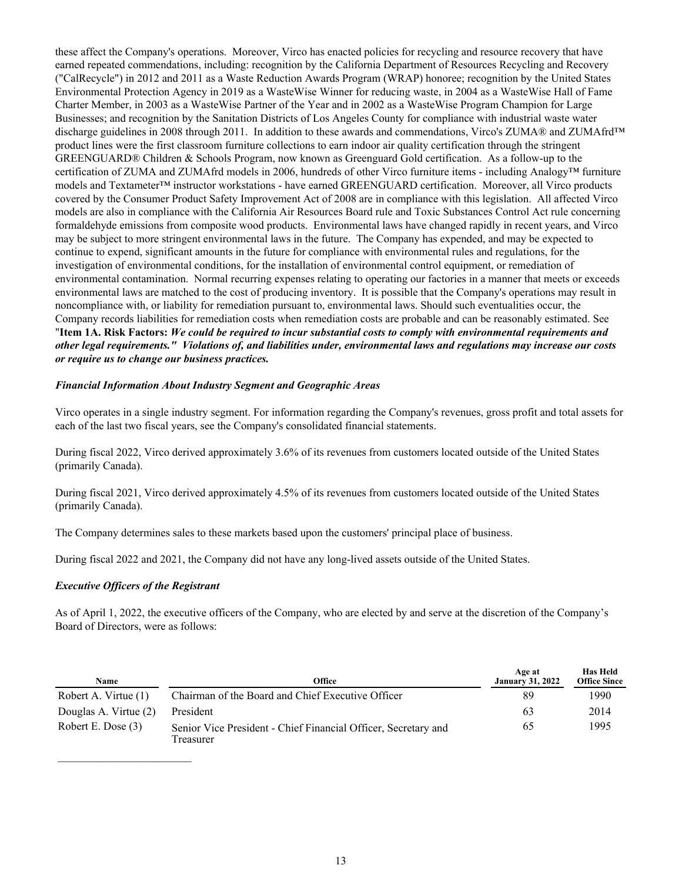these affect the Company's operations. Moreover, Virco has enacted policies for recycling and resource recovery that have earned repeated commendations, including: recognition by the California Department of Resources Recycling and Recovery ("CalRecycle") in 2012 and 2011 as a Waste Reduction Awards Program (WRAP) honoree; recognition by the United States Environmental Protection Agency in 2019 as a WasteWise Winner for reducing waste, in 2004 as a WasteWise Hall of Fame Charter Member, in 2003 as a WasteWise Partner of the Year and in 2002 as a WasteWise Program Champion for Large Businesses; and recognition by the Sanitation Districts of Los Angeles County for compliance with industrial waste water discharge guidelines in 2008 through 2011. In addition to these awards and commendations, Virco's ZUMA® and ZUMAfrd™ product lines were the first classroom furniture collections to earn indoor air quality certification through the stringent GREENGUARD® Children & Schools Program, now known as Greenguard Gold certification. As a follow-up to the certification of ZUMA and ZUMAfrd models in 2006, hundreds of other Virco furniture items - including Analogy™ furniture models and Textameter™ instructor workstations - have earned GREENGUARD certification. Moreover, all Virco products covered by the Consumer Product Safety Improvement Act of 2008 are in compliance with this legislation. All affected Virco models are also in compliance with the California Air Resources Board rule and Toxic Substances Control Act rule concerning formaldehyde emissions from composite wood products. Environmental laws have changed rapidly in recent years, and Virco may be subject to more stringent environmental laws in the future. The Company has expended, and may be expected to continue to expend, significant amounts in the future for compliance with environmental rules and regulations, for the investigation of environmental conditions, for the installation of environmental control equipment, or remediation of environmental contamination. Normal recurring expenses relating to operating our factories in a manner that meets or exceeds environmental laws are matched to the cost of producing inventory. It is possible that the Company's operations may result in noncompliance with, or liability for remediation pursuant to, environmental laws. Should such eventualities occur, the Company records liabilities for remediation costs when remediation costs are probable and can be reasonably estimated. See "**Item 1A. Risk Factors:** *We could be required to incur substantial costs to comply with environmental requirements and other legal requirements." Violations of, and liabilities under, environmental laws and regulations may increase our costs or require us to change our business practices.*

# *Financial Information About Industry Segment and Geographic Areas*

Virco operates in a single industry segment. For information regarding the Company's revenues, gross profit and total assets for each of the last two fiscal years, see the Company's consolidated financial statements.

During fiscal 2022, Virco derived approximately 3.6% of its revenues from customers located outside of the United States (primarily Canada).

During fiscal 2021, Virco derived approximately 4.5% of its revenues from customers located outside of the United States (primarily Canada).

The Company determines sales to these markets based upon the customers' principal place of business.

During fiscal 2022 and 2021, the Company did not have any long-lived assets outside of the United States.

#### *Executive Officers of the Registrant*

 $\frac{1}{2}$  ,  $\frac{1}{2}$  ,  $\frac{1}{2}$  ,  $\frac{1}{2}$  ,  $\frac{1}{2}$  ,  $\frac{1}{2}$  ,  $\frac{1}{2}$  ,  $\frac{1}{2}$  ,  $\frac{1}{2}$  ,  $\frac{1}{2}$  ,  $\frac{1}{2}$  ,  $\frac{1}{2}$  ,  $\frac{1}{2}$  ,  $\frac{1}{2}$  ,  $\frac{1}{2}$  ,  $\frac{1}{2}$  ,  $\frac{1}{2}$  ,  $\frac{1}{2}$  ,  $\frac{1$ 

As of April 1, 2022, the executive officers of the Company, who are elected by and serve at the discretion of the Company's Board of Directors, were as follows:

| Name                  | <b>Office</b>                                                               | Age at<br><b>January 31, 2022</b> | <b>Has Held</b><br><b>Office Since</b> |
|-----------------------|-----------------------------------------------------------------------------|-----------------------------------|----------------------------------------|
| Robert A. Virtue (1)  | Chairman of the Board and Chief Executive Officer                           | 89                                | 1990                                   |
| Douglas A. Virtue (2) | President                                                                   | 63                                | 2014                                   |
| Robert E. Dose (3)    | Senior Vice President - Chief Financial Officer, Secretary and<br>Freasurer | 65                                | 1995                                   |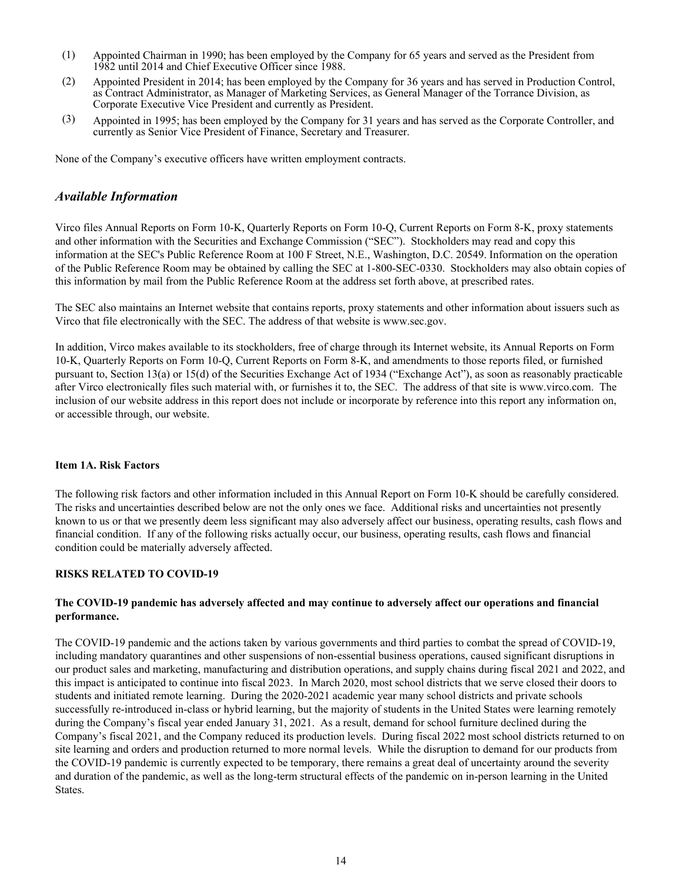- <span id="page-14-0"></span>(1) Appointed Chairman in 1990; has been employed by the Company for 65 years and served as the President from 1982 until 2014 and Chief Executive Officer since 1988.
- (2) Appointed President in 2014; has been employed by the Company for 36 years and has served in Production Control, as Contract Administrator, as Manager of Marketing Services, as General Manager of the Torrance Division, as Corporate Executive Vice President and currently as President.
- (3) Appointed in 1995; has been employed by the Company for 31 years and has served as the Corporate Controller, and currently as Senior Vice President of Finance, Secretary and Treasurer.

None of the Company's executive officers have written employment contracts.

# *Available Information*

Virco files Annual Reports on Form 10-K, Quarterly Reports on Form 10-Q, Current Reports on Form 8-K, proxy statements and other information with the Securities and Exchange Commission ("SEC"). Stockholders may read and copy this information at the SEC's Public Reference Room at 100 F Street, N.E., Washington, D.C. 20549. Information on the operation of the Public Reference Room may be obtained by calling the SEC at 1-800-SEC-0330. Stockholders may also obtain copies of this information by mail from the Public Reference Room at the address set forth above, at prescribed rates.

The SEC also maintains an Internet website that contains reports, proxy statements and other information about issuers such as Virco that file electronically with the SEC. The address of that website is www.sec.gov.

In addition, Virco makes available to its stockholders, free of charge through its Internet website, its Annual Reports on Form 10-K, Quarterly Reports on Form 10-Q, Current Reports on Form 8-K, and amendments to those reports filed, or furnished pursuant to, Section 13(a) or 15(d) of the Securities Exchange Act of 1934 ("Exchange Act"), as soon as reasonably practicable after Virco electronically files such material with, or furnishes it to, the SEC. The address of that site is www.virco.com. The inclusion of our website address in this report does not include or incorporate by reference into this report any information on, or accessible through, our website.

# **Item 1A. Risk Factors**

The following risk factors and other information included in this Annual Report on Form 10-K should be carefully considered. The risks and uncertainties described below are not the only ones we face. Additional risks and uncertainties not presently known to us or that we presently deem less significant may also adversely affect our business, operating results, cash flows and financial condition. If any of the following risks actually occur, our business, operating results, cash flows and financial condition could be materially adversely affected.

#### **RISKS RELATED TO COVID-19**

# **The COVID-19 pandemic has adversely affected and may continue to adversely affect our operations and financial performance.**

The COVID-19 pandemic and the actions taken by various governments and third parties to combat the spread of COVID-19, including mandatory quarantines and other suspensions of non-essential business operations, caused significant disruptions in our product sales and marketing, manufacturing and distribution operations, and supply chains during fiscal 2021 and 2022, and this impact is anticipated to continue into fiscal 2023. In March 2020, most school districts that we serve closed their doors to students and initiated remote learning. During the 2020-2021 academic year many school districts and private schools successfully re-introduced in-class or hybrid learning, but the majority of students in the United States were learning remotely during the Company's fiscal year ended January 31, 2021. As a result, demand for school furniture declined during the Company's fiscal 2021, and the Company reduced its production levels. During fiscal 2022 most school districts returned to on site learning and orders and production returned to more normal levels. While the disruption to demand for our products from the COVID-19 pandemic is currently expected to be temporary, there remains a great deal of uncertainty around the severity and duration of the pandemic, as well as the long-term structural effects of the pandemic on in-person learning in the United States.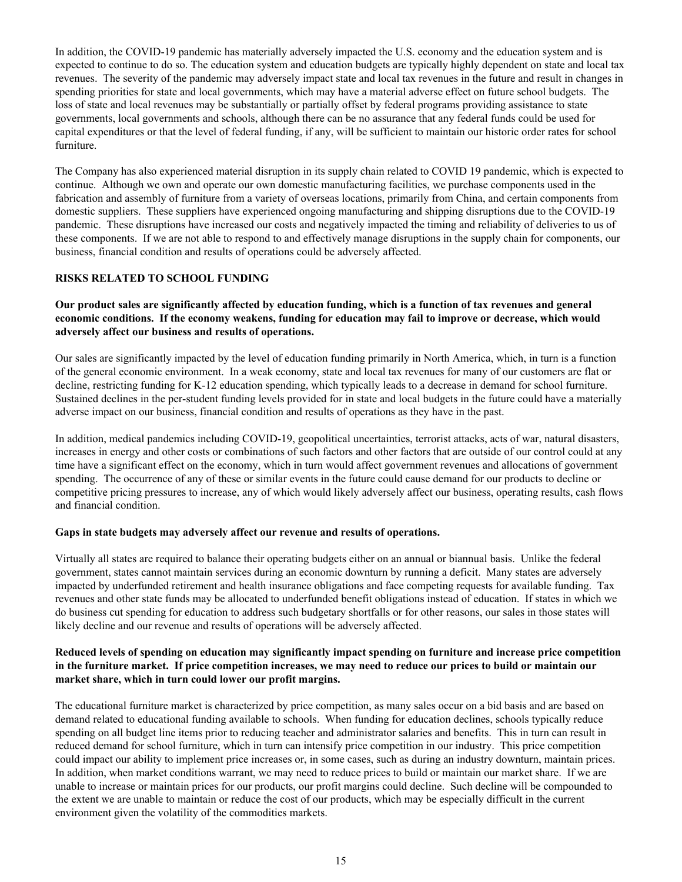In addition, the COVID-19 pandemic has materially adversely impacted the U.S. economy and the education system and is expected to continue to do so. The education system and education budgets are typically highly dependent on state and local tax revenues. The severity of the pandemic may adversely impact state and local tax revenues in the future and result in changes in spending priorities for state and local governments, which may have a material adverse effect on future school budgets. The loss of state and local revenues may be substantially or partially offset by federal programs providing assistance to state governments, local governments and schools, although there can be no assurance that any federal funds could be used for capital expenditures or that the level of federal funding, if any, will be sufficient to maintain our historic order rates for school furniture.

The Company has also experienced material disruption in its supply chain related to COVID 19 pandemic, which is expected to continue. Although we own and operate our own domestic manufacturing facilities, we purchase components used in the fabrication and assembly of furniture from a variety of overseas locations, primarily from China, and certain components from domestic suppliers. These suppliers have experienced ongoing manufacturing and shipping disruptions due to the COVID-19 pandemic. These disruptions have increased our costs and negatively impacted the timing and reliability of deliveries to us of these components. If we are not able to respond to and effectively manage disruptions in the supply chain for components, our business, financial condition and results of operations could be adversely affected.

# **RISKS RELATED TO SCHOOL FUNDING**

# **Our product sales are significantly affected by education funding, which is a function of tax revenues and general economic conditions. If the economy weakens, funding for education may fail to improve or decrease, which would adversely affect our business and results of operations.**

Our sales are significantly impacted by the level of education funding primarily in North America, which, in turn is a function of the general economic environment. In a weak economy, state and local tax revenues for many of our customers are flat or decline, restricting funding for K-12 education spending, which typically leads to a decrease in demand for school furniture. Sustained declines in the per-student funding levels provided for in state and local budgets in the future could have a materially adverse impact on our business, financial condition and results of operations as they have in the past.

In addition, medical pandemics including COVID-19, geopolitical uncertainties, terrorist attacks, acts of war, natural disasters, increases in energy and other costs or combinations of such factors and other factors that are outside of our control could at any time have a significant effect on the economy, which in turn would affect government revenues and allocations of government spending. The occurrence of any of these or similar events in the future could cause demand for our products to decline or competitive pricing pressures to increase, any of which would likely adversely affect our business, operating results, cash flows and financial condition.

# **Gaps in state budgets may adversely affect our revenue and results of operations.**

Virtually all states are required to balance their operating budgets either on an annual or biannual basis. Unlike the federal government, states cannot maintain services during an economic downturn by running a deficit. Many states are adversely impacted by underfunded retirement and health insurance obligations and face competing requests for available funding. Tax revenues and other state funds may be allocated to underfunded benefit obligations instead of education. If states in which we do business cut spending for education to address such budgetary shortfalls or for other reasons, our sales in those states will likely decline and our revenue and results of operations will be adversely affected.

# **Reduced levels of spending on education may significantly impact spending on furniture and increase price competition in the furniture market. If price competition increases, we may need to reduce our prices to build or maintain our market share, which in turn could lower our profit margins.**

The educational furniture market is characterized by price competition, as many sales occur on a bid basis and are based on demand related to educational funding available to schools. When funding for education declines, schools typically reduce spending on all budget line items prior to reducing teacher and administrator salaries and benefits. This in turn can result in reduced demand for school furniture, which in turn can intensify price competition in our industry. This price competition could impact our ability to implement price increases or, in some cases, such as during an industry downturn, maintain prices. In addition, when market conditions warrant, we may need to reduce prices to build or maintain our market share. If we are unable to increase or maintain prices for our products, our profit margins could decline. Such decline will be compounded to the extent we are unable to maintain or reduce the cost of our products, which may be especially difficult in the current environment given the volatility of the commodities markets.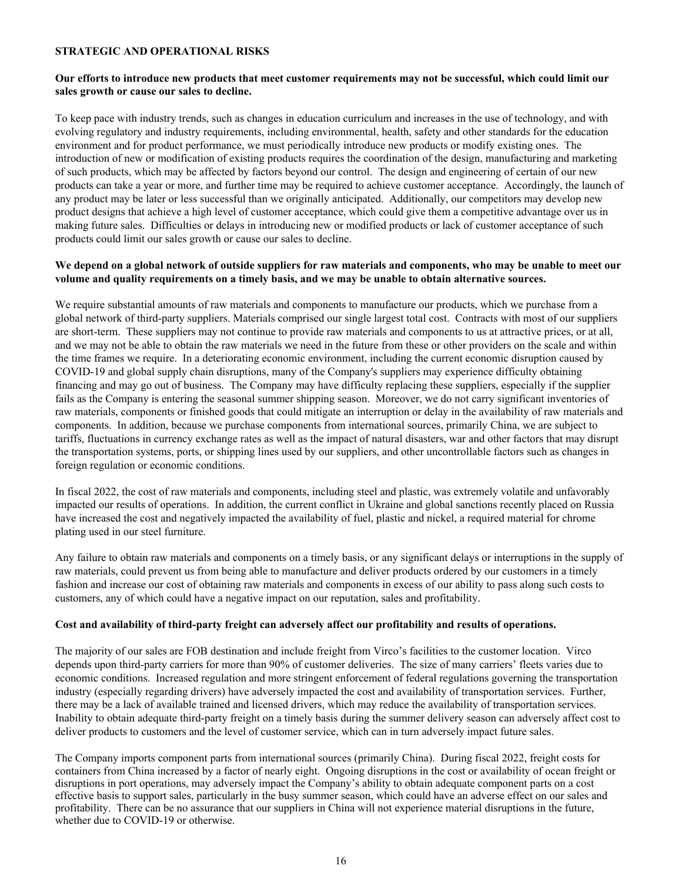# **STRATEGIC AND OPERATIONAL RISKS**

# **Our efforts to introduce new products that meet customer requirements may not be successful, which could limit our sales growth or cause our sales to decline.**

To keep pace with industry trends, such as changes in education curriculum and increases in the use of technology, and with evolving regulatory and industry requirements, including environmental, health, safety and other standards for the education environment and for product performance, we must periodically introduce new products or modify existing ones. The introduction of new or modification of existing products requires the coordination of the design, manufacturing and marketing of such products, which may be affected by factors beyond our control. The design and engineering of certain of our new products can take a year or more, and further time may be required to achieve customer acceptance. Accordingly, the launch of any product may be later or less successful than we originally anticipated. Additionally, our competitors may develop new product designs that achieve a high level of customer acceptance, which could give them a competitive advantage over us in making future sales. Difficulties or delays in introducing new or modified products or lack of customer acceptance of such products could limit our sales growth or cause our sales to decline.

# **We depend on a global network of outside suppliers for raw materials and components, who may be unable to meet our volume and quality requirements on a timely basis, and we may be unable to obtain alternative sources.**

We require substantial amounts of raw materials and components to manufacture our products, which we purchase from a global network of third-party suppliers. Materials comprised our single largest total cost. Contracts with most of our suppliers are short-term. These suppliers may not continue to provide raw materials and components to us at attractive prices, or at all, and we may not be able to obtain the raw materials we need in the future from these or other providers on the scale and within the time frames we require. In a deteriorating economic environment, including the current economic disruption caused by COVID-19 and global supply chain disruptions, many of the Company's suppliers may experience difficulty obtaining financing and may go out of business. The Company may have difficulty replacing these suppliers, especially if the supplier fails as the Company is entering the seasonal summer shipping season. Moreover, we do not carry significant inventories of raw materials, components or finished goods that could mitigate an interruption or delay in the availability of raw materials and components. In addition, because we purchase components from international sources, primarily China, we are subject to tariffs, fluctuations in currency exchange rates as well as the impact of natural disasters, war and other factors that may disrupt the transportation systems, ports, or shipping lines used by our suppliers, and other uncontrollable factors such as changes in foreign regulation or economic conditions.

In fiscal 2022, the cost of raw materials and components, including steel and plastic, was extremely volatile and unfavorably impacted our results of operations. In addition, the current conflict in Ukraine and global sanctions recently placed on Russia have increased the cost and negatively impacted the availability of fuel, plastic and nickel, a required material for chrome plating used in our steel furniture.

Any failure to obtain raw materials and components on a timely basis, or any significant delays or interruptions in the supply of raw materials, could prevent us from being able to manufacture and deliver products ordered by our customers in a timely fashion and increase our cost of obtaining raw materials and components in excess of our ability to pass along such costs to customers, any of which could have a negative impact on our reputation, sales and profitability.

# **Cost and availability of third-party freight can adversely affect our profitability and results of operations.**

The majority of our sales are FOB destination and include freight from Virco's facilities to the customer location. Virco depends upon third-party carriers for more than 90% of customer deliveries. The size of many carriers' fleets varies due to economic conditions. Increased regulation and more stringent enforcement of federal regulations governing the transportation industry (especially regarding drivers) have adversely impacted the cost and availability of transportation services. Further, there may be a lack of available trained and licensed drivers, which may reduce the availability of transportation services. Inability to obtain adequate third-party freight on a timely basis during the summer delivery season can adversely affect cost to deliver products to customers and the level of customer service, which can in turn adversely impact future sales.

The Company imports component parts from international sources (primarily China). During fiscal 2022, freight costs for containers from China increased by a factor of nearly eight. Ongoing disruptions in the cost or availability of ocean freight or disruptions in port operations, may adversely impact the Company's ability to obtain adequate component parts on a cost effective basis to support sales, particularly in the busy summer season, which could have an adverse effect on our sales and profitability. There can be no assurance that our suppliers in China will not experience material disruptions in the future, whether due to COVID-19 or otherwise.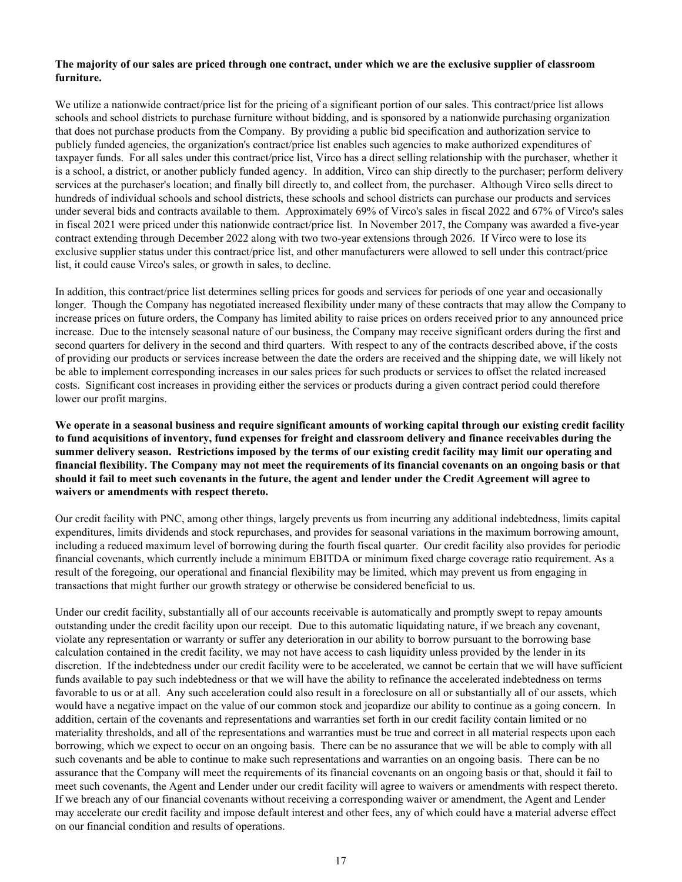# **The majority of our sales are priced through one contract, under which we are the exclusive supplier of classroom furniture.**

We utilize a nationwide contract/price list for the pricing of a significant portion of our sales. This contract/price list allows schools and school districts to purchase furniture without bidding, and is sponsored by a nationwide purchasing organization that does not purchase products from the Company. By providing a public bid specification and authorization service to publicly funded agencies, the organization's contract/price list enables such agencies to make authorized expenditures of taxpayer funds. For all sales under this contract/price list, Virco has a direct selling relationship with the purchaser, whether it is a school, a district, or another publicly funded agency. In addition, Virco can ship directly to the purchaser; perform delivery services at the purchaser's location; and finally bill directly to, and collect from, the purchaser. Although Virco sells direct to hundreds of individual schools and school districts, these schools and school districts can purchase our products and services under several bids and contracts available to them. Approximately 69% of Virco's sales in fiscal 2022 and 67% of Virco's sales in fiscal 2021 were priced under this nationwide contract/price list. In November 2017, the Company was awarded a five-year contract extending through December 2022 along with two two-year extensions through 2026. If Virco were to lose its exclusive supplier status under this contract/price list, and other manufacturers were allowed to sell under this contract/price list, it could cause Virco's sales, or growth in sales, to decline.

In addition, this contract/price list determines selling prices for goods and services for periods of one year and occasionally longer. Though the Company has negotiated increased flexibility under many of these contracts that may allow the Company to increase prices on future orders, the Company has limited ability to raise prices on orders received prior to any announced price increase. Due to the intensely seasonal nature of our business, the Company may receive significant orders during the first and second quarters for delivery in the second and third quarters. With respect to any of the contracts described above, if the costs of providing our products or services increase between the date the orders are received and the shipping date, we will likely not be able to implement corresponding increases in our sales prices for such products or services to offset the related increased costs. Significant cost increases in providing either the services or products during a given contract period could therefore lower our profit margins.

**We operate in a seasonal business and require significant amounts of working capital through our existing credit facility to fund acquisitions of inventory, fund expenses for freight and classroom delivery and finance receivables during the summer delivery season. Restrictions imposed by the terms of our existing credit facility may limit our operating and financial flexibility. The Company may not meet the requirements of its financial covenants on an ongoing basis or that should it fail to meet such covenants in the future, the agent and lender under the Credit Agreement will agree to waivers or amendments with respect thereto.**

Our credit facility with PNC, among other things, largely prevents us from incurring any additional indebtedness, limits capital expenditures, limits dividends and stock repurchases, and provides for seasonal variations in the maximum borrowing amount, including a reduced maximum level of borrowing during the fourth fiscal quarter. Our credit facility also provides for periodic financial covenants, which currently include a minimum EBITDA or minimum fixed charge coverage ratio requirement. As a result of the foregoing, our operational and financial flexibility may be limited, which may prevent us from engaging in transactions that might further our growth strategy or otherwise be considered beneficial to us.

Under our credit facility, substantially all of our accounts receivable is automatically and promptly swept to repay amounts outstanding under the credit facility upon our receipt. Due to this automatic liquidating nature, if we breach any covenant, violate any representation or warranty or suffer any deterioration in our ability to borrow pursuant to the borrowing base calculation contained in the credit facility, we may not have access to cash liquidity unless provided by the lender in its discretion. If the indebtedness under our credit facility were to be accelerated, we cannot be certain that we will have sufficient funds available to pay such indebtedness or that we will have the ability to refinance the accelerated indebtedness on terms favorable to us or at all. Any such acceleration could also result in a foreclosure on all or substantially all of our assets, which would have a negative impact on the value of our common stock and jeopardize our ability to continue as a going concern. In addition, certain of the covenants and representations and warranties set forth in our credit facility contain limited or no materiality thresholds, and all of the representations and warranties must be true and correct in all material respects upon each borrowing, which we expect to occur on an ongoing basis. There can be no assurance that we will be able to comply with all such covenants and be able to continue to make such representations and warranties on an ongoing basis. There can be no assurance that the Company will meet the requirements of its financial covenants on an ongoing basis or that, should it fail to meet such covenants, the Agent and Lender under our credit facility will agree to waivers or amendments with respect thereto. If we breach any of our financial covenants without receiving a corresponding waiver or amendment, the Agent and Lender may accelerate our credit facility and impose default interest and other fees, any of which could have a material adverse effect on our financial condition and results of operations.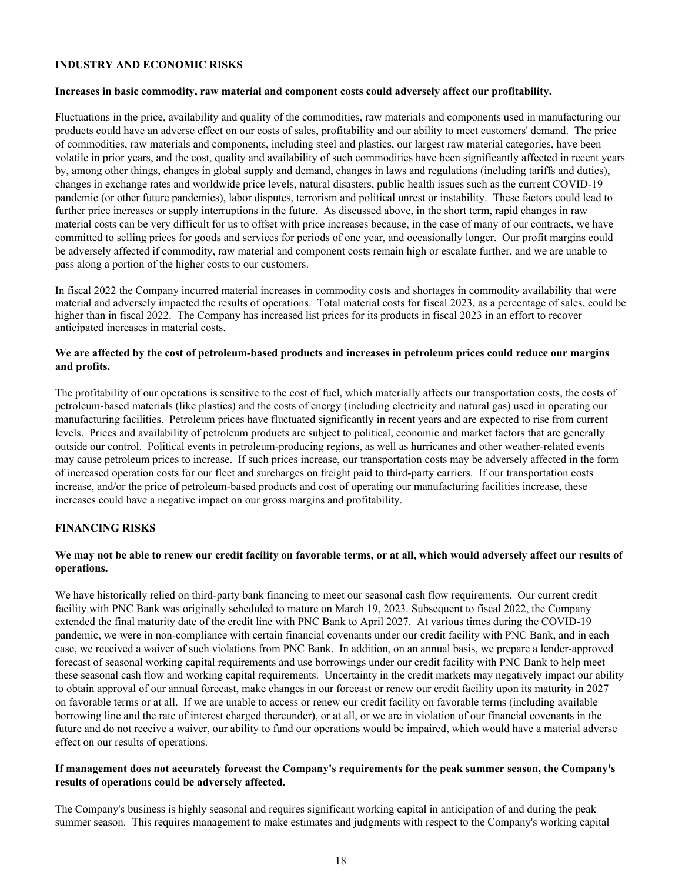# **INDUSTRY AND ECONOMIC RISKS**

# **Increases in basic commodity, raw material and component costs could adversely affect our profitability.**

Fluctuations in the price, availability and quality of the commodities, raw materials and components used in manufacturing our products could have an adverse effect on our costs of sales, profitability and our ability to meet customers' demand. The price of commodities, raw materials and components, including steel and plastics, our largest raw material categories, have been volatile in prior years, and the cost, quality and availability of such commodities have been significantly affected in recent years by, among other things, changes in global supply and demand, changes in laws and regulations (including tariffs and duties), changes in exchange rates and worldwide price levels, natural disasters, public health issues such as the current COVID-19 pandemic (or other future pandemics), labor disputes, terrorism and political unrest or instability. These factors could lead to further price increases or supply interruptions in the future. As discussed above, in the short term, rapid changes in raw material costs can be very difficult for us to offset with price increases because, in the case of many of our contracts, we have committed to selling prices for goods and services for periods of one year, and occasionally longer. Our profit margins could be adversely affected if commodity, raw material and component costs remain high or escalate further, and we are unable to pass along a portion of the higher costs to our customers.

In fiscal 2022 the Company incurred material increases in commodity costs and shortages in commodity availability that were material and adversely impacted the results of operations. Total material costs for fiscal 2023, as a percentage of sales, could be higher than in fiscal 2022. The Company has increased list prices for its products in fiscal 2023 in an effort to recover anticipated increases in material costs.

# **We are affected by the cost of petroleum-based products and increases in petroleum prices could reduce our margins and profits.**

The profitability of our operations is sensitive to the cost of fuel, which materially affects our transportation costs, the costs of petroleum-based materials (like plastics) and the costs of energy (including electricity and natural gas) used in operating our manufacturing facilities. Petroleum prices have fluctuated significantly in recent years and are expected to rise from current levels. Prices and availability of petroleum products are subject to political, economic and market factors that are generally outside our control. Political events in petroleum-producing regions, as well as hurricanes and other weather-related events may cause petroleum prices to increase. If such prices increase, our transportation costs may be adversely affected in the form of increased operation costs for our fleet and surcharges on freight paid to third-party carriers. If our transportation costs increase, and/or the price of petroleum-based products and cost of operating our manufacturing facilities increase, these increases could have a negative impact on our gross margins and profitability.

# **FINANCING RISKS**

# **We may not be able to renew our credit facility on favorable terms, or at all, which would adversely affect our results of operations.**

We have historically relied on third-party bank financing to meet our seasonal cash flow requirements. Our current credit facility with PNC Bank was originally scheduled to mature on March 19, 2023. Subsequent to fiscal 2022, the Company extended the final maturity date of the credit line with PNC Bank to April 2027. At various times during the COVID-19 pandemic, we were in non-compliance with certain financial covenants under our credit facility with PNC Bank, and in each case, we received a waiver of such violations from PNC Bank. In addition, on an annual basis, we prepare a lender-approved forecast of seasonal working capital requirements and use borrowings under our credit facility with PNC Bank to help meet these seasonal cash flow and working capital requirements. Uncertainty in the credit markets may negatively impact our ability to obtain approval of our annual forecast, make changes in our forecast or renew our credit facility upon its maturity in 2027 on favorable terms or at all. If we are unable to access or renew our credit facility on favorable terms (including available borrowing line and the rate of interest charged thereunder), or at all, or we are in violation of our financial covenants in the future and do not receive a waiver, our ability to fund our operations would be impaired, which would have a material adverse effect on our results of operations.

# **If management does not accurately forecast the Company's requirements for the peak summer season, the Company's results of operations could be adversely affected.**

The Company's business is highly seasonal and requires significant working capital in anticipation of and during the peak summer season. This requires management to make estimates and judgments with respect to the Company's working capital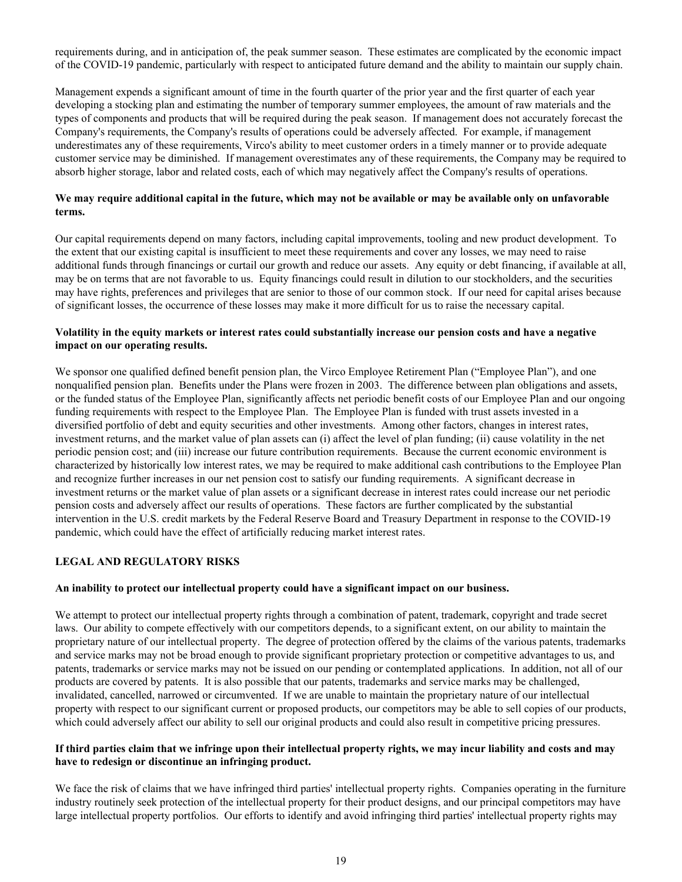requirements during, and in anticipation of, the peak summer season. These estimates are complicated by the economic impact of the COVID-19 pandemic, particularly with respect to anticipated future demand and the ability to maintain our supply chain.

Management expends a significant amount of time in the fourth quarter of the prior year and the first quarter of each year developing a stocking plan and estimating the number of temporary summer employees, the amount of raw materials and the types of components and products that will be required during the peak season. If management does not accurately forecast the Company's requirements, the Company's results of operations could be adversely affected. For example, if management underestimates any of these requirements, Virco's ability to meet customer orders in a timely manner or to provide adequate customer service may be diminished. If management overestimates any of these requirements, the Company may be required to absorb higher storage, labor and related costs, each of which may negatively affect the Company's results of operations.

# **We may require additional capital in the future, which may not be available or may be available only on unfavorable terms.**

Our capital requirements depend on many factors, including capital improvements, tooling and new product development. To the extent that our existing capital is insufficient to meet these requirements and cover any losses, we may need to raise additional funds through financings or curtail our growth and reduce our assets. Any equity or debt financing, if available at all, may be on terms that are not favorable to us. Equity financings could result in dilution to our stockholders, and the securities may have rights, preferences and privileges that are senior to those of our common stock. If our need for capital arises because of significant losses, the occurrence of these losses may make it more difficult for us to raise the necessary capital.

# **Volatility in the equity markets or interest rates could substantially increase our pension costs and have a negative impact on our operating results.**

We sponsor one qualified defined benefit pension plan, the Virco Employee Retirement Plan ("Employee Plan"), and one nonqualified pension plan. Benefits under the Plans were frozen in 2003. The difference between plan obligations and assets, or the funded status of the Employee Plan, significantly affects net periodic benefit costs of our Employee Plan and our ongoing funding requirements with respect to the Employee Plan. The Employee Plan is funded with trust assets invested in a diversified portfolio of debt and equity securities and other investments. Among other factors, changes in interest rates, investment returns, and the market value of plan assets can (i) affect the level of plan funding; (ii) cause volatility in the net periodic pension cost; and (iii) increase our future contribution requirements. Because the current economic environment is characterized by historically low interest rates, we may be required to make additional cash contributions to the Employee Plan and recognize further increases in our net pension cost to satisfy our funding requirements. A significant decrease in investment returns or the market value of plan assets or a significant decrease in interest rates could increase our net periodic pension costs and adversely affect our results of operations. These factors are further complicated by the substantial intervention in the U.S. credit markets by the Federal Reserve Board and Treasury Department in response to the COVID-19 pandemic, which could have the effect of artificially reducing market interest rates.

# **LEGAL AND REGULATORY RISKS**

# **An inability to protect our intellectual property could have a significant impact on our business.**

We attempt to protect our intellectual property rights through a combination of patent, trademark, copyright and trade secret laws. Our ability to compete effectively with our competitors depends, to a significant extent, on our ability to maintain the proprietary nature of our intellectual property. The degree of protection offered by the claims of the various patents, trademarks and service marks may not be broad enough to provide significant proprietary protection or competitive advantages to us, and patents, trademarks or service marks may not be issued on our pending or contemplated applications. In addition, not all of our products are covered by patents. It is also possible that our patents, trademarks and service marks may be challenged, invalidated, cancelled, narrowed or circumvented. If we are unable to maintain the proprietary nature of our intellectual property with respect to our significant current or proposed products, our competitors may be able to sell copies of our products, which could adversely affect our ability to sell our original products and could also result in competitive pricing pressures.

# **If third parties claim that we infringe upon their intellectual property rights, we may incur liability and costs and may have to redesign or discontinue an infringing product.**

We face the risk of claims that we have infringed third parties' intellectual property rights. Companies operating in the furniture industry routinely seek protection of the intellectual property for their product designs, and our principal competitors may have large intellectual property portfolios. Our efforts to identify and avoid infringing third parties' intellectual property rights may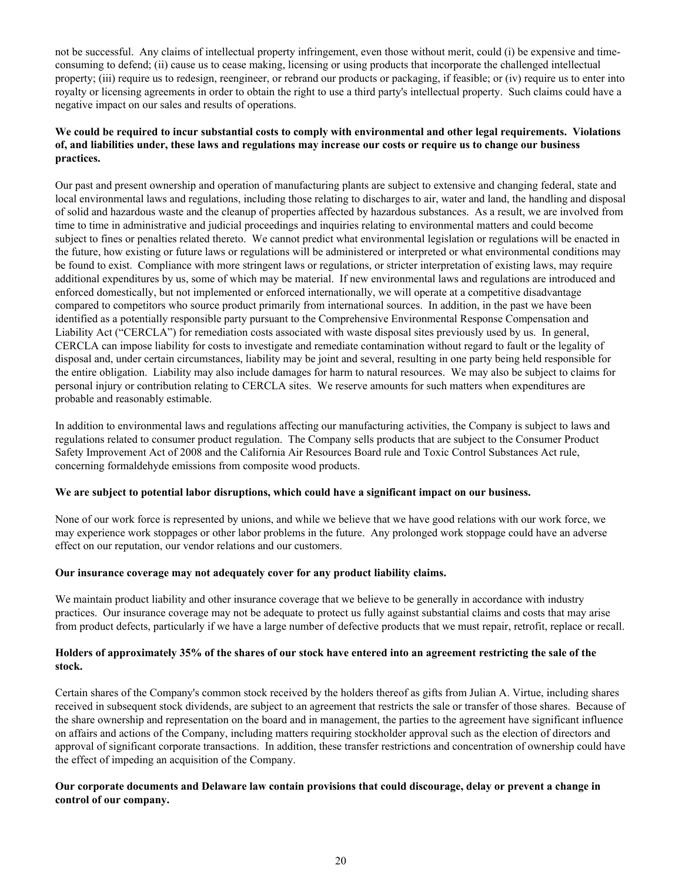not be successful. Any claims of intellectual property infringement, even those without merit, could (i) be expensive and timeconsuming to defend; (ii) cause us to cease making, licensing or using products that incorporate the challenged intellectual property; (iii) require us to redesign, reengineer, or rebrand our products or packaging, if feasible; or (iv) require us to enter into royalty or licensing agreements in order to obtain the right to use a third party's intellectual property. Such claims could have a negative impact on our sales and results of operations.

# **We could be required to incur substantial costs to comply with environmental and other legal requirements. Violations of, and liabilities under, these laws and regulations may increase our costs or require us to change our business practices.**

Our past and present ownership and operation of manufacturing plants are subject to extensive and changing federal, state and local environmental laws and regulations, including those relating to discharges to air, water and land, the handling and disposal of solid and hazardous waste and the cleanup of properties affected by hazardous substances. As a result, we are involved from time to time in administrative and judicial proceedings and inquiries relating to environmental matters and could become subject to fines or penalties related thereto. We cannot predict what environmental legislation or regulations will be enacted in the future, how existing or future laws or regulations will be administered or interpreted or what environmental conditions may be found to exist. Compliance with more stringent laws or regulations, or stricter interpretation of existing laws, may require additional expenditures by us, some of which may be material. If new environmental laws and regulations are introduced and enforced domestically, but not implemented or enforced internationally, we will operate at a competitive disadvantage compared to competitors who source product primarily from international sources. In addition, in the past we have been identified as a potentially responsible party pursuant to the Comprehensive Environmental Response Compensation and Liability Act ("CERCLA") for remediation costs associated with waste disposal sites previously used by us. In general, CERCLA can impose liability for costs to investigate and remediate contamination without regard to fault or the legality of disposal and, under certain circumstances, liability may be joint and several, resulting in one party being held responsible for the entire obligation. Liability may also include damages for harm to natural resources. We may also be subject to claims for personal injury or contribution relating to CERCLA sites. We reserve amounts for such matters when expenditures are probable and reasonably estimable.

In addition to environmental laws and regulations affecting our manufacturing activities, the Company is subject to laws and regulations related to consumer product regulation. The Company sells products that are subject to the Consumer Product Safety Improvement Act of 2008 and the California Air Resources Board rule and Toxic Control Substances Act rule, concerning formaldehyde emissions from composite wood products.

# **We are subject to potential labor disruptions, which could have a significant impact on our business.**

None of our work force is represented by unions, and while we believe that we have good relations with our work force, we may experience work stoppages or other labor problems in the future. Any prolonged work stoppage could have an adverse effect on our reputation, our vendor relations and our customers.

# **Our insurance coverage may not adequately cover for any product liability claims.**

We maintain product liability and other insurance coverage that we believe to be generally in accordance with industry practices. Our insurance coverage may not be adequate to protect us fully against substantial claims and costs that may arise from product defects, particularly if we have a large number of defective products that we must repair, retrofit, replace or recall.

# **Holders of approximately 35% of the shares of our stock have entered into an agreement restricting the sale of the stock.**

Certain shares of the Company's common stock received by the holders thereof as gifts from Julian A. Virtue, including shares received in subsequent stock dividends, are subject to an agreement that restricts the sale or transfer of those shares. Because of the share ownership and representation on the board and in management, the parties to the agreement have significant influence on affairs and actions of the Company, including matters requiring stockholder approval such as the election of directors and approval of significant corporate transactions. In addition, these transfer restrictions and concentration of ownership could have the effect of impeding an acquisition of the Company.

# **Our corporate documents and Delaware law contain provisions that could discourage, delay or prevent a change in control of our company.**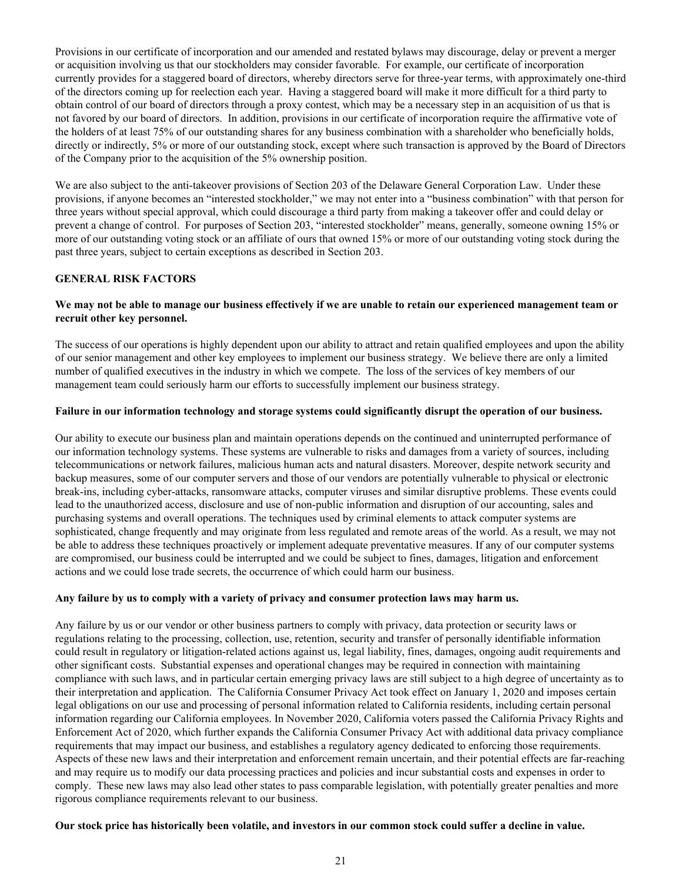Provisions in our certificate of incorporation and our amended and restated bylaws may discourage, delay or prevent a merger or acquisition involving us that our stockholders may consider favorable. For example, our certificate of incorporation currently provides for a staggered board of directors, whereby directors serve for three-year terms, with approximately one-third of the directors coming up for reelection each year. Having a staggered board will make it more difficult for a third party to obtain control of our board of directors through a proxy contest, which may be a necessary step in an acquisition of us that is not favored by our board of directors. In addition, provisions in our certificate of incorporation require the affirmative vote of the holders of at least 75% of our outstanding shares for any business combination with a shareholder who beneficially holds, directly or indirectly, 5% or more of our outstanding stock, except where such transaction is approved by the Board of Directors of the Company prior to the acquisition of the 5% ownership position.

We are also subject to the anti-takeover provisions of Section 203 of the Delaware General Corporation Law. Under these provisions, if anyone becomes an "interested stockholder," we may not enter into a "business combination" with that person for three years without special approval, which could discourage a third party from making a takeover offer and could delay or prevent a change of control. For purposes of Section 203, "interested stockholder" means, generally, someone owning 15% or more of our outstanding voting stock or an affiliate of ours that owned 15% or more of our outstanding voting stock during the past three years, subject to certain exceptions as described in Section 203.

# **GENERAL RISK FACTORS**

# **We may not be able to manage our business effectively if we are unable to retain our experienced management team or recruit other key personnel.**

The success of our operations is highly dependent upon our ability to attract and retain qualified employees and upon the ability of our senior management and other key employees to implement our business strategy. We believe there are only a limited number of qualified executives in the industry in which we compete. The loss of the services of key members of our management team could seriously harm our efforts to successfully implement our business strategy.

# **Failure in our information technology and storage systems could significantly disrupt the operation of our business.**

Our ability to execute our business plan and maintain operations depends on the continued and uninterrupted performance of our information technology systems. These systems are vulnerable to risks and damages from a variety of sources, including telecommunications or network failures, malicious human acts and natural disasters. Moreover, despite network security and backup measures, some of our computer servers and those of our vendors are potentially vulnerable to physical or electronic break-ins, including cyber-attacks, ransomware attacks, computer viruses and similar disruptive problems. These events could lead to the unauthorized access, disclosure and use of non-public information and disruption of our accounting, sales and purchasing systems and overall operations. The techniques used by criminal elements to attack computer systems are sophisticated, change frequently and may originate from less regulated and remote areas of the world. As a result, we may not be able to address these techniques proactively or implement adequate preventative measures. If any of our computer systems are compromised, our business could be interrupted and we could be subject to fines, damages, litigation and enforcement actions and we could lose trade secrets, the occurrence of which could harm our business.

# **Any failure by us to comply with a variety of privacy and consumer protection laws may harm us.**

Any failure by us or our vendor or other business partners to comply with privacy, data protection or security laws or regulations relating to the processing, collection, use, retention, security and transfer of personally identifiable information could result in regulatory or litigation-related actions against us, legal liability, fines, damages, ongoing audit requirements and other significant costs. Substantial expenses and operational changes may be required in connection with maintaining compliance with such laws, and in particular certain emerging privacy laws are still subject to a high degree of uncertainty as to their interpretation and application. The California Consumer Privacy Act took effect on January 1, 2020 and imposes certain legal obligations on our use and processing of personal information related to California residents, including certain personal information regarding our California employees. In November 2020, California voters passed the California Privacy Rights and Enforcement Act of 2020, which further expands the California Consumer Privacy Act with additional data privacy compliance requirements that may impact our business, and establishes a regulatory agency dedicated to enforcing those requirements. Aspects of these new laws and their interpretation and enforcement remain uncertain, and their potential effects are far-reaching and may require us to modify our data processing practices and policies and incur substantial costs and expenses in order to comply. These new laws may also lead other states to pass comparable legislation, with potentially greater penalties and more rigorous compliance requirements relevant to our business.

#### **Our stock price has historically been volatile, and investors in our common stock could suffer a decline in value.**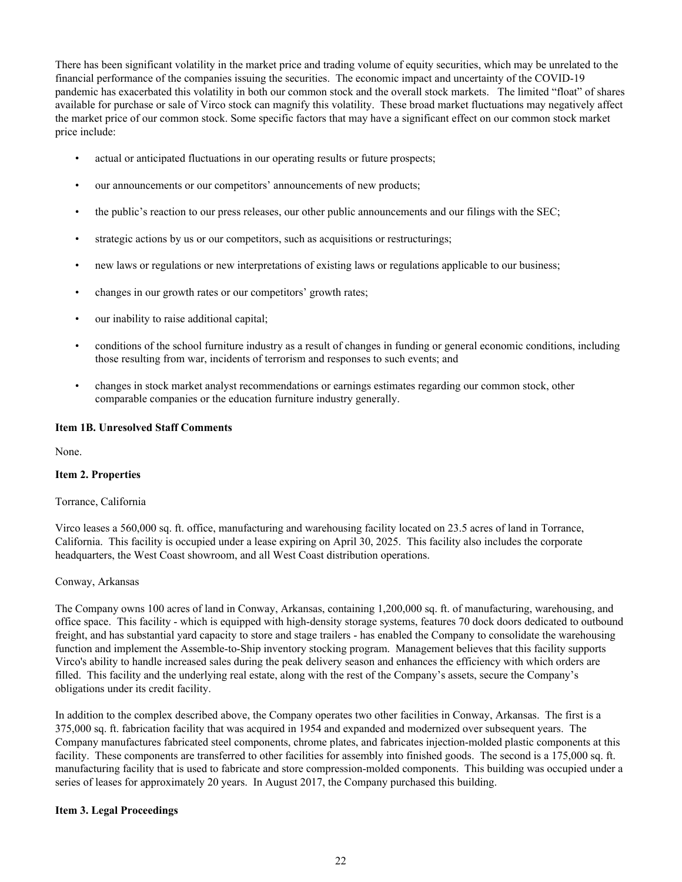<span id="page-22-0"></span>There has been significant volatility in the market price and trading volume of equity securities, which may be unrelated to the financial performance of the companies issuing the securities. The economic impact and uncertainty of the COVID-19 pandemic has exacerbated this volatility in both our common stock and the overall stock markets. The limited "float" of shares available for purchase or sale of Virco stock can magnify this volatility. These broad market fluctuations may negatively affect the market price of our common stock. Some specific factors that may have a significant effect on our common stock market price include:

- actual or anticipated fluctuations in our operating results or future prospects;
- our announcements or our competitors' announcements of new products;
- the public's reaction to our press releases, our other public announcements and our filings with the SEC;
- strategic actions by us or our competitors, such as acquisitions or restructurings;
- new laws or regulations or new interpretations of existing laws or regulations applicable to our business;
- changes in our growth rates or our competitors' growth rates;
- our inability to raise additional capital;
- conditions of the school furniture industry as a result of changes in funding or general economic conditions, including those resulting from war, incidents of terrorism and responses to such events; and
- changes in stock market analyst recommendations or earnings estimates regarding our common stock, other comparable companies or the education furniture industry generally.

# **Item 1B. Unresolved Staff Comments**

None.

# **Item 2. Properties**

# Torrance, California

Virco leases a 560,000 sq. ft. office, manufacturing and warehousing facility located on 23.5 acres of land in Torrance, California. This facility is occupied under a lease expiring on April 30, 2025. This facility also includes the corporate headquarters, the West Coast showroom, and all West Coast distribution operations.

# Conway, Arkansas

The Company owns 100 acres of land in Conway, Arkansas, containing 1,200,000 sq. ft. of manufacturing, warehousing, and office space. This facility - which is equipped with high-density storage systems, features 70 dock doors dedicated to outbound freight, and has substantial yard capacity to store and stage trailers - has enabled the Company to consolidate the warehousing function and implement the Assemble-to-Ship inventory stocking program. Management believes that this facility supports Virco's ability to handle increased sales during the peak delivery season and enhances the efficiency with which orders are filled. This facility and the underlying real estate, along with the rest of the Company's assets, secure the Company's obligations under its credit facility.

In addition to the complex described above, the Company operates two other facilities in Conway, Arkansas. The first is a 375,000 sq. ft. fabrication facility that was acquired in 1954 and expanded and modernized over subsequent years. The Company manufactures fabricated steel components, chrome plates, and fabricates injection-molded plastic components at this facility. These components are transferred to other facilities for assembly into finished goods. The second is a 175,000 sq. ft. manufacturing facility that is used to fabricate and store compression-molded components. This building was occupied under a series of leases for approximately 20 years. In August 2017, the Company purchased this building.

# **Item 3. Legal Proceedings**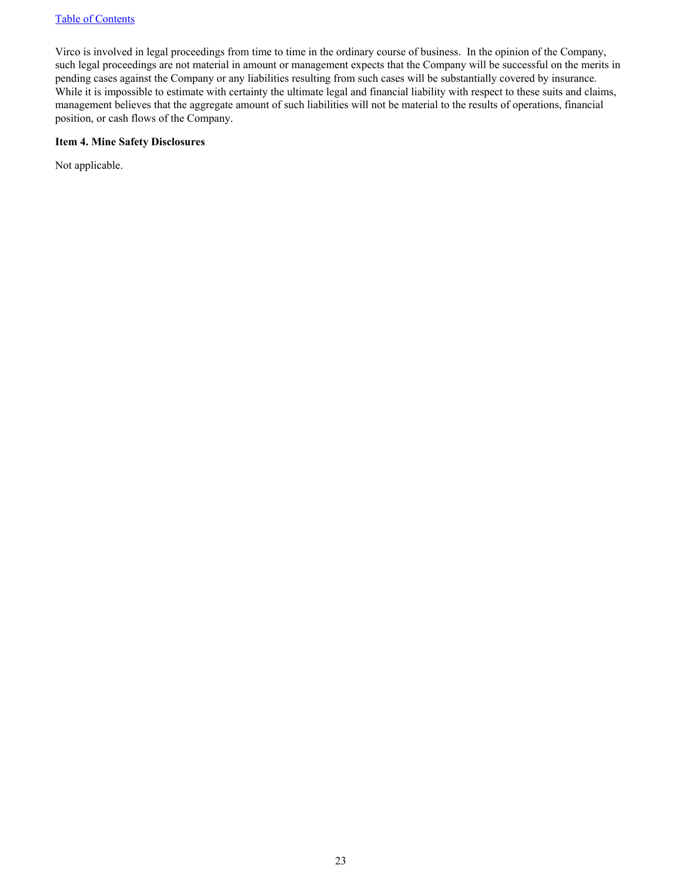<span id="page-23-0"></span>Virco is involved in legal proceedings from time to time in the ordinary course of business. In the opinion of the Company, such legal proceedings are not material in amount or management expects that the Company will be successful on the merits in pending cases against the Company or any liabilities resulting from such cases will be substantially covered by insurance. While it is impossible to estimate with certainty the ultimate legal and financial liability with respect to these suits and claims, management believes that the aggregate amount of such liabilities will not be material to the results of operations, financial position, or cash flows of the Company.

# **Item 4. Mine Safety Disclosures**

Not applicable.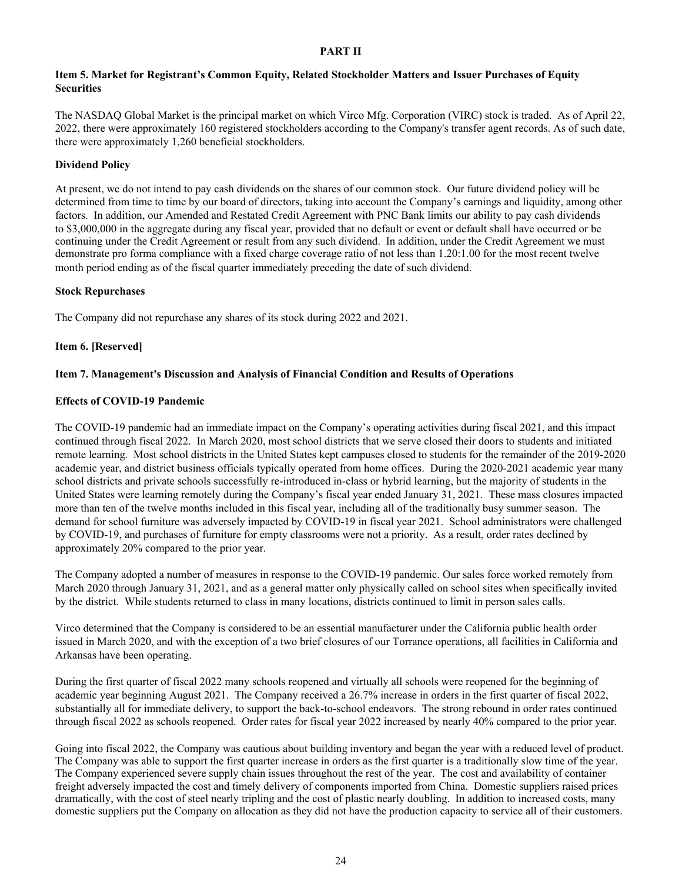#### **PART II**

# <span id="page-24-0"></span>**Item 5. Market for Registrant's Common Equity, Related Stockholder Matters and Issuer Purchases of Equity Securities**

The NASDAQ Global Market is the principal market on which Virco Mfg. Corporation (VIRC) stock is traded. As of April 22, 2022, there were approximately 160 registered stockholders according to the Company's transfer agent records. As of such date, there were approximately 1,260 beneficial stockholders.

# **Dividend Policy**

At present, we do not intend to pay cash dividends on the shares of our common stock. Our future dividend policy will be determined from time to time by our board of directors, taking into account the Company's earnings and liquidity, among other factors. In addition, our Amended and Restated Credit Agreement with PNC Bank limits our ability to pay cash dividends to \$3,000,000 in the aggregate during any fiscal year, provided that no default or event or default shall have occurred or be continuing under the Credit Agreement or result from any such dividend. In addition, under the Credit Agreement we must demonstrate pro forma compliance with a fixed charge coverage ratio of not less than 1.20:1.00 for the most recent twelve month period ending as of the fiscal quarter immediately preceding the date of such dividend.

# **Stock Repurchases**

The Company did not repurchase any shares of its stock during 2022 and 2021.

# **Item 6. [Reserved]**

# **Item 7. Management's Discussion and Analysis of Financial Condition and Results of Operations**

# **Effects of COVID-19 Pandemic**

The COVID-19 pandemic had an immediate impact on the Company's operating activities during fiscal 2021, and this impact continued through fiscal 2022. In March 2020, most school districts that we serve closed their doors to students and initiated remote learning. Most school districts in the United States kept campuses closed to students for the remainder of the 2019-2020 academic year, and district business officials typically operated from home offices. During the 2020-2021 academic year many school districts and private schools successfully re-introduced in-class or hybrid learning, but the majority of students in the United States were learning remotely during the Company's fiscal year ended January 31, 2021. These mass closures impacted more than ten of the twelve months included in this fiscal year, including all of the traditionally busy summer season. The demand for school furniture was adversely impacted by COVID-19 in fiscal year 2021. School administrators were challenged by COVID-19, and purchases of furniture for empty classrooms were not a priority. As a result, order rates declined by approximately 20% compared to the prior year.

The Company adopted a number of measures in response to the COVID-19 pandemic. Our sales force worked remotely from March 2020 through January 31, 2021, and as a general matter only physically called on school sites when specifically invited by the district. While students returned to class in many locations, districts continued to limit in person sales calls.

Virco determined that the Company is considered to be an essential manufacturer under the California public health order issued in March 2020, and with the exception of a two brief closures of our Torrance operations, all facilities in California and Arkansas have been operating.

During the first quarter of fiscal 2022 many schools reopened and virtually all schools were reopened for the beginning of academic year beginning August 2021. The Company received a 26.7% increase in orders in the first quarter of fiscal 2022, substantially all for immediate delivery, to support the back-to-school endeavors. The strong rebound in order rates continued through fiscal 2022 as schools reopened. Order rates for fiscal year 2022 increased by nearly 40% compared to the prior year.

Going into fiscal 2022, the Company was cautious about building inventory and began the year with a reduced level of product. The Company was able to support the first quarter increase in orders as the first quarter is a traditionally slow time of the year. The Company experienced severe supply chain issues throughout the rest of the year. The cost and availability of container freight adversely impacted the cost and timely delivery of components imported from China. Domestic suppliers raised prices dramatically, with the cost of steel nearly tripling and the cost of plastic nearly doubling. In addition to increased costs, many domestic suppliers put the Company on allocation as they did not have the production capacity to service all of their customers.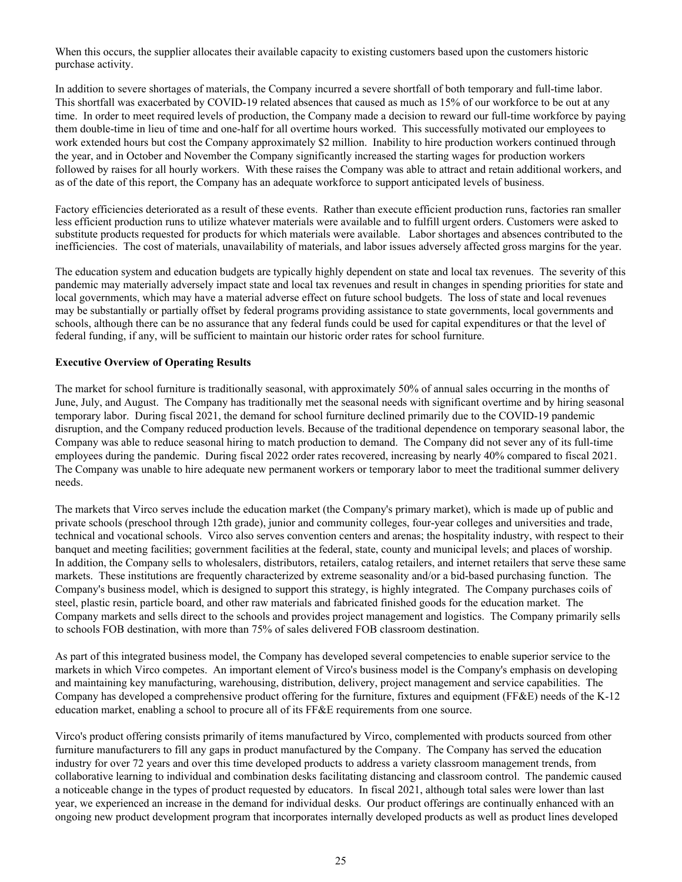When this occurs, the supplier allocates their available capacity to existing customers based upon the customers historic purchase activity.

In addition to severe shortages of materials, the Company incurred a severe shortfall of both temporary and full-time labor. This shortfall was exacerbated by COVID-19 related absences that caused as much as 15% of our workforce to be out at any time. In order to meet required levels of production, the Company made a decision to reward our full-time workforce by paying them double-time in lieu of time and one-half for all overtime hours worked. This successfully motivated our employees to work extended hours but cost the Company approximately \$2 million. Inability to hire production workers continued through the year, and in October and November the Company significantly increased the starting wages for production workers followed by raises for all hourly workers. With these raises the Company was able to attract and retain additional workers, and as of the date of this report, the Company has an adequate workforce to support anticipated levels of business.

Factory efficiencies deteriorated as a result of these events. Rather than execute efficient production runs, factories ran smaller less efficient production runs to utilize whatever materials were available and to fulfill urgent orders. Customers were asked to substitute products requested for products for which materials were available. Labor shortages and absences contributed to the inefficiencies. The cost of materials, unavailability of materials, and labor issues adversely affected gross margins for the year.

The education system and education budgets are typically highly dependent on state and local tax revenues. The severity of this pandemic may materially adversely impact state and local tax revenues and result in changes in spending priorities for state and local governments, which may have a material adverse effect on future school budgets. The loss of state and local revenues may be substantially or partially offset by federal programs providing assistance to state governments, local governments and schools, although there can be no assurance that any federal funds could be used for capital expenditures or that the level of federal funding, if any, will be sufficient to maintain our historic order rates for school furniture.

# **Executive Overview of Operating Results**

The market for school furniture is traditionally seasonal, with approximately 50% of annual sales occurring in the months of June, July, and August. The Company has traditionally met the seasonal needs with significant overtime and by hiring seasonal temporary labor. During fiscal 2021, the demand for school furniture declined primarily due to the COVID-19 pandemic disruption, and the Company reduced production levels. Because of the traditional dependence on temporary seasonal labor, the Company was able to reduce seasonal hiring to match production to demand. The Company did not sever any of its full-time employees during the pandemic. During fiscal 2022 order rates recovered, increasing by nearly 40% compared to fiscal 2021. The Company was unable to hire adequate new permanent workers or temporary labor to meet the traditional summer delivery needs.

The markets that Virco serves include the education market (the Company's primary market), which is made up of public and private schools (preschool through 12th grade), junior and community colleges, four-year colleges and universities and trade, technical and vocational schools. Virco also serves convention centers and arenas; the hospitality industry, with respect to their banquet and meeting facilities; government facilities at the federal, state, county and municipal levels; and places of worship. In addition, the Company sells to wholesalers, distributors, retailers, catalog retailers, and internet retailers that serve these same markets. These institutions are frequently characterized by extreme seasonality and/or a bid-based purchasing function. The Company's business model, which is designed to support this strategy, is highly integrated. The Company purchases coils of steel, plastic resin, particle board, and other raw materials and fabricated finished goods for the education market. The Company markets and sells direct to the schools and provides project management and logistics. The Company primarily sells to schools FOB destination, with more than 75% of sales delivered FOB classroom destination.

As part of this integrated business model, the Company has developed several competencies to enable superior service to the markets in which Virco competes. An important element of Virco's business model is the Company's emphasis on developing and maintaining key manufacturing, warehousing, distribution, delivery, project management and service capabilities. The Company has developed a comprehensive product offering for the furniture, fixtures and equipment (FF&E) needs of the K-12 education market, enabling a school to procure all of its FF&E requirements from one source.

Virco's product offering consists primarily of items manufactured by Virco, complemented with products sourced from other furniture manufacturers to fill any gaps in product manufactured by the Company. The Company has served the education industry for over 72 years and over this time developed products to address a variety classroom management trends, from collaborative learning to individual and combination desks facilitating distancing and classroom control. The pandemic caused a noticeable change in the types of product requested by educators. In fiscal 2021, although total sales were lower than last year, we experienced an increase in the demand for individual desks. Our product offerings are continually enhanced with an ongoing new product development program that incorporates internally developed products as well as product lines developed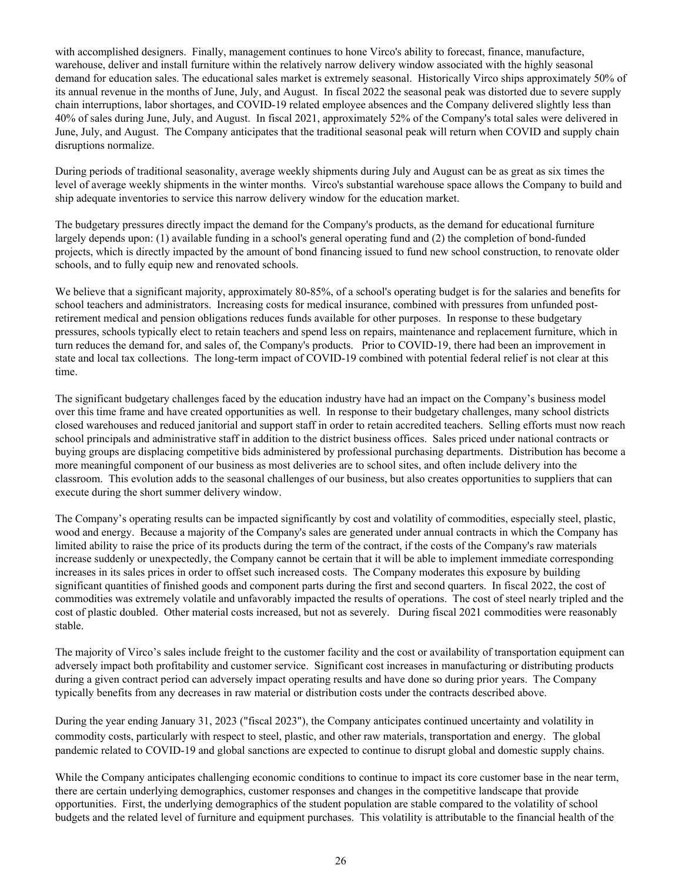with accomplished designers. Finally, management continues to hone Virco's ability to forecast, finance, manufacture, warehouse, deliver and install furniture within the relatively narrow delivery window associated with the highly seasonal demand for education sales. The educational sales market is extremely seasonal. Historically Virco ships approximately 50% of its annual revenue in the months of June, July, and August. In fiscal 2022 the seasonal peak was distorted due to severe supply chain interruptions, labor shortages, and COVID-19 related employee absences and the Company delivered slightly less than 40% of sales during June, July, and August. In fiscal 2021, approximately 52% of the Company's total sales were delivered in June, July, and August. The Company anticipates that the traditional seasonal peak will return when COVID and supply chain disruptions normalize.

During periods of traditional seasonality, average weekly shipments during July and August can be as great as six times the level of average weekly shipments in the winter months. Virco's substantial warehouse space allows the Company to build and ship adequate inventories to service this narrow delivery window for the education market.

The budgetary pressures directly impact the demand for the Company's products, as the demand for educational furniture largely depends upon: (1) available funding in a school's general operating fund and (2) the completion of bond-funded projects, which is directly impacted by the amount of bond financing issued to fund new school construction, to renovate older schools, and to fully equip new and renovated schools.

We believe that a significant majority, approximately 80-85%, of a school's operating budget is for the salaries and benefits for school teachers and administrators. Increasing costs for medical insurance, combined with pressures from unfunded postretirement medical and pension obligations reduces funds available for other purposes. In response to these budgetary pressures, schools typically elect to retain teachers and spend less on repairs, maintenance and replacement furniture, which in turn reduces the demand for, and sales of, the Company's products. Prior to COVID-19, there had been an improvement in state and local tax collections. The long-term impact of COVID-19 combined with potential federal relief is not clear at this time.

The significant budgetary challenges faced by the education industry have had an impact on the Company's business model over this time frame and have created opportunities as well. In response to their budgetary challenges, many school districts closed warehouses and reduced janitorial and support staff in order to retain accredited teachers. Selling efforts must now reach school principals and administrative staff in addition to the district business offices. Sales priced under national contracts or buying groups are displacing competitive bids administered by professional purchasing departments. Distribution has become a more meaningful component of our business as most deliveries are to school sites, and often include delivery into the classroom. This evolution adds to the seasonal challenges of our business, but also creates opportunities to suppliers that can execute during the short summer delivery window.

The Company's operating results can be impacted significantly by cost and volatility of commodities, especially steel, plastic, wood and energy. Because a majority of the Company's sales are generated under annual contracts in which the Company has limited ability to raise the price of its products during the term of the contract, if the costs of the Company's raw materials increase suddenly or unexpectedly, the Company cannot be certain that it will be able to implement immediate corresponding increases in its sales prices in order to offset such increased costs. The Company moderates this exposure by building significant quantities of finished goods and component parts during the first and second quarters. In fiscal 2022, the cost of commodities was extremely volatile and unfavorably impacted the results of operations. The cost of steel nearly tripled and the cost of plastic doubled. Other material costs increased, but not as severely. During fiscal 2021 commodities were reasonably stable.

The majority of Virco's sales include freight to the customer facility and the cost or availability of transportation equipment can adversely impact both profitability and customer service. Significant cost increases in manufacturing or distributing products during a given contract period can adversely impact operating results and have done so during prior years. The Company typically benefits from any decreases in raw material or distribution costs under the contracts described above.

During the year ending January 31, 2023 ("fiscal 2023"), the Company anticipates continued uncertainty and volatility in commodity costs, particularly with respect to steel, plastic, and other raw materials, transportation and energy. The global pandemic related to COVID-19 and global sanctions are expected to continue to disrupt global and domestic supply chains.

While the Company anticipates challenging economic conditions to continue to impact its core customer base in the near term, there are certain underlying demographics, customer responses and changes in the competitive landscape that provide opportunities. First, the underlying demographics of the student population are stable compared to the volatility of school budgets and the related level of furniture and equipment purchases. This volatility is attributable to the financial health of the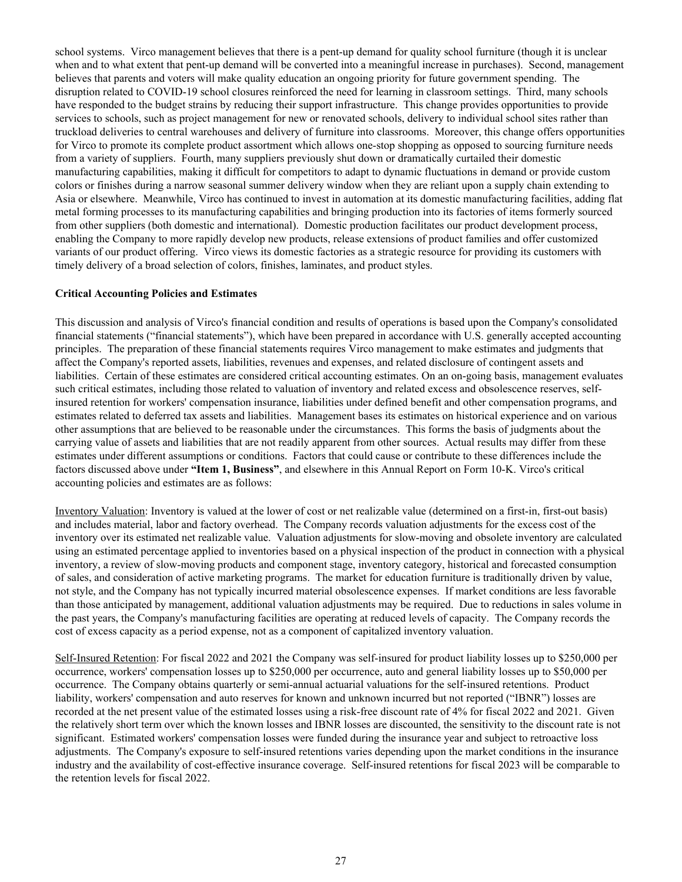school systems. Virco management believes that there is a pent-up demand for quality school furniture (though it is unclear when and to what extent that pent-up demand will be converted into a meaningful increase in purchases). Second, management believes that parents and voters will make quality education an ongoing priority for future government spending. The disruption related to COVID-19 school closures reinforced the need for learning in classroom settings. Third, many schools have responded to the budget strains by reducing their support infrastructure. This change provides opportunities to provide services to schools, such as project management for new or renovated schools, delivery to individual school sites rather than truckload deliveries to central warehouses and delivery of furniture into classrooms. Moreover, this change offers opportunities for Virco to promote its complete product assortment which allows one-stop shopping as opposed to sourcing furniture needs from a variety of suppliers. Fourth, many suppliers previously shut down or dramatically curtailed their domestic manufacturing capabilities, making it difficult for competitors to adapt to dynamic fluctuations in demand or provide custom colors or finishes during a narrow seasonal summer delivery window when they are reliant upon a supply chain extending to Asia or elsewhere. Meanwhile, Virco has continued to invest in automation at its domestic manufacturing facilities, adding flat metal forming processes to its manufacturing capabilities and bringing production into its factories of items formerly sourced from other suppliers (both domestic and international). Domestic production facilitates our product development process, enabling the Company to more rapidly develop new products, release extensions of product families and offer customized variants of our product offering. Virco views its domestic factories as a strategic resource for providing its customers with timely delivery of a broad selection of colors, finishes, laminates, and product styles.

# **Critical Accounting Policies and Estimates**

This discussion and analysis of Virco's financial condition and results of operations is based upon the Company's consolidated financial statements ("financial statements"), which have been prepared in accordance with U.S. generally accepted accounting principles. The preparation of these financial statements requires Virco management to make estimates and judgments that affect the Company's reported assets, liabilities, revenues and expenses, and related disclosure of contingent assets and liabilities. Certain of these estimates are considered critical accounting estimates. On an on-going basis, management evaluates such critical estimates, including those related to valuation of inventory and related excess and obsolescence reserves, selfinsured retention for workers' compensation insurance, liabilities under defined benefit and other compensation programs, and estimates related to deferred tax assets and liabilities. Management bases its estimates on historical experience and on various other assumptions that are believed to be reasonable under the circumstances. This forms the basis of judgments about the carrying value of assets and liabilities that are not readily apparent from other sources. Actual results may differ from these estimates under different assumptions or conditions. Factors that could cause or contribute to these differences include the factors discussed above under **"Item 1, Business"**, and elsewhere in this Annual Report on Form 10-K. Virco's critical accounting policies and estimates are as follows:

Inventory Valuation: Inventory is valued at the lower of cost or net realizable value (determined on a first-in, first-out basis) and includes material, labor and factory overhead. The Company records valuation adjustments for the excess cost of the inventory over its estimated net realizable value. Valuation adjustments for slow-moving and obsolete inventory are calculated using an estimated percentage applied to inventories based on a physical inspection of the product in connection with a physical inventory, a review of slow-moving products and component stage, inventory category, historical and forecasted consumption of sales, and consideration of active marketing programs. The market for education furniture is traditionally driven by value, not style, and the Company has not typically incurred material obsolescence expenses. If market conditions are less favorable than those anticipated by management, additional valuation adjustments may be required. Due to reductions in sales volume in the past years, the Company's manufacturing facilities are operating at reduced levels of capacity. The Company records the cost of excess capacity as a period expense, not as a component of capitalized inventory valuation.

Self-Insured Retention: For fiscal 2022 and 2021 the Company was self-insured for product liability losses up to \$250,000 per occurrence, workers' compensation losses up to \$250,000 per occurrence, auto and general liability losses up to \$50,000 per occurrence. The Company obtains quarterly or semi-annual actuarial valuations for the self-insured retentions. Product liability, workers' compensation and auto reserves for known and unknown incurred but not reported ("IBNR") losses are recorded at the net present value of the estimated losses using a risk-free discount rate of 4% for fiscal 2022 and 2021. Given the relatively short term over which the known losses and IBNR losses are discounted, the sensitivity to the discount rate is not significant. Estimated workers' compensation losses were funded during the insurance year and subject to retroactive loss adjustments. The Company's exposure to self-insured retentions varies depending upon the market conditions in the insurance industry and the availability of cost-effective insurance coverage. Self-insured retentions for fiscal 2023 will be comparable to the retention levels for fiscal 2022.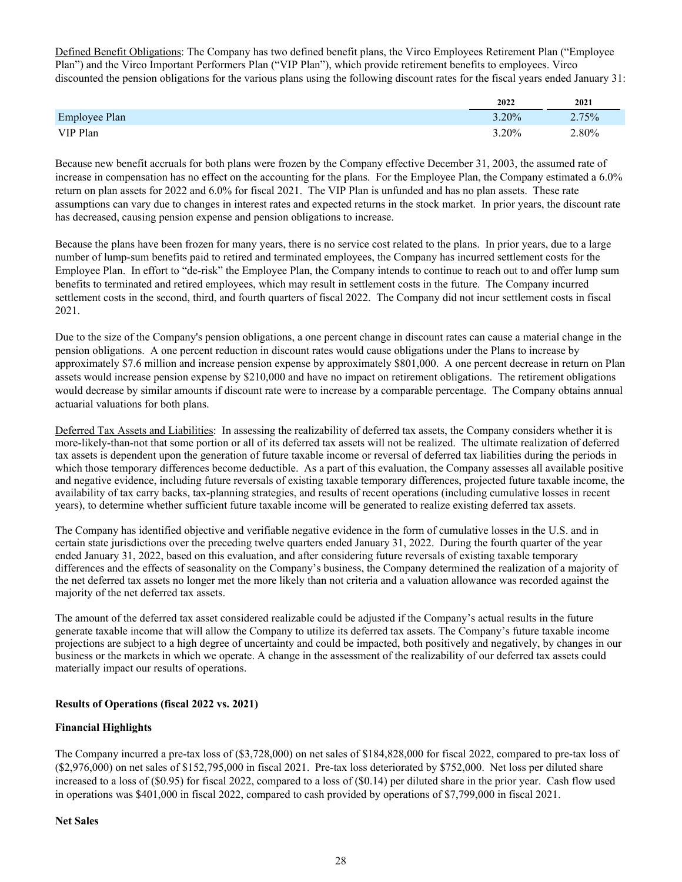Defined Benefit Obligations: The Company has two defined benefit plans, the Virco Employees Retirement Plan ("Employee Plan") and the Virco Important Performers Plan ("VIP Plan"), which provide retirement benefits to employees. Virco discounted the pension obligations for the various plans using the following discount rates for the fiscal years ended January 31:

|                      | 2022     | 2021  |
|----------------------|----------|-------|
| <b>Employee Plan</b> | $3.20\%$ | 2.75% |
| VIP Plan             | 3.20%    | 2.80% |

Because new benefit accruals for both plans were frozen by the Company effective December 31, 2003, the assumed rate of increase in compensation has no effect on the accounting for the plans. For the Employee Plan, the Company estimated a 6.0% return on plan assets for 2022 and 6.0% for fiscal 2021. The VIP Plan is unfunded and has no plan assets. These rate assumptions can vary due to changes in interest rates and expected returns in the stock market. In prior years, the discount rate has decreased, causing pension expense and pension obligations to increase.

Because the plans have been frozen for many years, there is no service cost related to the plans. In prior years, due to a large number of lump-sum benefits paid to retired and terminated employees, the Company has incurred settlement costs for the Employee Plan. In effort to "de-risk" the Employee Plan, the Company intends to continue to reach out to and offer lump sum benefits to terminated and retired employees, which may result in settlement costs in the future. The Company incurred settlement costs in the second, third, and fourth quarters of fiscal 2022. The Company did not incur settlement costs in fiscal 2021.

Due to the size of the Company's pension obligations, a one percent change in discount rates can cause a material change in the pension obligations. A one percent reduction in discount rates would cause obligations under the Plans to increase by approximately \$7.6 million and increase pension expense by approximately \$801,000. A one percent decrease in return on Plan assets would increase pension expense by \$210,000 and have no impact on retirement obligations. The retirement obligations would decrease by similar amounts if discount rate were to increase by a comparable percentage. The Company obtains annual actuarial valuations for both plans.

Deferred Tax Assets and Liabilities: In assessing the realizability of deferred tax assets, the Company considers whether it is more-likely-than-not that some portion or all of its deferred tax assets will not be realized. The ultimate realization of deferred tax assets is dependent upon the generation of future taxable income or reversal of deferred tax liabilities during the periods in which those temporary differences become deductible. As a part of this evaluation, the Company assesses all available positive and negative evidence, including future reversals of existing taxable temporary differences, projected future taxable income, the availability of tax carry backs, tax-planning strategies, and results of recent operations (including cumulative losses in recent years), to determine whether sufficient future taxable income will be generated to realize existing deferred tax assets.

The Company has identified objective and verifiable negative evidence in the form of cumulative losses in the U.S. and in certain state jurisdictions over the preceding twelve quarters ended January 31, 2022. During the fourth quarter of the year ended January 31, 2022, based on this evaluation, and after considering future reversals of existing taxable temporary differences and the effects of seasonality on the Company's business, the Company determined the realization of a majority of the net deferred tax assets no longer met the more likely than not criteria and a valuation allowance was recorded against the majority of the net deferred tax assets.

The amount of the deferred tax asset considered realizable could be adjusted if the Company's actual results in the future generate taxable income that will allow the Company to utilize its deferred tax assets. The Company's future taxable income projections are subject to a high degree of uncertainty and could be impacted, both positively and negatively, by changes in our business or the markets in which we operate. A change in the assessment of the realizability of our deferred tax assets could materially impact our results of operations.

# **Results of Operations (fiscal 2022 vs. 2021)**

# **Financial Highlights**

The Company incurred a pre-tax loss of (\$3,728,000) on net sales of \$184,828,000 for fiscal 2022, compared to pre-tax loss of (\$2,976,000) on net sales of \$152,795,000 in fiscal 2021. Pre-tax loss deteriorated by \$752,000. Net loss per diluted share increased to a loss of (\$0.95) for fiscal 2022, compared to a loss of (\$0.14) per diluted share in the prior year. Cash flow used in operations was \$401,000 in fiscal 2022, compared to cash provided by operations of \$7,799,000 in fiscal 2021.

#### **Net Sales**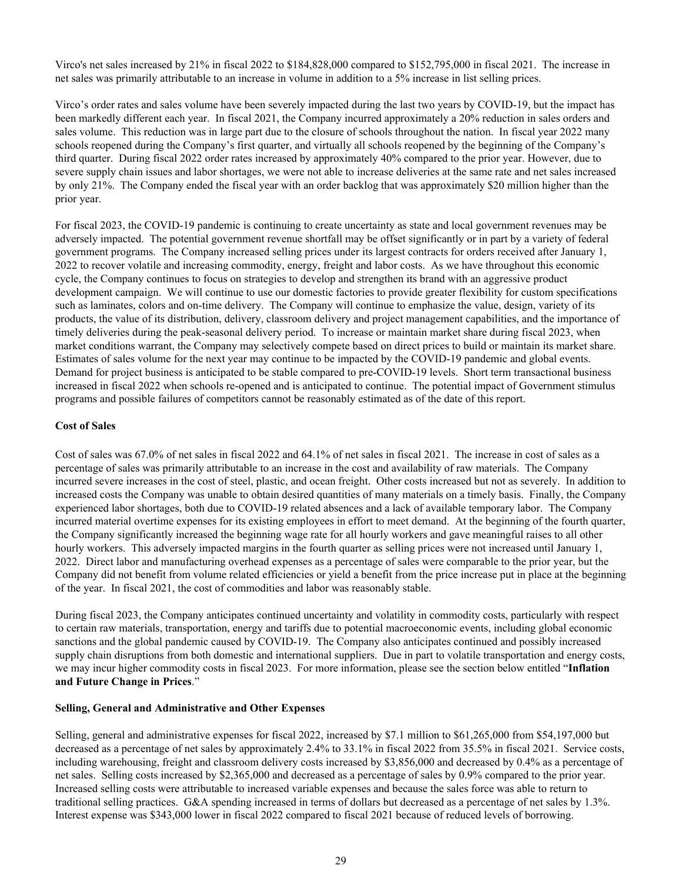Virco's net sales increased by 21% in fiscal 2022 to \$184,828,000 compared to \$152,795,000 in fiscal 2021. The increase in net sales was primarily attributable to an increase in volume in addition to a 5% increase in list selling prices.

Virco's order rates and sales volume have been severely impacted during the last two years by COVID-19, but the impact has been markedly different each year. In fiscal 2021, the Company incurred approximately a 20% reduction in sales orders and sales volume. This reduction was in large part due to the closure of schools throughout the nation. In fiscal year 2022 many schools reopened during the Company's first quarter, and virtually all schools reopened by the beginning of the Company's third quarter. During fiscal 2022 order rates increased by approximately 40% compared to the prior year. However, due to severe supply chain issues and labor shortages, we were not able to increase deliveries at the same rate and net sales increased by only 21%. The Company ended the fiscal year with an order backlog that was approximately \$20 million higher than the prior year.

For fiscal 2023, the COVID-19 pandemic is continuing to create uncertainty as state and local government revenues may be adversely impacted. The potential government revenue shortfall may be offset significantly or in part by a variety of federal government programs. The Company increased selling prices under its largest contracts for orders received after January 1, 2022 to recover volatile and increasing commodity, energy, freight and labor costs. As we have throughout this economic cycle, the Company continues to focus on strategies to develop and strengthen its brand with an aggressive product development campaign. We will continue to use our domestic factories to provide greater flexibility for custom specifications such as laminates, colors and on-time delivery. The Company will continue to emphasize the value, design, variety of its products, the value of its distribution, delivery, classroom delivery and project management capabilities, and the importance of timely deliveries during the peak-seasonal delivery period. To increase or maintain market share during fiscal 2023, when market conditions warrant, the Company may selectively compete based on direct prices to build or maintain its market share. Estimates of sales volume for the next year may continue to be impacted by the COVID-19 pandemic and global events. Demand for project business is anticipated to be stable compared to pre-COVID-19 levels. Short term transactional business increased in fiscal 2022 when schools re-opened and is anticipated to continue. The potential impact of Government stimulus programs and possible failures of competitors cannot be reasonably estimated as of the date of this report.

# **Cost of Sales**

Cost of sales was 67.0% of net sales in fiscal 2022 and 64.1% of net sales in fiscal 2021. The increase in cost of sales as a percentage of sales was primarily attributable to an increase in the cost and availability of raw materials. The Company incurred severe increases in the cost of steel, plastic, and ocean freight. Other costs increased but not as severely. In addition to increased costs the Company was unable to obtain desired quantities of many materials on a timely basis. Finally, the Company experienced labor shortages, both due to COVID-19 related absences and a lack of available temporary labor. The Company incurred material overtime expenses for its existing employees in effort to meet demand. At the beginning of the fourth quarter, the Company significantly increased the beginning wage rate for all hourly workers and gave meaningful raises to all other hourly workers. This adversely impacted margins in the fourth quarter as selling prices were not increased until January 1, 2022. Direct labor and manufacturing overhead expenses as a percentage of sales were comparable to the prior year, but the Company did not benefit from volume related efficiencies or yield a benefit from the price increase put in place at the beginning of the year. In fiscal 2021, the cost of commodities and labor was reasonably stable.

During fiscal 2023, the Company anticipates continued uncertainty and volatility in commodity costs, particularly with respect to certain raw materials, transportation, energy and tariffs due to potential macroeconomic events, including global economic sanctions and the global pandemic caused by COVID-19. The Company also anticipates continued and possibly increased supply chain disruptions from both domestic and international suppliers. Due in part to volatile transportation and energy costs, we may incur higher commodity costs in fiscal 2023. For more information, please see the section below entitled "**Inflation and Future Change in Prices**."

#### **Selling, General and Administrative and Other Expenses**

Selling, general and administrative expenses for fiscal 2022, increased by \$7.1 million to \$61,265,000 from \$54,197,000 but decreased as a percentage of net sales by approximately 2.4% to 33.1% in fiscal 2022 from 35.5% in fiscal 2021. Service costs, including warehousing, freight and classroom delivery costs increased by \$3,856,000 and decreased by 0.4% as a percentage of net sales. Selling costs increased by \$2,365,000 and decreased as a percentage of sales by 0.9% compared to the prior year. Increased selling costs were attributable to increased variable expenses and because the sales force was able to return to traditional selling practices. G&A spending increased in terms of dollars but decreased as a percentage of net sales by 1.3%. Interest expense was \$343,000 lower in fiscal 2022 compared to fiscal 2021 because of reduced levels of borrowing.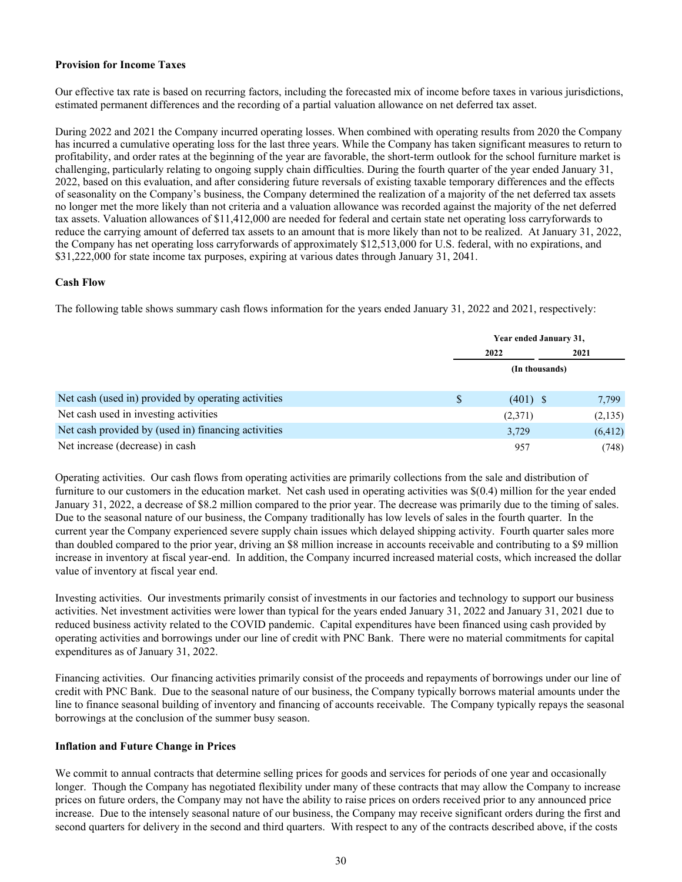# **Provision for Income Taxes**

Our effective tax rate is based on recurring factors, including the forecasted mix of income before taxes in various jurisdictions, estimated permanent differences and the recording of a partial valuation allowance on net deferred tax asset.

During 2022 and 2021 the Company incurred operating losses. When combined with operating results from 2020 the Company has incurred a cumulative operating loss for the last three years. While the Company has taken significant measures to return to profitability, and order rates at the beginning of the year are favorable, the short-term outlook for the school furniture market is challenging, particularly relating to ongoing supply chain difficulties. During the fourth quarter of the year ended January 31, 2022, based on this evaluation, and after considering future reversals of existing taxable temporary differences and the effects of seasonality on the Company's business, the Company determined the realization of a majority of the net deferred tax assets no longer met the more likely than not criteria and a valuation allowance was recorded against the majority of the net deferred tax assets. Valuation allowances of \$11,412,000 are needed for federal and certain state net operating loss carryforwards to reduce the carrying amount of deferred tax assets to an amount that is more likely than not to be realized. At January 31, 2022, the Company has net operating loss carryforwards of approximately \$12,513,000 for U.S. federal, with no expirations, and \$31,222,000 for state income tax purposes, expiring at various dates through January 31, 2041.

# **Cash Flow**

The following table shows summary cash flows information for the years ended January 31, 2022 and 2021, respectively:

|                                                     | Year ended January 31, |  |                  |  |
|-----------------------------------------------------|------------------------|--|------------------|--|
|                                                     | 2022                   |  | 2021             |  |
|                                                     | (In thousands)         |  |                  |  |
| Net cash (used in) provided by operating activities |                        |  |                  |  |
| Net cash used in investing activities               | $(401)$ \$<br>(2,371)  |  | 7,799<br>(2,135) |  |
| Net cash provided by (used in) financing activities | 3,729                  |  | (6, 412)         |  |
| Net increase (decrease) in cash                     | 957                    |  | (748)            |  |

Operating activities. Our cash flows from operating activities are primarily collections from the sale and distribution of furniture to our customers in the education market. Net cash used in operating activities was \$(0.4) million for the year ended January 31, 2022, a decrease of \$8.2 million compared to the prior year. The decrease was primarily due to the timing of sales. Due to the seasonal nature of our business, the Company traditionally has low levels of sales in the fourth quarter. In the current year the Company experienced severe supply chain issues which delayed shipping activity. Fourth quarter sales more than doubled compared to the prior year, driving an \$8 million increase in accounts receivable and contributing to a \$9 million increase in inventory at fiscal year-end. In addition, the Company incurred increased material costs, which increased the dollar value of inventory at fiscal year end.

Investing activities. Our investments primarily consist of investments in our factories and technology to support our business activities. Net investment activities were lower than typical for the years ended January 31, 2022 and January 31, 2021 due to reduced business activity related to the COVID pandemic. Capital expenditures have been financed using cash provided by operating activities and borrowings under our line of credit with PNC Bank. There were no material commitments for capital expenditures as of January 31, 2022.

Financing activities. Our financing activities primarily consist of the proceeds and repayments of borrowings under our line of credit with PNC Bank. Due to the seasonal nature of our business, the Company typically borrows material amounts under the line to finance seasonal building of inventory and financing of accounts receivable. The Company typically repays the seasonal borrowings at the conclusion of the summer busy season.

#### **Inflation and Future Change in Prices**

We commit to annual contracts that determine selling prices for goods and services for periods of one year and occasionally longer. Though the Company has negotiated flexibility under many of these contracts that may allow the Company to increase prices on future orders, the Company may not have the ability to raise prices on orders received prior to any announced price increase. Due to the intensely seasonal nature of our business, the Company may receive significant orders during the first and second quarters for delivery in the second and third quarters. With respect to any of the contracts described above, if the costs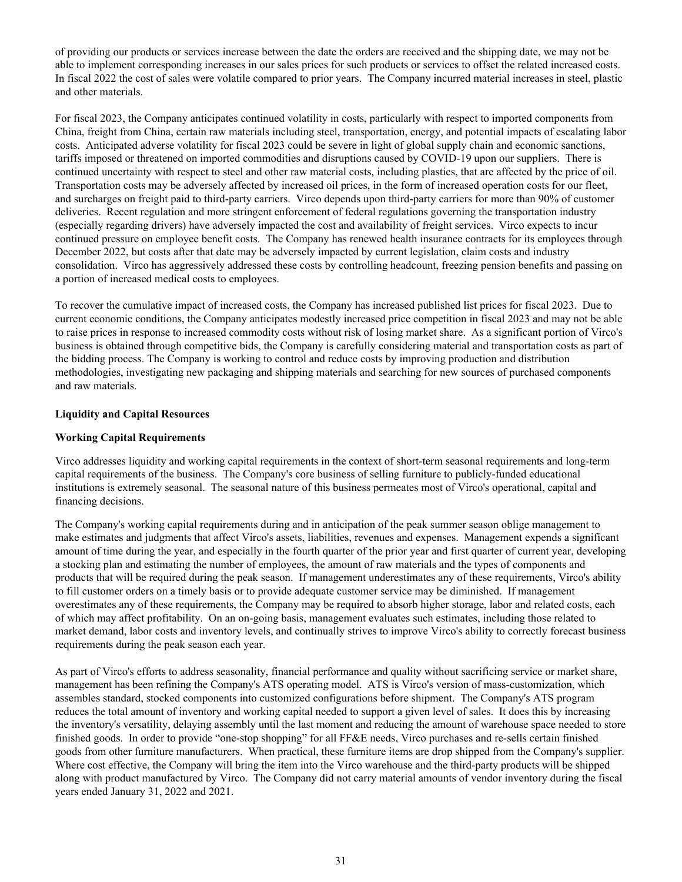of providing our products or services increase between the date the orders are received and the shipping date, we may not be able to implement corresponding increases in our sales prices for such products or services to offset the related increased costs. In fiscal 2022 the cost of sales were volatile compared to prior years. The Company incurred material increases in steel, plastic and other materials.

For fiscal 2023, the Company anticipates continued volatility in costs, particularly with respect to imported components from China, freight from China, certain raw materials including steel, transportation, energy, and potential impacts of escalating labor costs. Anticipated adverse volatility for fiscal 2023 could be severe in light of global supply chain and economic sanctions, tariffs imposed or threatened on imported commodities and disruptions caused by COVID-19 upon our suppliers. There is continued uncertainty with respect to steel and other raw material costs, including plastics, that are affected by the price of oil. Transportation costs may be adversely affected by increased oil prices, in the form of increased operation costs for our fleet, and surcharges on freight paid to third-party carriers. Virco depends upon third-party carriers for more than 90% of customer deliveries. Recent regulation and more stringent enforcement of federal regulations governing the transportation industry (especially regarding drivers) have adversely impacted the cost and availability of freight services. Virco expects to incur continued pressure on employee benefit costs. The Company has renewed health insurance contracts for its employees through December 2022, but costs after that date may be adversely impacted by current legislation, claim costs and industry consolidation. Virco has aggressively addressed these costs by controlling headcount, freezing pension benefits and passing on a portion of increased medical costs to employees.

To recover the cumulative impact of increased costs, the Company has increased published list prices for fiscal 2023. Due to current economic conditions, the Company anticipates modestly increased price competition in fiscal 2023 and may not be able to raise prices in response to increased commodity costs without risk of losing market share. As a significant portion of Virco's business is obtained through competitive bids, the Company is carefully considering material and transportation costs as part of the bidding process. The Company is working to control and reduce costs by improving production and distribution methodologies, investigating new packaging and shipping materials and searching for new sources of purchased components and raw materials.

# **Liquidity and Capital Resources**

# **Working Capital Requirements**

Virco addresses liquidity and working capital requirements in the context of short-term seasonal requirements and long-term capital requirements of the business. The Company's core business of selling furniture to publicly-funded educational institutions is extremely seasonal. The seasonal nature of this business permeates most of Virco's operational, capital and financing decisions.

The Company's working capital requirements during and in anticipation of the peak summer season oblige management to make estimates and judgments that affect Virco's assets, liabilities, revenues and expenses. Management expends a significant amount of time during the year, and especially in the fourth quarter of the prior year and first quarter of current year, developing a stocking plan and estimating the number of employees, the amount of raw materials and the types of components and products that will be required during the peak season. If management underestimates any of these requirements, Virco's ability to fill customer orders on a timely basis or to provide adequate customer service may be diminished. If management overestimates any of these requirements, the Company may be required to absorb higher storage, labor and related costs, each of which may affect profitability. On an on-going basis, management evaluates such estimates, including those related to market demand, labor costs and inventory levels, and continually strives to improve Virco's ability to correctly forecast business requirements during the peak season each year.

As part of Virco's efforts to address seasonality, financial performance and quality without sacrificing service or market share, management has been refining the Company's ATS operating model. ATS is Virco's version of mass-customization, which assembles standard, stocked components into customized configurations before shipment. The Company's ATS program reduces the total amount of inventory and working capital needed to support a given level of sales. It does this by increasing the inventory's versatility, delaying assembly until the last moment and reducing the amount of warehouse space needed to store finished goods. In order to provide "one-stop shopping" for all FF&E needs, Virco purchases and re-sells certain finished goods from other furniture manufacturers. When practical, these furniture items are drop shipped from the Company's supplier. Where cost effective, the Company will bring the item into the Virco warehouse and the third-party products will be shipped along with product manufactured by Virco. The Company did not carry material amounts of vendor inventory during the fiscal years ended January 31, 2022 and 2021.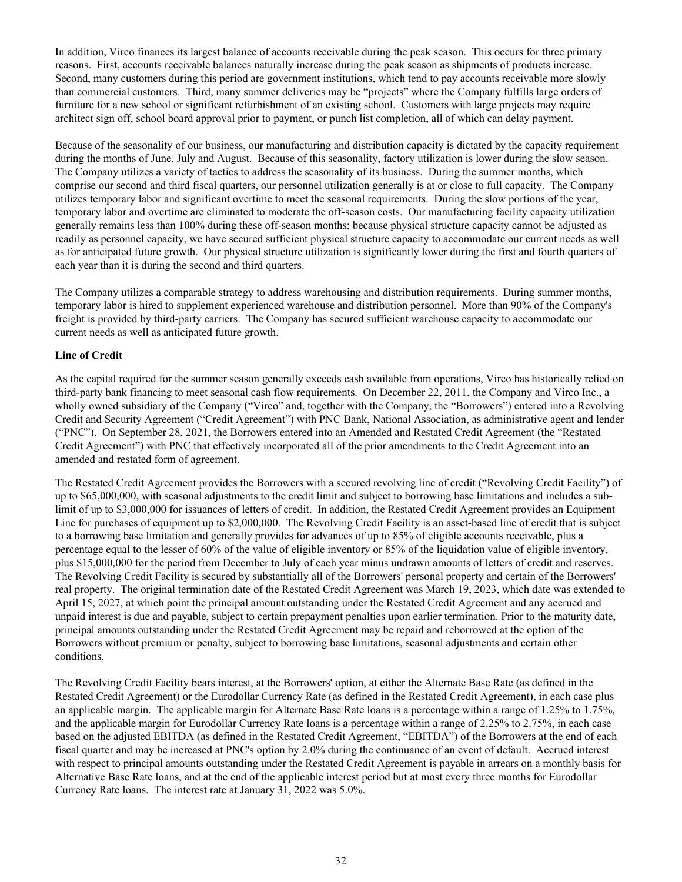In addition, Virco finances its largest balance of accounts receivable during the peak season. This occurs for three primary reasons. First, accounts receivable balances naturally increase during the peak season as shipments of products increase. Second, many customers during this period are government institutions, which tend to pay accounts receivable more slowly than commercial customers. Third, many summer deliveries may be "projects" where the Company fulfills large orders of furniture for a new school or significant refurbishment of an existing school. Customers with large projects may require architect sign off, school board approval prior to payment, or punch list completion, all of which can delay payment.

Because of the seasonality of our business, our manufacturing and distribution capacity is dictated by the capacity requirement during the months of June, July and August. Because of this seasonality, factory utilization is lower during the slow season. The Company utilizes a variety of tactics to address the seasonality of its business. During the summer months, which comprise our second and third fiscal quarters, our personnel utilization generally is at or close to full capacity. The Company utilizes temporary labor and significant overtime to meet the seasonal requirements. During the slow portions of the year, temporary labor and overtime are eliminated to moderate the off-season costs. Our manufacturing facility capacity utilization generally remains less than 100% during these off-season months; because physical structure capacity cannot be adjusted as readily as personnel capacity, we have secured sufficient physical structure capacity to accommodate our current needs as well as for anticipated future growth. Our physical structure utilization is significantly lower during the first and fourth quarters of each year than it is during the second and third quarters.

The Company utilizes a comparable strategy to address warehousing and distribution requirements. During summer months, temporary labor is hired to supplement experienced warehouse and distribution personnel. More than 90% of the Company's freight is provided by third-party carriers. The Company has secured sufficient warehouse capacity to accommodate our current needs as well as anticipated future growth.

# **Line of Credit**

As the capital required for the summer season generally exceeds cash available from operations, Virco has historically relied on third-party bank financing to meet seasonal cash flow requirements. On December 22, 2011, the Company and Virco Inc., a wholly owned subsidiary of the Company ("Virco" and, together with the Company, the "Borrowers") entered into a Revolving Credit and Security Agreement ("Credit Agreement") with PNC Bank, National Association, as administrative agent and lender ("PNC"). On September 28, 2021, the Borrowers entered into an Amended and Restated Credit Agreement (the "Restated Credit Agreement") with PNC that effectively incorporated all of the prior amendments to the Credit Agreement into an amended and restated form of agreement.

The Restated Credit Agreement provides the Borrowers with a secured revolving line of credit ("Revolving Credit Facility") of up to \$65,000,000, with seasonal adjustments to the credit limit and subject to borrowing base limitations and includes a sublimit of up to \$3,000,000 for issuances of letters of credit. In addition, the Restated Credit Agreement provides an Equipment Line for purchases of equipment up to \$2,000,000. The Revolving Credit Facility is an asset-based line of credit that is subject to a borrowing base limitation and generally provides for advances of up to 85% of eligible accounts receivable, plus a percentage equal to the lesser of 60% of the value of eligible inventory or 85% of the liquidation value of eligible inventory, plus \$15,000,000 for the period from December to July of each year minus undrawn amounts of letters of credit and reserves. The Revolving Credit Facility is secured by substantially all of the Borrowers' personal property and certain of the Borrowers' real property. The original termination date of the Restated Credit Agreement was March 19, 2023, which date was extended to April 15, 2027, at which point the principal amount outstanding under the Restated Credit Agreement and any accrued and unpaid interest is due and payable, subject to certain prepayment penalties upon earlier termination. Prior to the maturity date, principal amounts outstanding under the Restated Credit Agreement may be repaid and reborrowed at the option of the Borrowers without premium or penalty, subject to borrowing base limitations, seasonal adjustments and certain other conditions.

The Revolving Credit Facility bears interest, at the Borrowers' option, at either the Alternate Base Rate (as defined in the Restated Credit Agreement) or the Eurodollar Currency Rate (as defined in the Restated Credit Agreement), in each case plus an applicable margin. The applicable margin for Alternate Base Rate loans is a percentage within a range of 1.25% to 1.75%, and the applicable margin for Eurodollar Currency Rate loans is a percentage within a range of 2.25% to 2.75%, in each case based on the adjusted EBITDA (as defined in the Restated Credit Agreement, "EBITDA") of the Borrowers at the end of each fiscal quarter and may be increased at PNC's option by 2.0% during the continuance of an event of default. Accrued interest with respect to principal amounts outstanding under the Restated Credit Agreement is payable in arrears on a monthly basis for Alternative Base Rate loans, and at the end of the applicable interest period but at most every three months for Eurodollar Currency Rate loans. The interest rate at January 31, 2022 was 5.0%.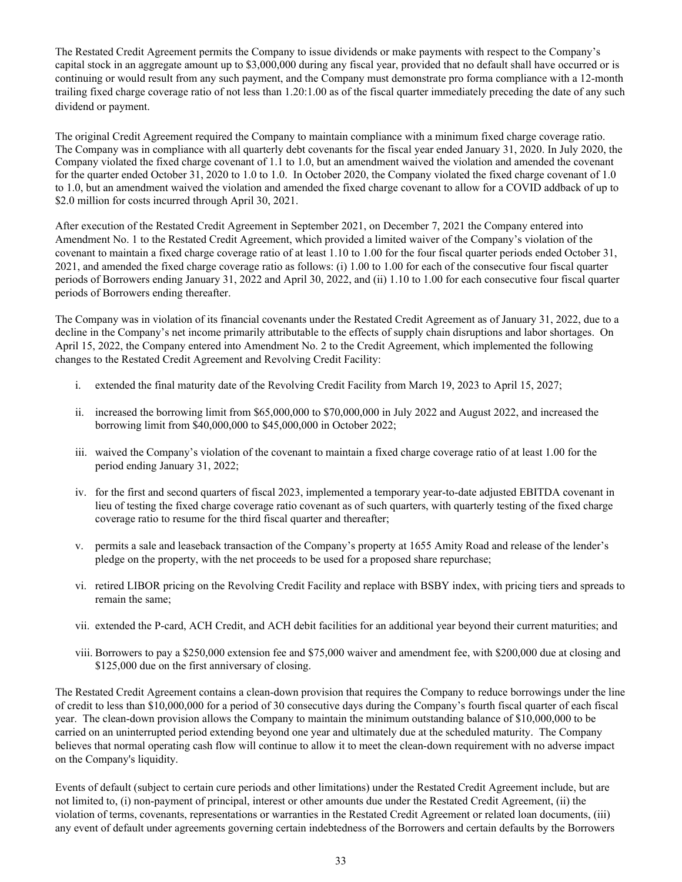The Restated Credit Agreement permits the Company to issue dividends or make payments with respect to the Company's capital stock in an aggregate amount up to \$3,000,000 during any fiscal year, provided that no default shall have occurred or is continuing or would result from any such payment, and the Company must demonstrate pro forma compliance with a 12-month trailing fixed charge coverage ratio of not less than 1.20:1.00 as of the fiscal quarter immediately preceding the date of any such dividend or payment.

The original Credit Agreement required the Company to maintain compliance with a minimum fixed charge coverage ratio. The Company was in compliance with all quarterly debt covenants for the fiscal year ended January 31, 2020. In July 2020, the Company violated the fixed charge covenant of 1.1 to 1.0, but an amendment waived the violation and amended the covenant for the quarter ended October 31, 2020 to 1.0 to 1.0. In October 2020, the Company violated the fixed charge covenant of 1.0 to 1.0, but an amendment waived the violation and amended the fixed charge covenant to allow for a COVID addback of up to \$2.0 million for costs incurred through April 30, 2021.

After execution of the Restated Credit Agreement in September 2021, on December 7, 2021 the Company entered into Amendment No. 1 to the Restated Credit Agreement, which provided a limited waiver of the Company's violation of the covenant to maintain a fixed charge coverage ratio of at least 1.10 to 1.00 for the four fiscal quarter periods ended October 31, 2021, and amended the fixed charge coverage ratio as follows: (i) 1.00 to 1.00 for each of the consecutive four fiscal quarter periods of Borrowers ending January 31, 2022 and April 30, 2022, and (ii) 1.10 to 1.00 for each consecutive four fiscal quarter periods of Borrowers ending thereafter.

The Company was in violation of its financial covenants under the Restated Credit Agreement as of January 31, 2022, due to a decline in the Company's net income primarily attributable to the effects of supply chain disruptions and labor shortages. On April 15, 2022, the Company entered into Amendment No. 2 to the Credit Agreement, which implemented the following changes to the Restated Credit Agreement and Revolving Credit Facility:

- i. extended the final maturity date of the Revolving Credit Facility from March 19, 2023 to April 15, 2027;
- ii. increased the borrowing limit from \$65,000,000 to \$70,000,000 in July 2022 and August 2022, and increased the borrowing limit from \$40,000,000 to \$45,000,000 in October 2022;
- iii. waived the Company's violation of the covenant to maintain a fixed charge coverage ratio of at least 1.00 for the period ending January 31, 2022;
- iv. for the first and second quarters of fiscal 2023, implemented a temporary year-to-date adjusted EBITDA covenant in lieu of testing the fixed charge coverage ratio covenant as of such quarters, with quarterly testing of the fixed charge coverage ratio to resume for the third fiscal quarter and thereafter;
- v. permits a sale and leaseback transaction of the Company's property at 1655 Amity Road and release of the lender's pledge on the property, with the net proceeds to be used for a proposed share repurchase;
- vi. retired LIBOR pricing on the Revolving Credit Facility and replace with BSBY index, with pricing tiers and spreads to remain the same;
- vii. extended the P-card, ACH Credit, and ACH debit facilities for an additional year beyond their current maturities; and
- viii. Borrowers to pay a \$250,000 extension fee and \$75,000 waiver and amendment fee, with \$200,000 due at closing and \$125,000 due on the first anniversary of closing.

The Restated Credit Agreement contains a clean-down provision that requires the Company to reduce borrowings under the line of credit to less than \$10,000,000 for a period of 30 consecutive days during the Company's fourth fiscal quarter of each fiscal year. The clean-down provision allows the Company to maintain the minimum outstanding balance of \$10,000,000 to be carried on an uninterrupted period extending beyond one year and ultimately due at the scheduled maturity. The Company believes that normal operating cash flow will continue to allow it to meet the clean-down requirement with no adverse impact on the Company's liquidity.

Events of default (subject to certain cure periods and other limitations) under the Restated Credit Agreement include, but are not limited to, (i) non-payment of principal, interest or other amounts due under the Restated Credit Agreement, (ii) the violation of terms, covenants, representations or warranties in the Restated Credit Agreement or related loan documents, (iii) any event of default under agreements governing certain indebtedness of the Borrowers and certain defaults by the Borrowers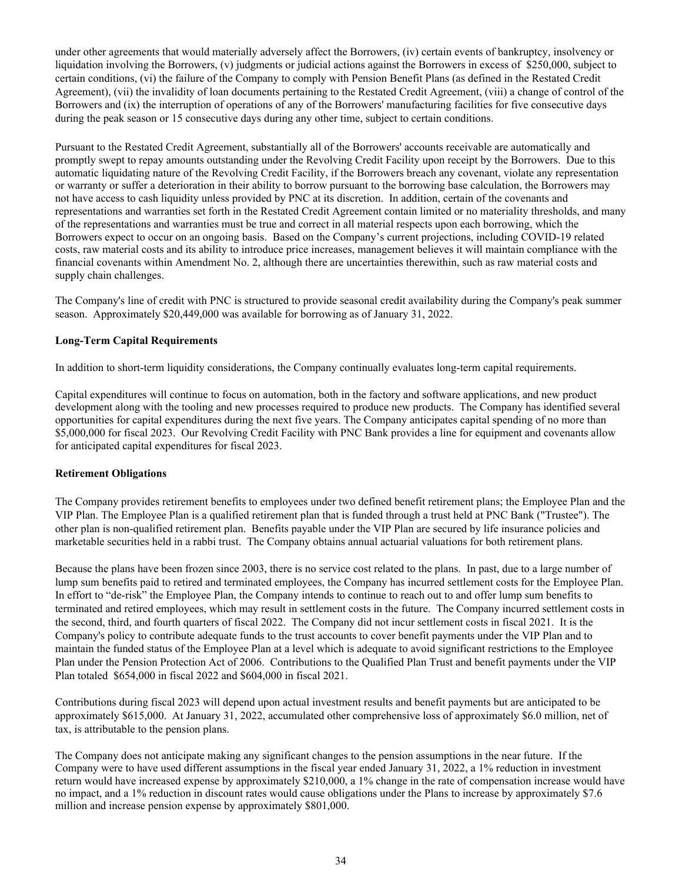under other agreements that would materially adversely affect the Borrowers, (iv) certain events of bankruptcy, insolvency or liquidation involving the Borrowers, (v) judgments or judicial actions against the Borrowers in excess of \$250,000, subject to certain conditions, (vi) the failure of the Company to comply with Pension Benefit Plans (as defined in the Restated Credit Agreement), (vii) the invalidity of loan documents pertaining to the Restated Credit Agreement, (viii) a change of control of the Borrowers and (ix) the interruption of operations of any of the Borrowers' manufacturing facilities for five consecutive days during the peak season or 15 consecutive days during any other time, subject to certain conditions.

Pursuant to the Restated Credit Agreement, substantially all of the Borrowers' accounts receivable are automatically and promptly swept to repay amounts outstanding under the Revolving Credit Facility upon receipt by the Borrowers. Due to this automatic liquidating nature of the Revolving Credit Facility, if the Borrowers breach any covenant, violate any representation or warranty or suffer a deterioration in their ability to borrow pursuant to the borrowing base calculation, the Borrowers may not have access to cash liquidity unless provided by PNC at its discretion. In addition, certain of the covenants and representations and warranties set forth in the Restated Credit Agreement contain limited or no materiality thresholds, and many of the representations and warranties must be true and correct in all material respects upon each borrowing, which the Borrowers expect to occur on an ongoing basis. Based on the Company's current projections, including COVID-19 related costs, raw material costs and its ability to introduce price increases, management believes it will maintain compliance with the financial covenants within Amendment No. 2, although there are uncertainties therewithin, such as raw material costs and supply chain challenges.

The Company's line of credit with PNC is structured to provide seasonal credit availability during the Company's peak summer season. Approximately \$20,449,000 was available for borrowing as of January 31, 2022.

# **Long-Term Capital Requirements**

In addition to short-term liquidity considerations, the Company continually evaluates long-term capital requirements.

Capital expenditures will continue to focus on automation, both in the factory and software applications, and new product development along with the tooling and new processes required to produce new products. The Company has identified several opportunities for capital expenditures during the next five years. The Company anticipates capital spending of no more than \$5,000,000 for fiscal 2023. Our Revolving Credit Facility with PNC Bank provides a line for equipment and covenants allow for anticipated capital expenditures for fiscal 2023.

# **Retirement Obligations**

The Company provides retirement benefits to employees under two defined benefit retirement plans; the Employee Plan and the VIP Plan. The Employee Plan is a qualified retirement plan that is funded through a trust held at PNC Bank ("Trustee"). The other plan is non-qualified retirement plan. Benefits payable under the VIP Plan are secured by life insurance policies and marketable securities held in a rabbi trust. The Company obtains annual actuarial valuations for both retirement plans.

Because the plans have been frozen since 2003, there is no service cost related to the plans. In past, due to a large number of lump sum benefits paid to retired and terminated employees, the Company has incurred settlement costs for the Employee Plan. In effort to "de-risk" the Employee Plan, the Company intends to continue to reach out to and offer lump sum benefits to terminated and retired employees, which may result in settlement costs in the future. The Company incurred settlement costs in the second, third, and fourth quarters of fiscal 2022. The Company did not incur settlement costs in fiscal 2021. It is the Company's policy to contribute adequate funds to the trust accounts to cover benefit payments under the VIP Plan and to maintain the funded status of the Employee Plan at a level which is adequate to avoid significant restrictions to the Employee Plan under the Pension Protection Act of 2006. Contributions to the Qualified Plan Trust and benefit payments under the VIP Plan totaled \$654,000 in fiscal 2022 and \$604,000 in fiscal 2021.

Contributions during fiscal 2023 will depend upon actual investment results and benefit payments but are anticipated to be approximately \$615,000. At January 31, 2022, accumulated other comprehensive loss of approximately \$6.0 million, net of tax, is attributable to the pension plans.

The Company does not anticipate making any significant changes to the pension assumptions in the near future. If the Company were to have used different assumptions in the fiscal year ended January 31, 2022, a 1% reduction in investment return would have increased expense by approximately \$210,000, a 1% change in the rate of compensation increase would have no impact, and a 1% reduction in discount rates would cause obligations under the Plans to increase by approximately \$7.6 million and increase pension expense by approximately \$801,000.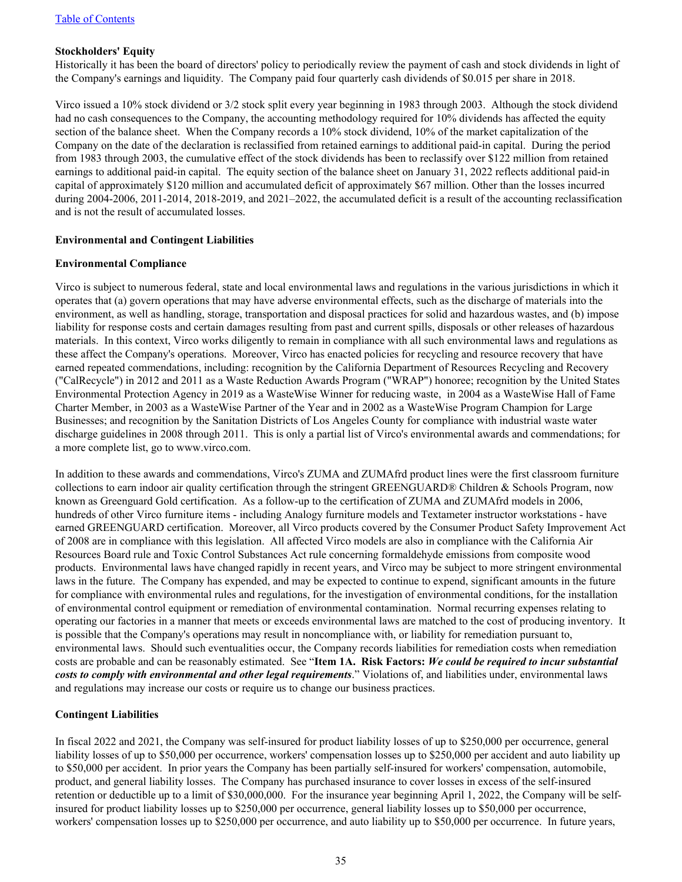# **Stockholders' Equity**

Historically it has been the board of directors' policy to periodically review the payment of cash and stock dividends in light of the Company's earnings and liquidity. The Company paid four quarterly cash dividends of \$0.015 per share in 2018.

Virco issued a 10% stock dividend or 3/2 stock split every year beginning in 1983 through 2003. Although the stock dividend had no cash consequences to the Company, the accounting methodology required for 10% dividends has affected the equity section of the balance sheet. When the Company records a 10% stock dividend, 10% of the market capitalization of the Company on the date of the declaration is reclassified from retained earnings to additional paid-in capital. During the period from 1983 through 2003, the cumulative effect of the stock dividends has been to reclassify over \$122 million from retained earnings to additional paid-in capital. The equity section of the balance sheet on January 31, 2022 reflects additional paid-in capital of approximately \$120 million and accumulated deficit of approximately \$67 million. Other than the losses incurred during 2004-2006, 2011-2014, 2018-2019, and 2021–2022, the accumulated deficit is a result of the accounting reclassification and is not the result of accumulated losses.

# **Environmental and Contingent Liabilities**

# **Environmental Compliance**

Virco is subject to numerous federal, state and local environmental laws and regulations in the various jurisdictions in which it operates that (a) govern operations that may have adverse environmental effects, such as the discharge of materials into the environment, as well as handling, storage, transportation and disposal practices for solid and hazardous wastes, and (b) impose liability for response costs and certain damages resulting from past and current spills, disposals or other releases of hazardous materials. In this context, Virco works diligently to remain in compliance with all such environmental laws and regulations as these affect the Company's operations. Moreover, Virco has enacted policies for recycling and resource recovery that have earned repeated commendations, including: recognition by the California Department of Resources Recycling and Recovery ("CalRecycle") in 2012 and 2011 as a Waste Reduction Awards Program ("WRAP") honoree; recognition by the United States Environmental Protection Agency in 2019 as a WasteWise Winner for reducing waste, in 2004 as a WasteWise Hall of Fame Charter Member, in 2003 as a WasteWise Partner of the Year and in 2002 as a WasteWise Program Champion for Large Businesses; and recognition by the Sanitation Districts of Los Angeles County for compliance with industrial waste water discharge guidelines in 2008 through 2011. This is only a partial list of Virco's environmental awards and commendations; for a more complete list, go to www.virco.com.

In addition to these awards and commendations, Virco's ZUMA and ZUMAfrd product lines were the first classroom furniture collections to earn indoor air quality certification through the stringent GREENGUARD® Children & Schools Program, now known as Greenguard Gold certification. As a follow-up to the certification of ZUMA and ZUMAfrd models in 2006, hundreds of other Virco furniture items - including Analogy furniture models and Textameter instructor workstations - have earned GREENGUARD certification. Moreover, all Virco products covered by the Consumer Product Safety Improvement Act of 2008 are in compliance with this legislation. All affected Virco models are also in compliance with the California Air Resources Board rule and Toxic Control Substances Act rule concerning formaldehyde emissions from composite wood products. Environmental laws have changed rapidly in recent years, and Virco may be subject to more stringent environmental laws in the future. The Company has expended, and may be expected to continue to expend, significant amounts in the future for compliance with environmental rules and regulations, for the investigation of environmental conditions, for the installation of environmental control equipment or remediation of environmental contamination. Normal recurring expenses relating to operating our factories in a manner that meets or exceeds environmental laws are matched to the cost of producing inventory. It is possible that the Company's operations may result in noncompliance with, or liability for remediation pursuant to, environmental laws. Should such eventualities occur, the Company records liabilities for remediation costs when remediation costs are probable and can be reasonably estimated. See "**Item 1A. Risk Factors:** *We could be required to incur substantial costs to comply with environmental and other legal requirements*." Violations of, and liabilities under, environmental laws and regulations may increase our costs or require us to change our business practices.

# **Contingent Liabilities**

In fiscal 2022 and 2021, the Company was self-insured for product liability losses of up to \$250,000 per occurrence, general liability losses of up to \$50,000 per occurrence, workers' compensation losses up to \$250,000 per accident and auto liability up to \$50,000 per accident. In prior years the Company has been partially self-insured for workers' compensation, automobile, product, and general liability losses. The Company has purchased insurance to cover losses in excess of the self-insured retention or deductible up to a limit of \$30,000,000. For the insurance year beginning April 1, 2022, the Company will be selfinsured for product liability losses up to \$250,000 per occurrence, general liability losses up to \$50,000 per occurrence, workers' compensation losses up to \$250,000 per occurrence, and auto liability up to \$50,000 per occurrence. In future years,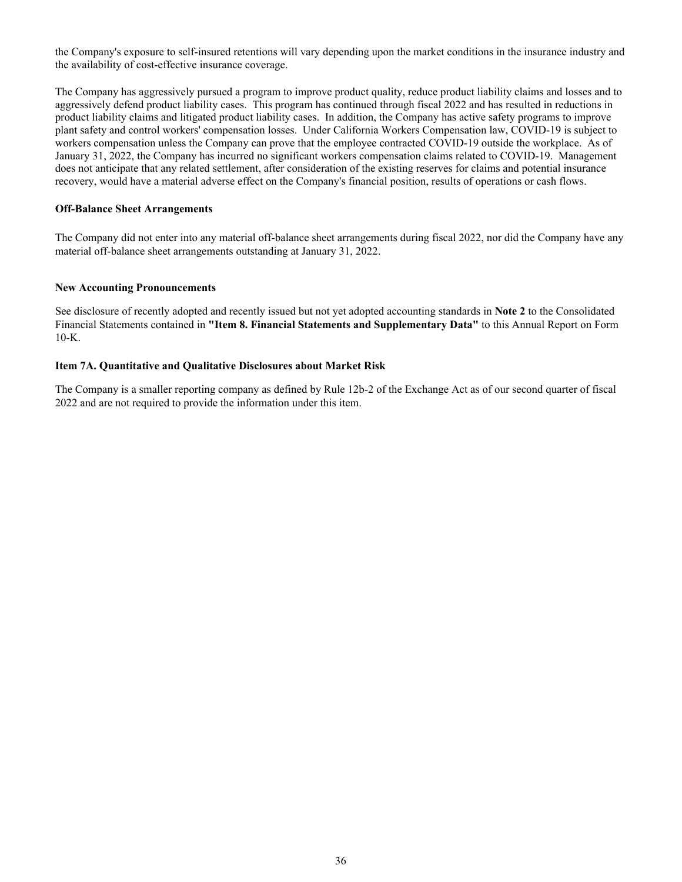the Company's exposure to self-insured retentions will vary depending upon the market conditions in the insurance industry and the availability of cost-effective insurance coverage.

The Company has aggressively pursued a program to improve product quality, reduce product liability claims and losses and to aggressively defend product liability cases. This program has continued through fiscal 2022 and has resulted in reductions in product liability claims and litigated product liability cases. In addition, the Company has active safety programs to improve plant safety and control workers' compensation losses. Under California Workers Compensation law, COVID-19 is subject to workers compensation unless the Company can prove that the employee contracted COVID-19 outside the workplace. As of January 31, 2022, the Company has incurred no significant workers compensation claims related to COVID-19. Management does not anticipate that any related settlement, after consideration of the existing reserves for claims and potential insurance recovery, would have a material adverse effect on the Company's financial position, results of operations or cash flows.

#### **Off-Balance Sheet Arrangements**

The Company did not enter into any material off-balance sheet arrangements during fiscal 2022, nor did the Company have any material off-balance sheet arrangements outstanding at January 31, 2022.

#### **New Accounting Pronouncements**

See disclosure of recently adopted and recently issued but not yet adopted accounting standards in **Note 2** to the Consolidated Financial Statements contained in **"Item 8. Financial Statements and Supplementary Data"** to this Annual Report on Form 10-K.

#### **Item 7A. Quantitative and Qualitative Disclosures about Market Risk**

The Company is a smaller reporting company as defined by Rule 12b-2 of the Exchange Act as of our second quarter of fiscal 2022 and are not required to provide the information under this item.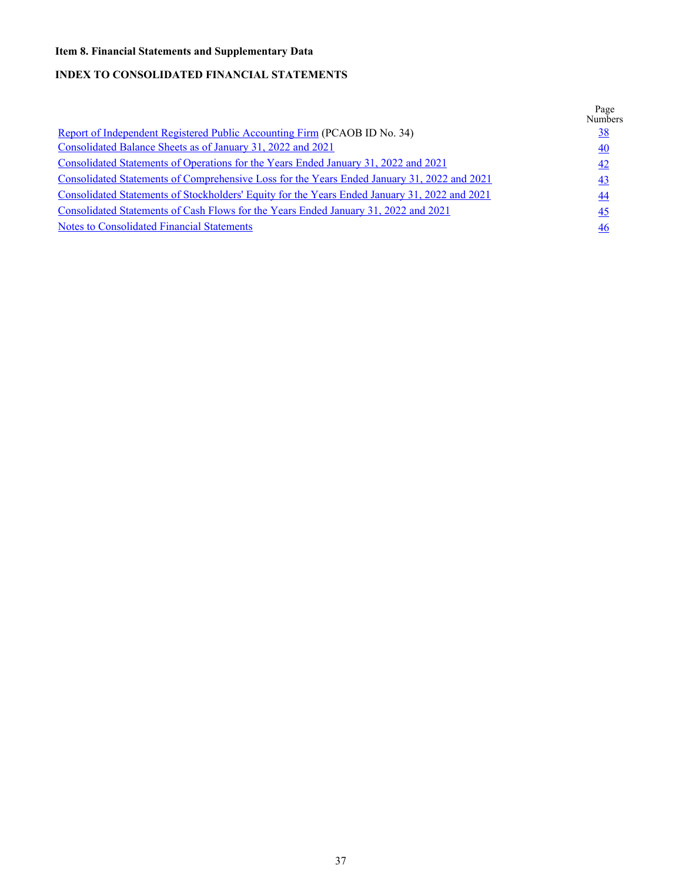# **Item 8. Financial Statements and Supplementary Data**

# **INDEX TO CONSOLIDATED FINANCIAL STATEMENTS**

|                                                                                               | Page<br>Numbers |
|-----------------------------------------------------------------------------------------------|-----------------|
| Report of Independent Registered Public Accounting Firm (PCAOB ID No. 34)                     | $\frac{38}{5}$  |
| Consolidated Balance Sheets as of January 31, 2022 and 2021                                   | 40              |
| Consolidated Statements of Operations for the Years Ended January 31, 2022 and 2021           | 42              |
| Consolidated Statements of Comprehensive Loss for the Years Ended January 31, 2022 and 2021   | 43              |
| Consolidated Statements of Stockholders' Equity for the Years Ended January 31, 2022 and 2021 | $\overline{44}$ |
| Consolidated Statements of Cash Flows for the Years Ended January 31, 2022 and 2021           | 45              |
| <b>Notes to Consolidated Financial Statements</b>                                             | <u>46</u>       |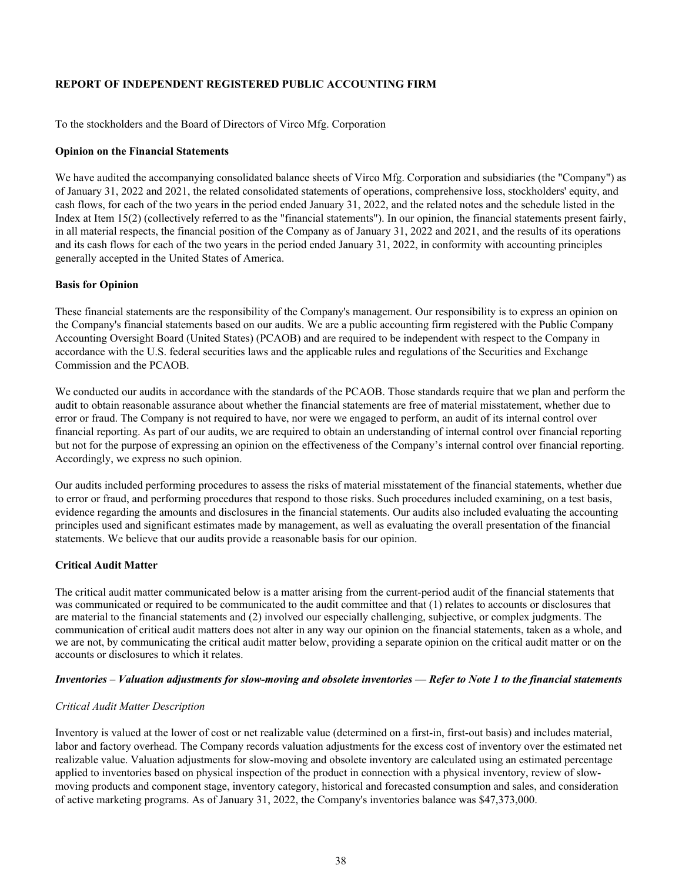#### <span id="page-38-0"></span>**REPORT OF INDEPENDENT REGISTERED PUBLIC ACCOUNTING FIRM**

To the stockholders and the Board of Directors of Virco Mfg. Corporation

#### **Opinion on the Financial Statements**

We have audited the accompanying consolidated balance sheets of Virco Mfg. Corporation and subsidiaries (the "Company") as of January 31, 2022 and 2021, the related consolidated statements of operations, comprehensive loss, stockholders' equity, and cash flows, for each of the two years in the period ended January 31, 2022, and the related notes and the schedule listed in the Index at Item 15(2) (collectively referred to as the "financial statements"). In our opinion, the financial statements present fairly, in all material respects, the financial position of the Company as of January 31, 2022 and 2021, and the results of its operations and its cash flows for each of the two years in the period ended January 31, 2022, in conformity with accounting principles generally accepted in the United States of America.

#### **Basis for Opinion**

These financial statements are the responsibility of the Company's management. Our responsibility is to express an opinion on the Company's financial statements based on our audits. We are a public accounting firm registered with the Public Company Accounting Oversight Board (United States) (PCAOB) and are required to be independent with respect to the Company in accordance with the U.S. federal securities laws and the applicable rules and regulations of the Securities and Exchange Commission and the PCAOB.

We conducted our audits in accordance with the standards of the PCAOB. Those standards require that we plan and perform the audit to obtain reasonable assurance about whether the financial statements are free of material misstatement, whether due to error or fraud. The Company is not required to have, nor were we engaged to perform, an audit of its internal control over financial reporting. As part of our audits, we are required to obtain an understanding of internal control over financial reporting but not for the purpose of expressing an opinion on the effectiveness of the Company's internal control over financial reporting. Accordingly, we express no such opinion.

Our audits included performing procedures to assess the risks of material misstatement of the financial statements, whether due to error or fraud, and performing procedures that respond to those risks. Such procedures included examining, on a test basis, evidence regarding the amounts and disclosures in the financial statements. Our audits also included evaluating the accounting principles used and significant estimates made by management, as well as evaluating the overall presentation of the financial statements. We believe that our audits provide a reasonable basis for our opinion.

#### **Critical Audit Matter**

The critical audit matter communicated below is a matter arising from the current-period audit of the financial statements that was communicated or required to be communicated to the audit committee and that (1) relates to accounts or disclosures that are material to the financial statements and (2) involved our especially challenging, subjective, or complex judgments. The communication of critical audit matters does not alter in any way our opinion on the financial statements, taken as a whole, and we are not, by communicating the critical audit matter below, providing a separate opinion on the critical audit matter or on the accounts or disclosures to which it relates.

## *Inventories – Valuation adjustments for slow-moving and obsolete inventories — Refer to Note 1 to the financial statements*

#### *Critical Audit Matter Description*

Inventory is valued at the lower of cost or net realizable value (determined on a first-in, first-out basis) and includes material, labor and factory overhead. The Company records valuation adjustments for the excess cost of inventory over the estimated net realizable value. Valuation adjustments for slow-moving and obsolete inventory are calculated using an estimated percentage applied to inventories based on physical inspection of the product in connection with a physical inventory, review of slowmoving products and component stage, inventory category, historical and forecasted consumption and sales, and consideration of active marketing programs. As of January 31, 2022, the Company's inventories balance was \$47,373,000.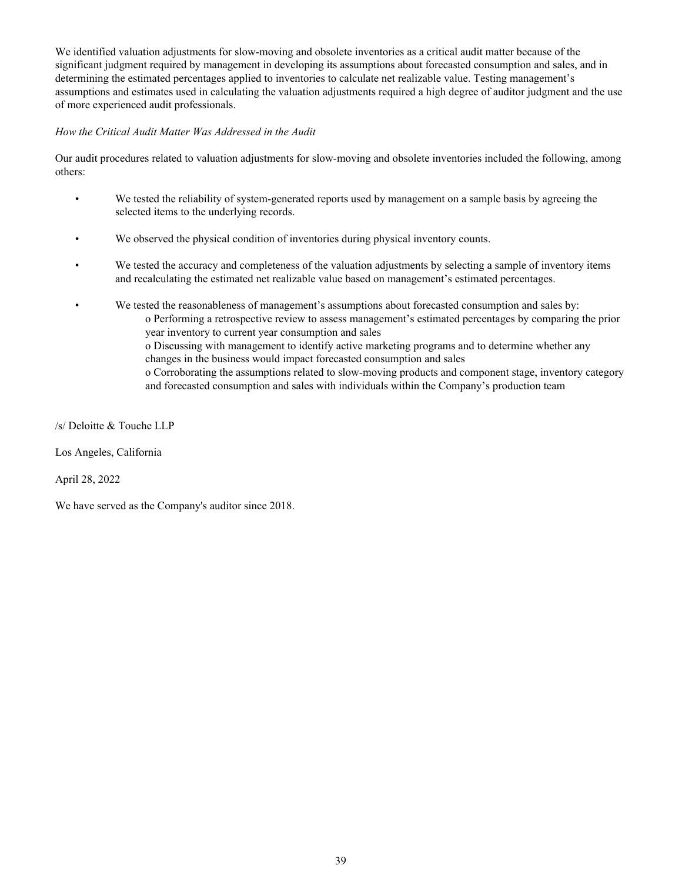We identified valuation adjustments for slow-moving and obsolete inventories as a critical audit matter because of the significant judgment required by management in developing its assumptions about forecasted consumption and sales, and in determining the estimated percentages applied to inventories to calculate net realizable value. Testing management's assumptions and estimates used in calculating the valuation adjustments required a high degree of auditor judgment and the use of more experienced audit professionals.

## *How the Critical Audit Matter Was Addressed in the Audit*

Our audit procedures related to valuation adjustments for slow-moving and obsolete inventories included the following, among others:

- We tested the reliability of system-generated reports used by management on a sample basis by agreeing the selected items to the underlying records.
- We observed the physical condition of inventories during physical inventory counts.
- We tested the accuracy and completeness of the valuation adjustments by selecting a sample of inventory items and recalculating the estimated net realizable value based on management's estimated percentages.
- We tested the reasonableness of management's assumptions about forecasted consumption and sales by: o Performing a retrospective review to assess management's estimated percentages by comparing the prior year inventory to current year consumption and sales o Discussing with management to identify active marketing programs and to determine whether any changes in the business would impact forecasted consumption and sales o Corroborating the assumptions related to slow-moving products and component stage, inventory category and forecasted consumption and sales with individuals within the Company's production team

/s/ Deloitte & Touche LLP

Los Angeles, California

April 28, 2022

We have served as the Company's auditor since 2018.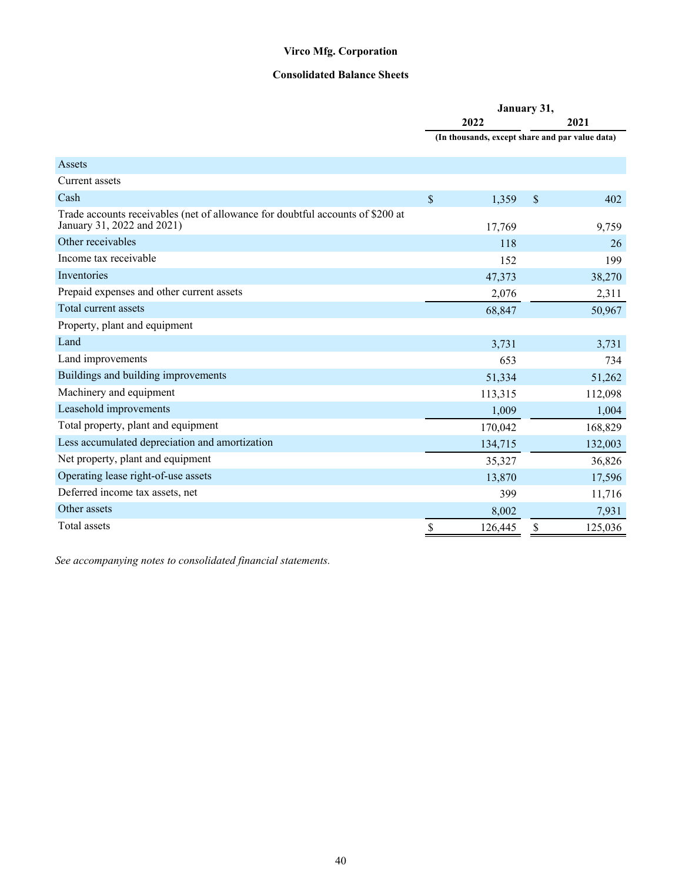## **Consolidated Balance Sheets**

<span id="page-40-0"></span>

|                                                                                                              | January 31,                                     |                                  |  |
|--------------------------------------------------------------------------------------------------------------|-------------------------------------------------|----------------------------------|--|
|                                                                                                              | 2022                                            | 2021                             |  |
|                                                                                                              | (In thousands, except share and par value data) |                                  |  |
| Assets                                                                                                       |                                                 |                                  |  |
| Current assets                                                                                               |                                                 |                                  |  |
| Cash                                                                                                         | \$<br>1,359                                     | $\boldsymbol{\mathsf{S}}$<br>402 |  |
| Trade accounts receivables (net of allowance for doubtful accounts of \$200 at<br>January 31, 2022 and 2021) | 17,769                                          | 9,759                            |  |
| Other receivables                                                                                            | 118                                             | 26                               |  |
| Income tax receivable                                                                                        | 152                                             | 199                              |  |
| Inventories                                                                                                  | 47,373                                          | 38,270                           |  |
| Prepaid expenses and other current assets                                                                    | 2,076                                           | 2,311                            |  |
| Total current assets                                                                                         | 68,847                                          | 50,967                           |  |
| Property, plant and equipment                                                                                |                                                 |                                  |  |
| Land                                                                                                         | 3,731                                           | 3,731                            |  |
| Land improvements                                                                                            | 653                                             | 734                              |  |
| Buildings and building improvements                                                                          | 51,334                                          | 51,262                           |  |
| Machinery and equipment                                                                                      | 113,315                                         | 112,098                          |  |
| Leasehold improvements                                                                                       | 1,009                                           | 1,004                            |  |
| Total property, plant and equipment                                                                          | 170,042                                         | 168,829                          |  |
| Less accumulated depreciation and amortization                                                               | 134,715                                         | 132,003                          |  |
| Net property, plant and equipment                                                                            | 35,327                                          | 36,826                           |  |
| Operating lease right-of-use assets                                                                          | 13,870                                          | 17,596                           |  |
| Deferred income tax assets, net                                                                              | 399                                             | 11,716                           |  |
| Other assets                                                                                                 | 8,002                                           | 7,931                            |  |
| Total assets                                                                                                 | \$<br>126,445                                   | \$<br>125,036                    |  |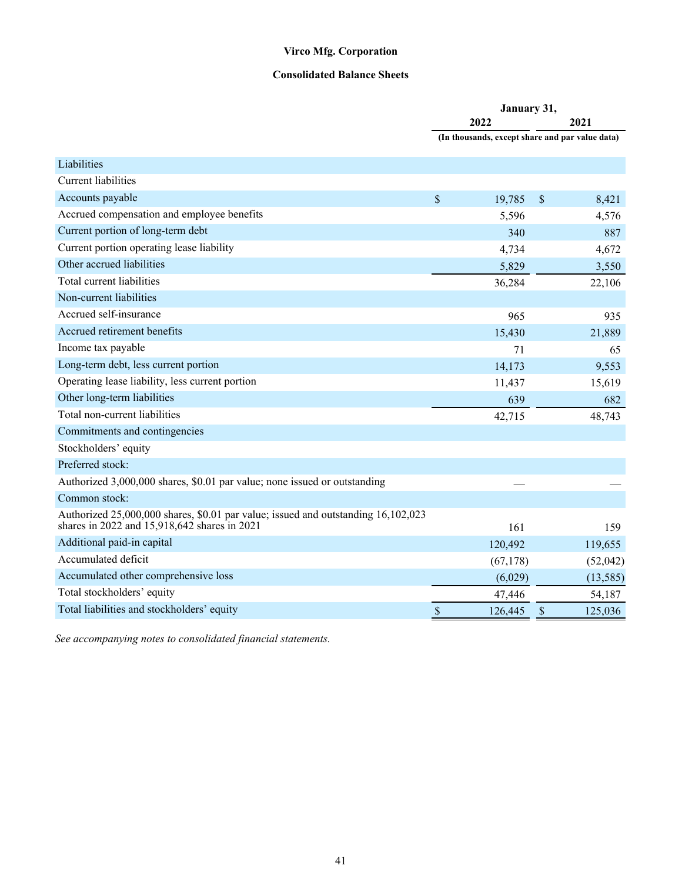## **Consolidated Balance Sheets**

|                                                                                                                                         | January 31, |                                                 |               |           |  |
|-----------------------------------------------------------------------------------------------------------------------------------------|-------------|-------------------------------------------------|---------------|-----------|--|
|                                                                                                                                         |             | 2022                                            |               | 2021      |  |
|                                                                                                                                         |             | (In thousands, except share and par value data) |               |           |  |
| Liabilities                                                                                                                             |             |                                                 |               |           |  |
| <b>Current liabilities</b>                                                                                                              |             |                                                 |               |           |  |
| Accounts payable                                                                                                                        | \$          | 19,785                                          | $\mathcal{S}$ | 8,421     |  |
| Accrued compensation and employee benefits                                                                                              |             | 5,596                                           |               | 4,576     |  |
| Current portion of long-term debt                                                                                                       |             | 340                                             |               | 887       |  |
| Current portion operating lease liability                                                                                               |             | 4,734                                           |               | 4,672     |  |
| Other accrued liabilities                                                                                                               |             | 5,829                                           |               | 3,550     |  |
| Total current liabilities                                                                                                               |             | 36,284                                          |               | 22,106    |  |
| Non-current liabilities                                                                                                                 |             |                                                 |               |           |  |
| Accrued self-insurance                                                                                                                  |             | 965                                             |               | 935       |  |
| Accrued retirement benefits                                                                                                             |             | 15,430                                          |               | 21,889    |  |
| Income tax payable                                                                                                                      |             | 71                                              |               | 65        |  |
| Long-term debt, less current portion                                                                                                    |             | 14,173                                          |               | 9,553     |  |
| Operating lease liability, less current portion                                                                                         |             | 11,437                                          |               | 15,619    |  |
| Other long-term liabilities                                                                                                             |             | 639                                             |               | 682       |  |
| Total non-current liabilities                                                                                                           |             | 42,715                                          |               | 48,743    |  |
| Commitments and contingencies                                                                                                           |             |                                                 |               |           |  |
| Stockholders' equity                                                                                                                    |             |                                                 |               |           |  |
| Preferred stock:                                                                                                                        |             |                                                 |               |           |  |
| Authorized 3,000,000 shares, \$0.01 par value; none issued or outstanding                                                               |             |                                                 |               |           |  |
| Common stock:                                                                                                                           |             |                                                 |               |           |  |
| Authorized 25,000,000 shares, \$0.01 par value; issued and outstanding 16,102,023<br>shares in $2022$ and $15,918,642$ shares in $2021$ |             | 161                                             |               | 159       |  |
| Additional paid-in capital                                                                                                              |             | 120,492                                         |               | 119,655   |  |
| Accumulated deficit                                                                                                                     |             | (67, 178)                                       |               | (52,042)  |  |
| Accumulated other comprehensive loss                                                                                                    |             | (6,029)                                         |               | (13, 585) |  |
| Total stockholders' equity                                                                                                              |             | 47,446                                          |               | 54,187    |  |
| Total liabilities and stockholders' equity                                                                                              | \$          | 126,445                                         | $\mathcal{S}$ | 125,036   |  |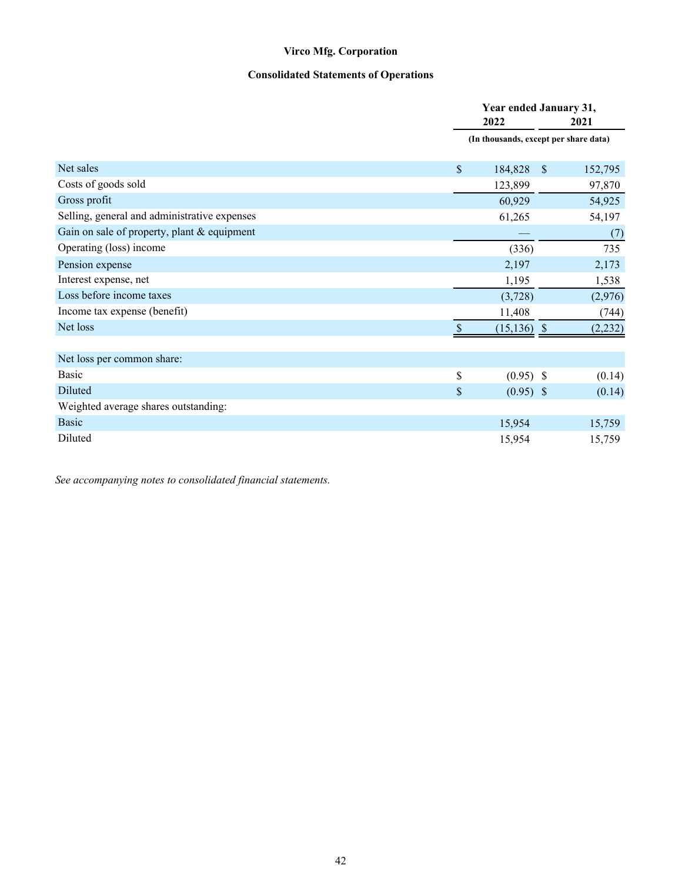## **Consolidated Statements of Operations**

<span id="page-42-0"></span>

|                                              | Year ended January 31,                |              |          |  |
|----------------------------------------------|---------------------------------------|--------------|----------|--|
|                                              | 2022                                  |              | 2021     |  |
|                                              | (In thousands, except per share data) |              |          |  |
| Net sales                                    | \$<br>184,828                         | <sup>S</sup> | 152,795  |  |
| Costs of goods sold                          | 123,899                               |              | 97,870   |  |
| Gross profit                                 | 60,929                                |              | 54,925   |  |
| Selling, general and administrative expenses | 61,265                                |              | 54,197   |  |
| Gain on sale of property, plant & equipment  |                                       |              | (7)      |  |
| Operating (loss) income                      | (336)                                 |              | 735      |  |
| Pension expense                              | 2,197                                 |              | 2,173    |  |
| Interest expense, net                        | 1,195                                 |              | 1,538    |  |
| Loss before income taxes                     | (3,728)                               |              | (2,976)  |  |
| Income tax expense (benefit)                 | 11,408                                |              | (744)    |  |
| Net loss                                     | $(15, 136)$ \$                        |              | (2, 232) |  |
|                                              |                                       |              |          |  |
| Net loss per common share:                   |                                       |              |          |  |
| <b>Basic</b>                                 | \$<br>$(0.95)$ \$                     |              | (0.14)   |  |
| Diluted                                      | \$<br>$(0.95)$ \$                     |              | (0.14)   |  |
| Weighted average shares outstanding:         |                                       |              |          |  |
| <b>Basic</b>                                 | 15,954                                |              | 15,759   |  |
| Diluted                                      | 15,954                                |              | 15,759   |  |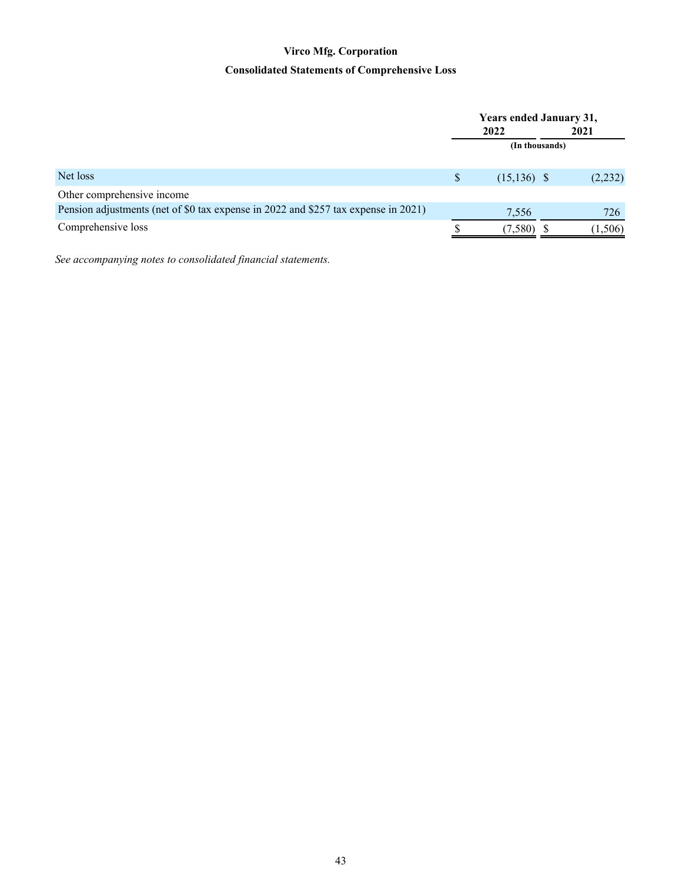# **Consolidated Statements of Comprehensive Loss**

<span id="page-43-0"></span>

|                                                                                    |   | <b>Years ended January 31,</b><br>2022 |  | 2021     |
|------------------------------------------------------------------------------------|---|----------------------------------------|--|----------|
|                                                                                    |   |                                        |  |          |
| Net loss                                                                           | S | $(15,136)$ \$                          |  | (2, 232) |
| Other comprehensive income                                                         |   |                                        |  |          |
| Pension adjustments (net of \$0 tax expense in 2022 and \$257 tax expense in 2021) |   | 7,556                                  |  | 726      |
| Comprehensive loss                                                                 |   | (7,580)                                |  | (1,506)  |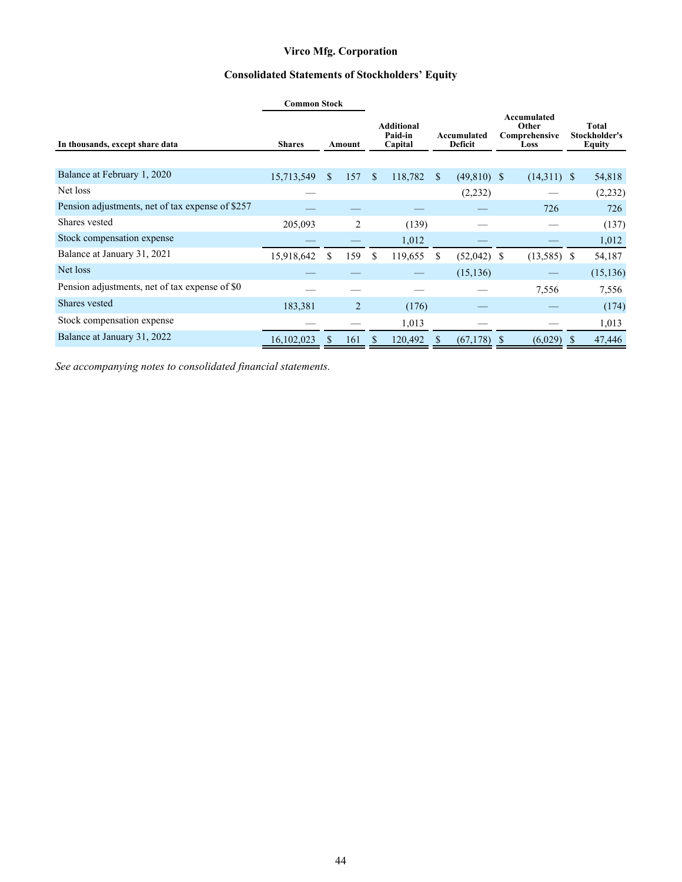# **Consolidated Statements of Stockholders' Equity**

<span id="page-44-0"></span>

|                                                  | <b>Common Stock</b> |              |                |    |                                         |                               |               |               |               |    |           |  |  |  |  |                                               |  |  |  |                                         |  |
|--------------------------------------------------|---------------------|--------------|----------------|----|-----------------------------------------|-------------------------------|---------------|---------------|---------------|----|-----------|--|--|--|--|-----------------------------------------------|--|--|--|-----------------------------------------|--|
| In thousands, except share data                  | <b>Shares</b>       |              | Amount         |    | <b>Additional</b><br>Paid-in<br>Capital | Accumulated<br><b>Deficit</b> |               |               |               |    |           |  |  |  |  | Accumulated<br>Other<br>Comprehensive<br>Loss |  |  |  | Total<br>Stockholder's<br><b>Equity</b> |  |
|                                                  |                     |              |                |    |                                         |                               |               |               |               |    |           |  |  |  |  |                                               |  |  |  |                                         |  |
| Balance at February 1, 2020                      | 15,713,549          | $\mathbb{S}$ | 157            | -S | 118,782                                 | <sup>S</sup>                  | $(49,810)$ \$ |               | $(14,311)$ \$ |    | 54,818    |  |  |  |  |                                               |  |  |  |                                         |  |
| Net loss                                         |                     |              |                |    |                                         |                               | (2, 232)      |               |               |    | (2, 232)  |  |  |  |  |                                               |  |  |  |                                         |  |
| Pension adjustments, net of tax expense of \$257 |                     |              |                |    |                                         |                               |               |               | 726           |    | 726       |  |  |  |  |                                               |  |  |  |                                         |  |
| Shares vested                                    | 205,093             |              | 2              |    | (139)                                   |                               |               |               |               |    | (137)     |  |  |  |  |                                               |  |  |  |                                         |  |
| Stock compensation expense                       |                     |              |                |    | 1,012                                   |                               |               |               |               |    | 1,012     |  |  |  |  |                                               |  |  |  |                                         |  |
| Balance at January 31, 2021                      | 15,918,642          | S.           | 159            | S  | 119,655                                 | S                             | (52,042)      | <sup>\$</sup> | $(13,585)$ \$ |    | 54,187    |  |  |  |  |                                               |  |  |  |                                         |  |
| Net loss                                         |                     |              |                |    |                                         |                               | (15, 136)     |               |               |    | (15, 136) |  |  |  |  |                                               |  |  |  |                                         |  |
| Pension adjustments, net of tax expense of \$0   |                     |              |                |    |                                         |                               |               |               | 7,556         |    | 7,556     |  |  |  |  |                                               |  |  |  |                                         |  |
| Shares vested                                    | 183,381             |              | $\overline{2}$ |    | (176)                                   |                               |               |               |               |    | (174)     |  |  |  |  |                                               |  |  |  |                                         |  |
| Stock compensation expense                       |                     |              |                |    | 1,013                                   |                               |               |               |               |    | 1,013     |  |  |  |  |                                               |  |  |  |                                         |  |
| Balance at January 31, 2022                      | 16,102,023          |              | 161            |    | 120,492                                 |                               | (67, 178)     | S             | (6,029)       | -S | 47,446    |  |  |  |  |                                               |  |  |  |                                         |  |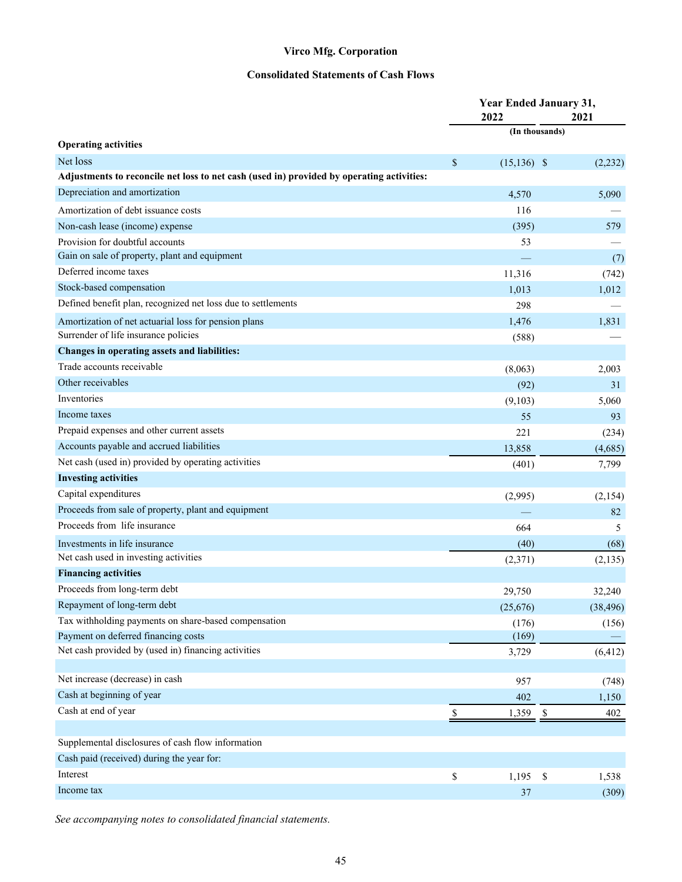## **Consolidated Statements of Cash Flows**

<span id="page-45-0"></span>

|                                                                                           | <b>Year Ended January 31,</b> |                |                           |           |
|-------------------------------------------------------------------------------------------|-------------------------------|----------------|---------------------------|-----------|
|                                                                                           |                               | 2022           |                           | 2021      |
|                                                                                           |                               | (In thousands) |                           |           |
| <b>Operating activities</b>                                                               |                               |                |                           |           |
| Net loss                                                                                  | \$                            | $(15, 136)$ \$ |                           | (2, 232)  |
| Adjustments to reconcile net loss to net cash (used in) provided by operating activities: |                               |                |                           |           |
| Depreciation and amortization                                                             |                               | 4,570          |                           | 5,090     |
| Amortization of debt issuance costs                                                       |                               | 116            |                           |           |
| Non-cash lease (income) expense                                                           |                               | (395)          |                           | 579       |
| Provision for doubtful accounts                                                           |                               | 53             |                           |           |
| Gain on sale of property, plant and equipment                                             |                               |                |                           | (7)       |
| Deferred income taxes                                                                     |                               | 11,316         |                           | (742)     |
| Stock-based compensation                                                                  |                               | 1,013          |                           | 1,012     |
| Defined benefit plan, recognized net loss due to settlements                              |                               | 298            |                           |           |
| Amortization of net actuarial loss for pension plans                                      |                               | 1,476          |                           | 1,831     |
| Surrender of life insurance policies                                                      |                               | (588)          |                           |           |
| Changes in operating assets and liabilities:                                              |                               |                |                           |           |
| Trade accounts receivable                                                                 |                               | (8,063)        |                           | 2,003     |
| Other receivables                                                                         |                               | (92)           |                           | 31        |
| Inventories                                                                               |                               | (9,103)        |                           | 5,060     |
| Income taxes                                                                              |                               | 55             |                           | 93        |
| Prepaid expenses and other current assets                                                 |                               | 221            |                           | (234)     |
| Accounts payable and accrued liabilities                                                  |                               | 13,858         |                           | (4,685)   |
| Net cash (used in) provided by operating activities                                       |                               | (401)          |                           | 7,799     |
| <b>Investing activities</b>                                                               |                               |                |                           |           |
| Capital expenditures                                                                      |                               | (2,995)        |                           | (2,154)   |
| Proceeds from sale of property, plant and equipment                                       |                               |                |                           | 82        |
| Proceeds from life insurance                                                              |                               | 664            |                           | 5         |
| Investments in life insurance                                                             |                               | (40)           |                           | (68)      |
| Net cash used in investing activities                                                     |                               | (2,371)        |                           | (2, 135)  |
| <b>Financing activities</b>                                                               |                               |                |                           |           |
| Proceeds from long-term debt                                                              |                               | 29,750         |                           | 32,240    |
| Repayment of long-term debt                                                               |                               | (25,676)       |                           | (38, 496) |
| Tax withholding payments on share-based compensation                                      |                               | (176)          |                           | (156)     |
| Payment on deferred financing costs                                                       |                               | (169)          |                           |           |
| Net cash provided by (used in) financing activities                                       |                               | 3,729          |                           | (6, 412)  |
|                                                                                           |                               |                |                           |           |
| Net increase (decrease) in cash                                                           |                               | 957            |                           | (748)     |
| Cash at beginning of year                                                                 |                               | 402            |                           | 1,150     |
| Cash at end of year                                                                       | $\frac{1}{2}$                 | 1,359          | $\mathbf{s}$              | 402       |
|                                                                                           |                               |                |                           |           |
| Supplemental disclosures of cash flow information                                         |                               |                |                           |           |
| Cash paid (received) during the year for:                                                 |                               |                |                           |           |
| Interest                                                                                  | \$                            | 1,195          | $\boldsymbol{\mathsf{S}}$ | 1,538     |
| Income tax                                                                                |                               | 37             |                           | (309)     |
|                                                                                           |                               |                |                           |           |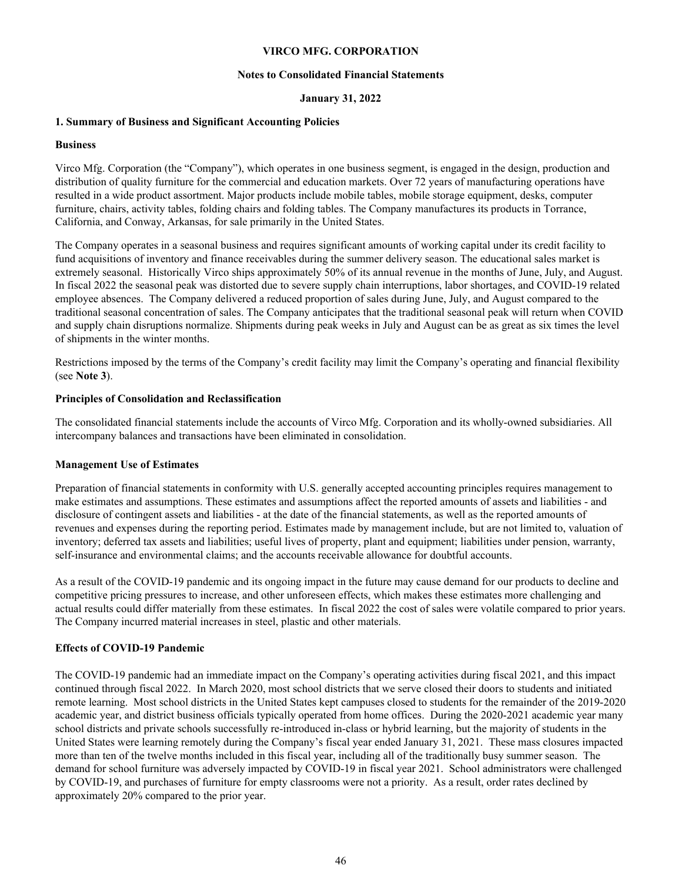## **VIRCO MFG. CORPORATION**

#### **Notes to Consolidated Financial Statements**

#### **January 31, 2022**

#### <span id="page-46-0"></span>**1. Summary of Business and Significant Accounting Policies**

#### **Business**

Virco Mfg. Corporation (the "Company"), which operates in one business segment, is engaged in the design, production and distribution of quality furniture for the commercial and education markets. Over 72 years of manufacturing operations have resulted in a wide product assortment. Major products include mobile tables, mobile storage equipment, desks, computer furniture, chairs, activity tables, folding chairs and folding tables. The Company manufactures its products in Torrance, California, and Conway, Arkansas, for sale primarily in the United States.

The Company operates in a seasonal business and requires significant amounts of working capital under its credit facility to fund acquisitions of inventory and finance receivables during the summer delivery season. The educational sales market is extremely seasonal. Historically Virco ships approximately 50% of its annual revenue in the months of June, July, and August. In fiscal 2022 the seasonal peak was distorted due to severe supply chain interruptions, labor shortages, and COVID-19 related employee absences. The Company delivered a reduced proportion of sales during June, July, and August compared to the traditional seasonal concentration of sales. The Company anticipates that the traditional seasonal peak will return when COVID and supply chain disruptions normalize. Shipments during peak weeks in July and August can be as great as six times the level of shipments in the winter months.

Restrictions imposed by the terms of the Company's credit facility may limit the Company's operating and financial flexibility (see **Note 3**).

#### **Principles of Consolidation and Reclassification**

The consolidated financial statements include the accounts of Virco Mfg. Corporation and its wholly-owned subsidiaries. All intercompany balances and transactions have been eliminated in consolidation.

#### **Management Use of Estimates**

Preparation of financial statements in conformity with U.S. generally accepted accounting principles requires management to make estimates and assumptions. These estimates and assumptions affect the reported amounts of assets and liabilities - and disclosure of contingent assets and liabilities - at the date of the financial statements, as well as the reported amounts of revenues and expenses during the reporting period. Estimates made by management include, but are not limited to, valuation of inventory; deferred tax assets and liabilities; useful lives of property, plant and equipment; liabilities under pension, warranty, self-insurance and environmental claims; and the accounts receivable allowance for doubtful accounts.

As a result of the COVID-19 pandemic and its ongoing impact in the future may cause demand for our products to decline and competitive pricing pressures to increase, and other unforeseen effects, which makes these estimates more challenging and actual results could differ materially from these estimates. In fiscal 2022 the cost of sales were volatile compared to prior years. The Company incurred material increases in steel, plastic and other materials.

#### **Effects of COVID-19 Pandemic**

The COVID-19 pandemic had an immediate impact on the Company's operating activities during fiscal 2021, and this impact continued through fiscal 2022. In March 2020, most school districts that we serve closed their doors to students and initiated remote learning. Most school districts in the United States kept campuses closed to students for the remainder of the 2019-2020 academic year, and district business officials typically operated from home offices. During the 2020-2021 academic year many school districts and private schools successfully re-introduced in-class or hybrid learning, but the majority of students in the United States were learning remotely during the Company's fiscal year ended January 31, 2021. These mass closures impacted more than ten of the twelve months included in this fiscal year, including all of the traditionally busy summer season. The demand for school furniture was adversely impacted by COVID-19 in fiscal year 2021. School administrators were challenged by COVID-19, and purchases of furniture for empty classrooms were not a priority. As a result, order rates declined by approximately 20% compared to the prior year.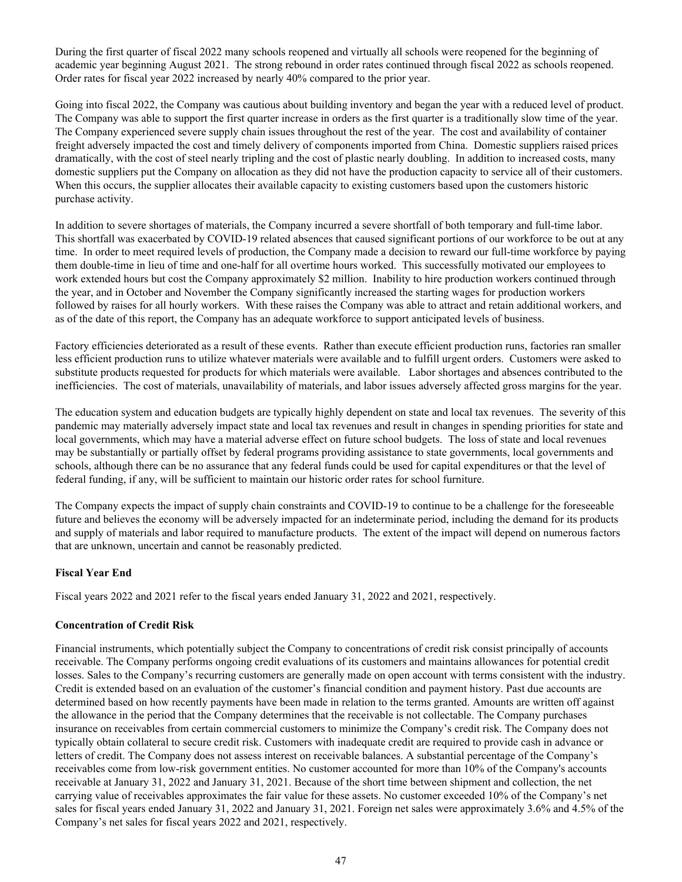During the first quarter of fiscal 2022 many schools reopened and virtually all schools were reopened for the beginning of academic year beginning August 2021. The strong rebound in order rates continued through fiscal 2022 as schools reopened. Order rates for fiscal year 2022 increased by nearly 40% compared to the prior year.

Going into fiscal 2022, the Company was cautious about building inventory and began the year with a reduced level of product. The Company was able to support the first quarter increase in orders as the first quarter is a traditionally slow time of the year. The Company experienced severe supply chain issues throughout the rest of the year. The cost and availability of container freight adversely impacted the cost and timely delivery of components imported from China. Domestic suppliers raised prices dramatically, with the cost of steel nearly tripling and the cost of plastic nearly doubling. In addition to increased costs, many domestic suppliers put the Company on allocation as they did not have the production capacity to service all of their customers. When this occurs, the supplier allocates their available capacity to existing customers based upon the customers historic purchase activity.

In addition to severe shortages of materials, the Company incurred a severe shortfall of both temporary and full-time labor. This shortfall was exacerbated by COVID-19 related absences that caused significant portions of our workforce to be out at any time. In order to meet required levels of production, the Company made a decision to reward our full-time workforce by paying them double-time in lieu of time and one-half for all overtime hours worked. This successfully motivated our employees to work extended hours but cost the Company approximately \$2 million. Inability to hire production workers continued through the year, and in October and November the Company significantly increased the starting wages for production workers followed by raises for all hourly workers. With these raises the Company was able to attract and retain additional workers, and as of the date of this report, the Company has an adequate workforce to support anticipated levels of business.

Factory efficiencies deteriorated as a result of these events. Rather than execute efficient production runs, factories ran smaller less efficient production runs to utilize whatever materials were available and to fulfill urgent orders. Customers were asked to substitute products requested for products for which materials were available. Labor shortages and absences contributed to the inefficiencies. The cost of materials, unavailability of materials, and labor issues adversely affected gross margins for the year.

The education system and education budgets are typically highly dependent on state and local tax revenues. The severity of this pandemic may materially adversely impact state and local tax revenues and result in changes in spending priorities for state and local governments, which may have a material adverse effect on future school budgets. The loss of state and local revenues may be substantially or partially offset by federal programs providing assistance to state governments, local governments and schools, although there can be no assurance that any federal funds could be used for capital expenditures or that the level of federal funding, if any, will be sufficient to maintain our historic order rates for school furniture.

The Company expects the impact of supply chain constraints and COVID-19 to continue to be a challenge for the foreseeable future and believes the economy will be adversely impacted for an indeterminate period, including the demand for its products and supply of materials and labor required to manufacture products. The extent of the impact will depend on numerous factors that are unknown, uncertain and cannot be reasonably predicted.

## **Fiscal Year End**

Fiscal years 2022 and 2021 refer to the fiscal years ended January 31, 2022 and 2021, respectively.

## **Concentration of Credit Risk**

Financial instruments, which potentially subject the Company to concentrations of credit risk consist principally of accounts receivable. The Company performs ongoing credit evaluations of its customers and maintains allowances for potential credit losses. Sales to the Company's recurring customers are generally made on open account with terms consistent with the industry. Credit is extended based on an evaluation of the customer's financial condition and payment history. Past due accounts are determined based on how recently payments have been made in relation to the terms granted. Amounts are written off against the allowance in the period that the Company determines that the receivable is not collectable. The Company purchases insurance on receivables from certain commercial customers to minimize the Company's credit risk. The Company does not typically obtain collateral to secure credit risk. Customers with inadequate credit are required to provide cash in advance or letters of credit. The Company does not assess interest on receivable balances. A substantial percentage of the Company's receivables come from low-risk government entities. No customer accounted for more than 10% of the Company's accounts receivable at January 31, 2022 and January 31, 2021. Because of the short time between shipment and collection, the net carrying value of receivables approximates the fair value for these assets. No customer exceeded 10% of the Company's net sales for fiscal years ended January 31, 2022 and January 31, 2021. Foreign net sales were approximately 3.6% and 4.5% of the Company's net sales for fiscal years 2022 and 2021, respectively.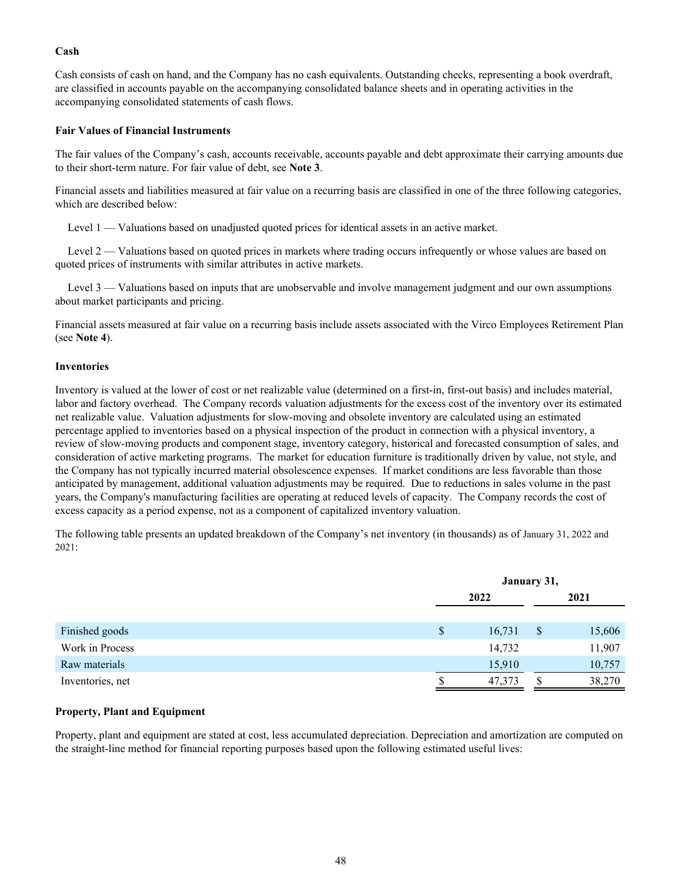## **Cash**

Cash consists of cash on hand, and the Company has no cash equivalents. Outstanding checks, representing a book overdraft, are classified in accounts payable on the accompanying consolidated balance sheets and in operating activities in the accompanying consolidated statements of cash flows.

## **Fair Values of Financial Instruments**

The fair values of the Company's cash, accounts receivable, accounts payable and debt approximate their carrying amounts due to their short-term nature. For fair value of debt, see **Note 3**.

Financial assets and liabilities measured at fair value on a recurring basis are classified in one of the three following categories, which are described below:

Level 1 — Valuations based on unadjusted quoted prices for identical assets in an active market.

Level 2 — Valuations based on quoted prices in markets where trading occurs infrequently or whose values are based on quoted prices of instruments with similar attributes in active markets.

Level 3 — Valuations based on inputs that are unobservable and involve management judgment and our own assumptions about market participants and pricing.

Financial assets measured at fair value on a recurring basis include assets associated with the Virco Employees Retirement Plan (see **Note 4**).

## **Inventories**

Inventory is valued at the lower of cost or net realizable value (determined on a first-in, first-out basis) and includes material, labor and factory overhead. The Company records valuation adjustments for the excess cost of the inventory over its estimated net realizable value. Valuation adjustments for slow-moving and obsolete inventory are calculated using an estimated percentage applied to inventories based on a physical inspection of the product in connection with a physical inventory, a review of slow-moving products and component stage, inventory category, historical and forecasted consumption of sales, and consideration of active marketing programs. The market for education furniture is traditionally driven by value, not style, and the Company has not typically incurred material obsolescence expenses. If market conditions are less favorable than those anticipated by management, additional valuation adjustments may be required. Due to reductions in sales volume in the past years, the Company's manufacturing facilities are operating at reduced levels of capacity. The Company records the cost of excess capacity as a period expense, not as a component of capitalized inventory valuation.

The following table presents an updated breakdown of the Company's net inventory (in thousands) as of January 31, 2022 and 2021:

|                  | January 31,  |    |        |  |  |
|------------------|--------------|----|--------|--|--|
|                  | 2022         |    | 2021   |  |  |
| Finished goods   | \$<br>16,731 | \$ | 15,606 |  |  |
| Work in Process  | 14,732       |    | 11,907 |  |  |
| Raw materials    | 15,910       |    | 10,757 |  |  |
| Inventories, net | 47,373       |    | 38,270 |  |  |

## **Property, Plant and Equipment**

Property, plant and equipment are stated at cost, less accumulated depreciation. Depreciation and amortization are computed on the straight-line method for financial reporting purposes based upon the following estimated useful lives: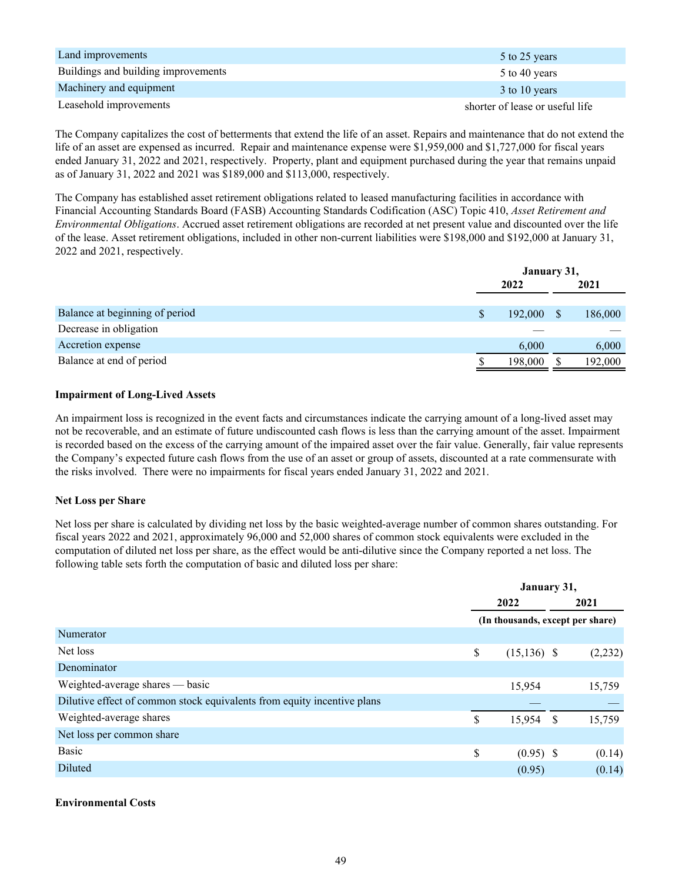| Land improvements                   | 5 to 25 years                   |
|-------------------------------------|---------------------------------|
| Buildings and building improvements | 5 to 40 years                   |
| Machinery and equipment             | 3 to 10 years                   |
| Leasehold improvements              | shorter of lease or useful life |

The Company capitalizes the cost of betterments that extend the life of an asset. Repairs and maintenance that do not extend the life of an asset are expensed as incurred. Repair and maintenance expense were \$1,959,000 and \$1,727,000 for fiscal years ended January 31, 2022 and 2021, respectively. Property, plant and equipment purchased during the year that remains unpaid as of January 31, 2022 and 2021 was \$189,000 and \$113,000, respectively.

The Company has established asset retirement obligations related to leased manufacturing facilities in accordance with Financial Accounting Standards Board (FASB) Accounting Standards Codification (ASC) Topic 410, *Asset Retirement and Environmental Obligations*. Accrued asset retirement obligations are recorded at net present value and discounted over the life of the lease. Asset retirement obligations, included in other non-current liabilities were \$198,000 and \$192,000 at January 31, 2022 and 2021, respectively.

|                                |      | January 31, |  |         |
|--------------------------------|------|-------------|--|---------|
|                                | 2022 |             |  | 2021    |
|                                |      |             |  |         |
| Balance at beginning of period |      | 192,000     |  | 186,000 |
| Decrease in obligation         |      |             |  |         |
| Accretion expense              |      | 6,000       |  | 6,000   |
| Balance at end of period       |      | 198,000     |  | 192,000 |

## **Impairment of Long-Lived Assets**

An impairment loss is recognized in the event facts and circumstances indicate the carrying amount of a long-lived asset may not be recoverable, and an estimate of future undiscounted cash flows is less than the carrying amount of the asset. Impairment is recorded based on the excess of the carrying amount of the impaired asset over the fair value. Generally, fair value represents the Company's expected future cash flows from the use of an asset or group of assets, discounted at a rate commensurate with the risks involved. There were no impairments for fiscal years ended January 31, 2022 and 2021.

## **Net Loss per Share**

Net loss per share is calculated by dividing net loss by the basic weighted-average number of common shares outstanding. For fiscal years 2022 and 2021, approximately 96,000 and 52,000 shares of common stock equivalents were excluded in the computation of diluted net loss per share, as the effect would be anti-dilutive since the Company reported a net loss. The following table sets forth the computation of basic and diluted loss per share:

|                                                                         |    | January 31,                      |     |         |  |
|-------------------------------------------------------------------------|----|----------------------------------|-----|---------|--|
|                                                                         |    | 2022                             |     | 2021    |  |
|                                                                         |    | (In thousands, except per share) |     |         |  |
| Numerator                                                               |    |                                  |     |         |  |
| Net loss                                                                | \$ | $(15, 136)$ \$                   |     | (2,232) |  |
| Denominator                                                             |    |                                  |     |         |  |
| Weighted-average shares — basic                                         |    | 15,954                           |     | 15,759  |  |
| Dilutive effect of common stock equivalents from equity incentive plans |    |                                  |     |         |  |
| Weighted-average shares                                                 | S  | 15,954                           | -\$ | 15,759  |  |
| Net loss per common share                                               |    |                                  |     |         |  |
| Basic                                                                   | \$ | $(0.95)$ \$                      |     | (0.14)  |  |
| Diluted                                                                 |    | (0.95)                           |     | (0.14)  |  |
|                                                                         |    |                                  |     |         |  |

## **Environmental Costs**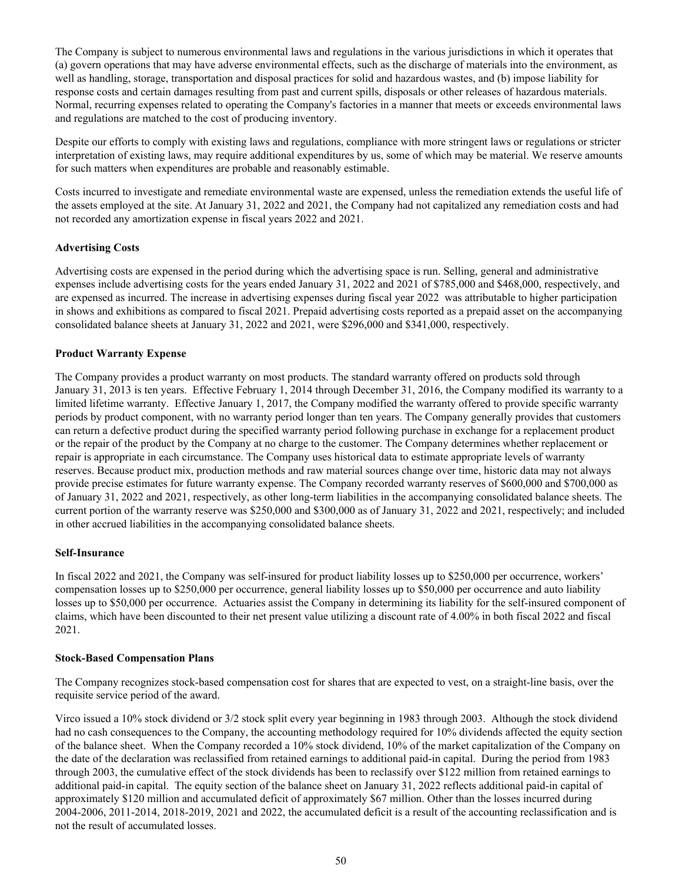The Company is subject to numerous environmental laws and regulations in the various jurisdictions in which it operates that (a) govern operations that may have adverse environmental effects, such as the discharge of materials into the environment, as well as handling, storage, transportation and disposal practices for solid and hazardous wastes, and (b) impose liability for response costs and certain damages resulting from past and current spills, disposals or other releases of hazardous materials. Normal, recurring expenses related to operating the Company's factories in a manner that meets or exceeds environmental laws and regulations are matched to the cost of producing inventory.

Despite our efforts to comply with existing laws and regulations, compliance with more stringent laws or regulations or stricter interpretation of existing laws, may require additional expenditures by us, some of which may be material. We reserve amounts for such matters when expenditures are probable and reasonably estimable.

Costs incurred to investigate and remediate environmental waste are expensed, unless the remediation extends the useful life of the assets employed at the site. At January 31, 2022 and 2021, the Company had not capitalized any remediation costs and had not recorded any amortization expense in fiscal years 2022 and 2021.

## **Advertising Costs**

Advertising costs are expensed in the period during which the advertising space is run. Selling, general and administrative expenses include advertising costs for the years ended January 31, 2022 and 2021 of \$785,000 and \$468,000, respectively, and are expensed as incurred. The increase in advertising expenses during fiscal year 2022 was attributable to higher participation in shows and exhibitions as compared to fiscal 2021. Prepaid advertising costs reported as a prepaid asset on the accompanying consolidated balance sheets at January 31, 2022 and 2021, were \$296,000 and \$341,000, respectively.

## **Product Warranty Expense**

The Company provides a product warranty on most products. The standard warranty offered on products sold through January 31, 2013 is ten years. Effective February 1, 2014 through December 31, 2016, the Company modified its warranty to a limited lifetime warranty. Effective January 1, 2017, the Company modified the warranty offered to provide specific warranty periods by product component, with no warranty period longer than ten years. The Company generally provides that customers can return a defective product during the specified warranty period following purchase in exchange for a replacement product or the repair of the product by the Company at no charge to the customer. The Company determines whether replacement or repair is appropriate in each circumstance. The Company uses historical data to estimate appropriate levels of warranty reserves. Because product mix, production methods and raw material sources change over time, historic data may not always provide precise estimates for future warranty expense. The Company recorded warranty reserves of \$600,000 and \$700,000 as of January 31, 2022 and 2021, respectively, as other long-term liabilities in the accompanying consolidated balance sheets. The current portion of the warranty reserve was \$250,000 and \$300,000 as of January 31, 2022 and 2021, respectively; and included in other accrued liabilities in the accompanying consolidated balance sheets.

## **Self-Insurance**

In fiscal 2022 and 2021, the Company was self-insured for product liability losses up to \$250,000 per occurrence, workers' compensation losses up to \$250,000 per occurrence, general liability losses up to \$50,000 per occurrence and auto liability losses up to \$50,000 per occurrence. Actuaries assist the Company in determining its liability for the self-insured component of claims, which have been discounted to their net present value utilizing a discount rate of 4.00% in both fiscal 2022 and fiscal 2021.

## **Stock-Based Compensation Plans**

The Company recognizes stock-based compensation cost for shares that are expected to vest, on a straight-line basis, over the requisite service period of the award.

Virco issued a 10% stock dividend or 3/2 stock split every year beginning in 1983 through 2003. Although the stock dividend had no cash consequences to the Company, the accounting methodology required for 10% dividends affected the equity section of the balance sheet. When the Company recorded a 10% stock dividend, 10% of the market capitalization of the Company on the date of the declaration was reclassified from retained earnings to additional paid-in capital. During the period from 1983 through 2003, the cumulative effect of the stock dividends has been to reclassify over \$122 million from retained earnings to additional paid-in capital. The equity section of the balance sheet on January 31, 2022 reflects additional paid-in capital of approximately \$120 million and accumulated deficit of approximately \$67 million. Other than the losses incurred during 2004-2006, 2011-2014, 2018-2019, 2021 and 2022, the accumulated deficit is a result of the accounting reclassification and is not the result of accumulated losses.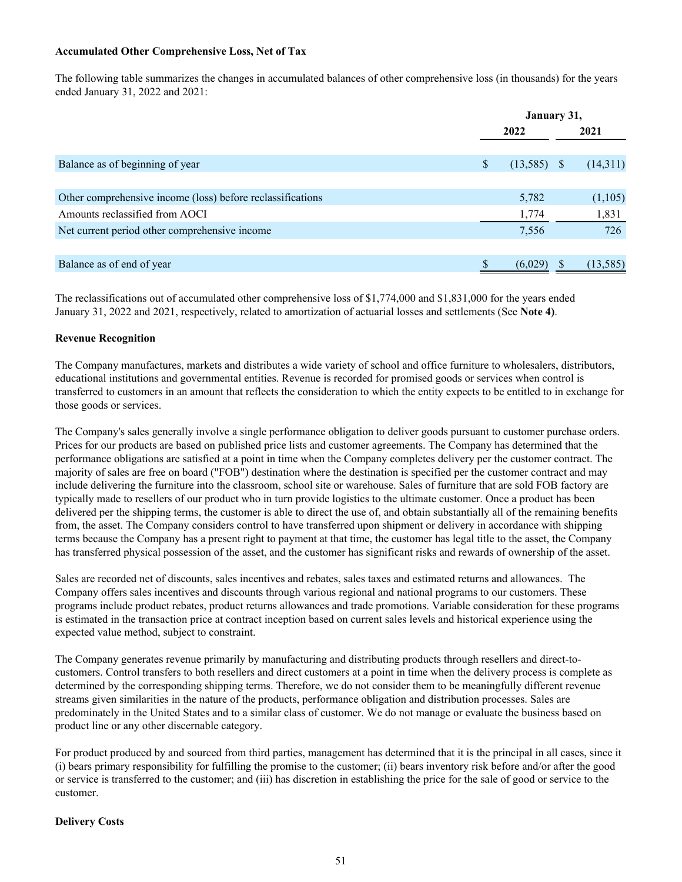#### **Accumulated Other Comprehensive Loss, Net of Tax**

The following table summarizes the changes in accumulated balances of other comprehensive loss (in thousands) for the years ended January 31, 2022 and 2021:

|                                                                                 | January 31, |                |  |              |
|---------------------------------------------------------------------------------|-------------|----------------|--|--------------|
|                                                                                 |             | 2022           |  | 2021         |
| Balance as of beginning of year                                                 | \$          | $(13,585)$ \$  |  | (14,311)     |
| Other comprehensive income (loss) before reclassifications                      |             | 5,782          |  | (1,105)      |
| Amounts reclassified from AOCI<br>Net current period other comprehensive income |             | 1,774<br>7,556 |  | 1,831<br>726 |
|                                                                                 |             |                |  |              |
| Balance as of end of year                                                       |             | (6,029)        |  | (13, 585)    |

The reclassifications out of accumulated other comprehensive loss of \$1,774,000 and \$1,831,000 for the years ended January 31, 2022 and 2021, respectively, related to amortization of actuarial losses and settlements (See **Note 4)**.

#### **Revenue Recognition**

The Company manufactures, markets and distributes a wide variety of school and office furniture to wholesalers, distributors, educational institutions and governmental entities. Revenue is recorded for promised goods or services when control is transferred to customers in an amount that reflects the consideration to which the entity expects to be entitled to in exchange for those goods or services.

The Company's sales generally involve a single performance obligation to deliver goods pursuant to customer purchase orders. Prices for our products are based on published price lists and customer agreements. The Company has determined that the performance obligations are satisfied at a point in time when the Company completes delivery per the customer contract. The majority of sales are free on board ("FOB") destination where the destination is specified per the customer contract and may include delivering the furniture into the classroom, school site or warehouse. Sales of furniture that are sold FOB factory are typically made to resellers of our product who in turn provide logistics to the ultimate customer. Once a product has been delivered per the shipping terms, the customer is able to direct the use of, and obtain substantially all of the remaining benefits from, the asset. The Company considers control to have transferred upon shipment or delivery in accordance with shipping terms because the Company has a present right to payment at that time, the customer has legal title to the asset, the Company has transferred physical possession of the asset, and the customer has significant risks and rewards of ownership of the asset.

Sales are recorded net of discounts, sales incentives and rebates, sales taxes and estimated returns and allowances. The Company offers sales incentives and discounts through various regional and national programs to our customers. These programs include product rebates, product returns allowances and trade promotions. Variable consideration for these programs is estimated in the transaction price at contract inception based on current sales levels and historical experience using the expected value method, subject to constraint.

The Company generates revenue primarily by manufacturing and distributing products through resellers and direct-tocustomers. Control transfers to both resellers and direct customers at a point in time when the delivery process is complete as determined by the corresponding shipping terms. Therefore, we do not consider them to be meaningfully different revenue streams given similarities in the nature of the products, performance obligation and distribution processes. Sales are predominately in the United States and to a similar class of customer. We do not manage or evaluate the business based on product line or any other discernable category.

For product produced by and sourced from third parties, management has determined that it is the principal in all cases, since it (i) bears primary responsibility for fulfilling the promise to the customer; (ii) bears inventory risk before and/or after the good or service is transferred to the customer; and (iii) has discretion in establishing the price for the sale of good or service to the customer.

#### **Delivery Costs**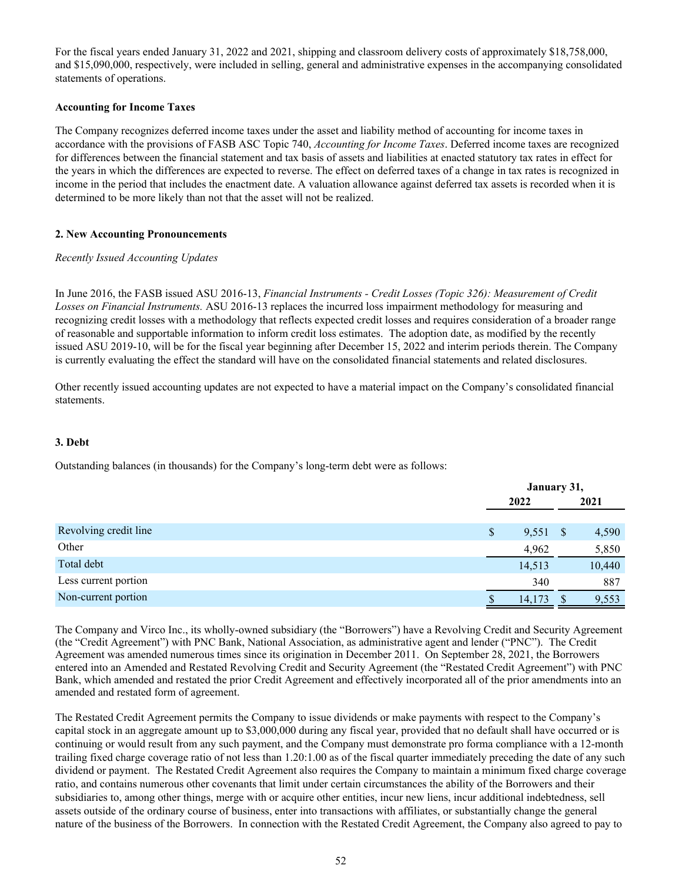For the fiscal years ended January 31, 2022 and 2021, shipping and classroom delivery costs of approximately \$18,758,000, and \$15,090,000, respectively, were included in selling, general and administrative expenses in the accompanying consolidated statements of operations.

## **Accounting for Income Taxes**

The Company recognizes deferred income taxes under the asset and liability method of accounting for income taxes in accordance with the provisions of FASB ASC Topic 740, *Accounting for Income Taxes*. Deferred income taxes are recognized for differences between the financial statement and tax basis of assets and liabilities at enacted statutory tax rates in effect for the years in which the differences are expected to reverse. The effect on deferred taxes of a change in tax rates is recognized in income in the period that includes the enactment date. A valuation allowance against deferred tax assets is recorded when it is determined to be more likely than not that the asset will not be realized.

## **2. New Accounting Pronouncements**

## *Recently Issued Accounting Updates*

In June 2016, the FASB issued ASU 2016-13, *Financial Instruments - Credit Losses (Topic 326): Measurement of Credit Losses on Financial Instruments.* ASU 2016-13 replaces the incurred loss impairment methodology for measuring and recognizing credit losses with a methodology that reflects expected credit losses and requires consideration of a broader range of reasonable and supportable information to inform credit loss estimates. The adoption date, as modified by the recently issued ASU 2019-10, will be for the fiscal year beginning after December 15, 2022 and interim periods therein. The Company is currently evaluating the effect the standard will have on the consolidated financial statements and related disclosures.

Other recently issued accounting updates are not expected to have a material impact on the Company's consolidated financial statements.

## **3. Debt**

Outstanding balances (in thousands) for the Company's long-term debt were as follows:

|                       |      | January 31, |      |        |
|-----------------------|------|-------------|------|--------|
|                       | 2022 |             | 2021 |        |
|                       |      |             |      |        |
| Revolving credit line | \$   | 9,551       | - \$ | 4,590  |
| Other                 |      | 4,962       |      | 5,850  |
| Total debt            |      | 14,513      |      | 10,440 |
| Less current portion  |      | 340         |      | 887    |
| Non-current portion   |      | 14,173      |      | 9,553  |

The Company and Virco Inc., its wholly-owned subsidiary (the "Borrowers") have a Revolving Credit and Security Agreement (the "Credit Agreement") with PNC Bank, National Association, as administrative agent and lender ("PNC"). The Credit Agreement was amended numerous times since its origination in December 2011. On September 28, 2021, the Borrowers entered into an Amended and Restated Revolving Credit and Security Agreement (the "Restated Credit Agreement") with PNC Bank, which amended and restated the prior Credit Agreement and effectively incorporated all of the prior amendments into an amended and restated form of agreement.

The Restated Credit Agreement permits the Company to issue dividends or make payments with respect to the Company's capital stock in an aggregate amount up to \$3,000,000 during any fiscal year, provided that no default shall have occurred or is continuing or would result from any such payment, and the Company must demonstrate pro forma compliance with a 12-month trailing fixed charge coverage ratio of not less than 1.20:1.00 as of the fiscal quarter immediately preceding the date of any such dividend or payment. The Restated Credit Agreement also requires the Company to maintain a minimum fixed charge coverage ratio, and contains numerous other covenants that limit under certain circumstances the ability of the Borrowers and their subsidiaries to, among other things, merge with or acquire other entities, incur new liens, incur additional indebtedness, sell assets outside of the ordinary course of business, enter into transactions with affiliates, or substantially change the general nature of the business of the Borrowers. In connection with the Restated Credit Agreement, the Company also agreed to pay to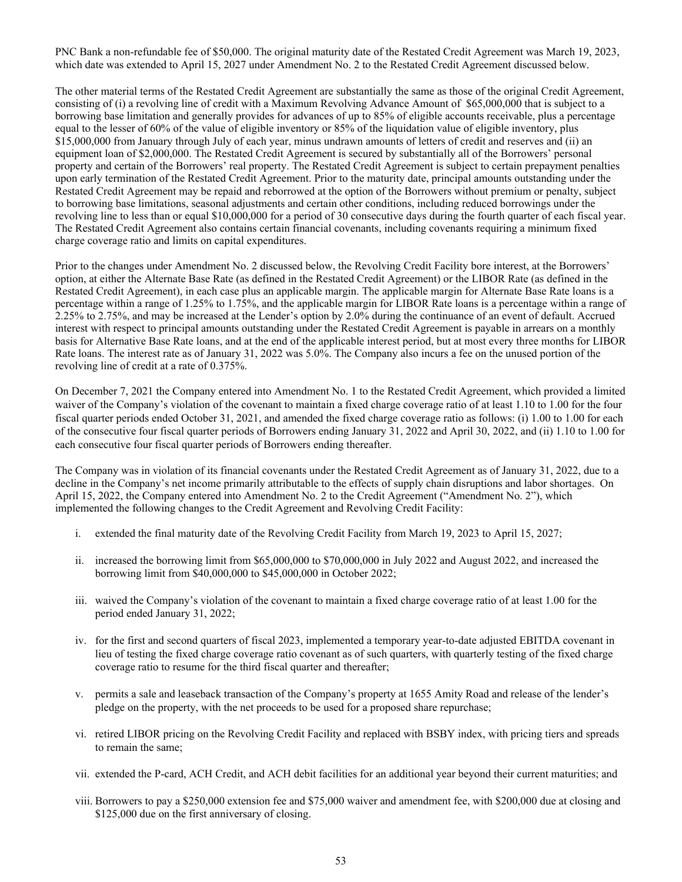PNC Bank a non-refundable fee of \$50,000. The original maturity date of the Restated Credit Agreement was March 19, 2023, which date was extended to April 15, 2027 under Amendment No. 2 to the Restated Credit Agreement discussed below.

The other material terms of the Restated Credit Agreement are substantially the same as those of the original Credit Agreement, consisting of (i) a revolving line of credit with a Maximum Revolving Advance Amount of \$65,000,000 that is subject to a borrowing base limitation and generally provides for advances of up to 85% of eligible accounts receivable, plus a percentage equal to the lesser of 60% of the value of eligible inventory or 85% of the liquidation value of eligible inventory, plus \$15,000,000 from January through July of each year, minus undrawn amounts of letters of credit and reserves and (ii) an equipment loan of \$2,000,000. The Restated Credit Agreement is secured by substantially all of the Borrowers' personal property and certain of the Borrowers' real property. The Restated Credit Agreement is subject to certain prepayment penalties upon early termination of the Restated Credit Agreement. Prior to the maturity date, principal amounts outstanding under the Restated Credit Agreement may be repaid and reborrowed at the option of the Borrowers without premium or penalty, subject to borrowing base limitations, seasonal adjustments and certain other conditions, including reduced borrowings under the revolving line to less than or equal \$10,000,000 for a period of 30 consecutive days during the fourth quarter of each fiscal year. The Restated Credit Agreement also contains certain financial covenants, including covenants requiring a minimum fixed charge coverage ratio and limits on capital expenditures.

Prior to the changes under Amendment No. 2 discussed below, the Revolving Credit Facility bore interest, at the Borrowers' option, at either the Alternate Base Rate (as defined in the Restated Credit Agreement) or the LIBOR Rate (as defined in the Restated Credit Agreement), in each case plus an applicable margin. The applicable margin for Alternate Base Rate loans is a percentage within a range of 1.25% to 1.75%, and the applicable margin for LIBOR Rate loans is a percentage within a range of 2.25% to 2.75%, and may be increased at the Lender's option by 2.0% during the continuance of an event of default. Accrued interest with respect to principal amounts outstanding under the Restated Credit Agreement is payable in arrears on a monthly basis for Alternative Base Rate loans, and at the end of the applicable interest period, but at most every three months for LIBOR Rate loans. The interest rate as of January 31, 2022 was 5.0%. The Company also incurs a fee on the unused portion of the revolving line of credit at a rate of 0.375%.

On December 7, 2021 the Company entered into Amendment No. 1 to the Restated Credit Agreement, which provided a limited waiver of the Company's violation of the covenant to maintain a fixed charge coverage ratio of at least 1.10 to 1.00 for the four fiscal quarter periods ended October 31, 2021, and amended the fixed charge coverage ratio as follows: (i) 1.00 to 1.00 for each of the consecutive four fiscal quarter periods of Borrowers ending January 31, 2022 and April 30, 2022, and (ii) 1.10 to 1.00 for each consecutive four fiscal quarter periods of Borrowers ending thereafter.

The Company was in violation of its financial covenants under the Restated Credit Agreement as of January 31, 2022, due to a decline in the Company's net income primarily attributable to the effects of supply chain disruptions and labor shortages. On April 15, 2022, the Company entered into Amendment No. 2 to the Credit Agreement ("Amendment No. 2"), which implemented the following changes to the Credit Agreement and Revolving Credit Facility:

- i. extended the final maturity date of the Revolving Credit Facility from March 19, 2023 to April 15, 2027;
- ii. increased the borrowing limit from \$65,000,000 to \$70,000,000 in July 2022 and August 2022, and increased the borrowing limit from \$40,000,000 to \$45,000,000 in October 2022;
- iii. waived the Company's violation of the covenant to maintain a fixed charge coverage ratio of at least 1.00 for the period ended January 31, 2022;
- iv. for the first and second quarters of fiscal 2023, implemented a temporary year-to-date adjusted EBITDA covenant in lieu of testing the fixed charge coverage ratio covenant as of such quarters, with quarterly testing of the fixed charge coverage ratio to resume for the third fiscal quarter and thereafter;
- v. permits a sale and leaseback transaction of the Company's property at 1655 Amity Road and release of the lender's pledge on the property, with the net proceeds to be used for a proposed share repurchase;
- vi. retired LIBOR pricing on the Revolving Credit Facility and replaced with BSBY index, with pricing tiers and spreads to remain the same;
- vii. extended the P-card, ACH Credit, and ACH debit facilities for an additional year beyond their current maturities; and
- viii. Borrowers to pay a \$250,000 extension fee and \$75,000 waiver and amendment fee, with \$200,000 due at closing and \$125,000 due on the first anniversary of closing.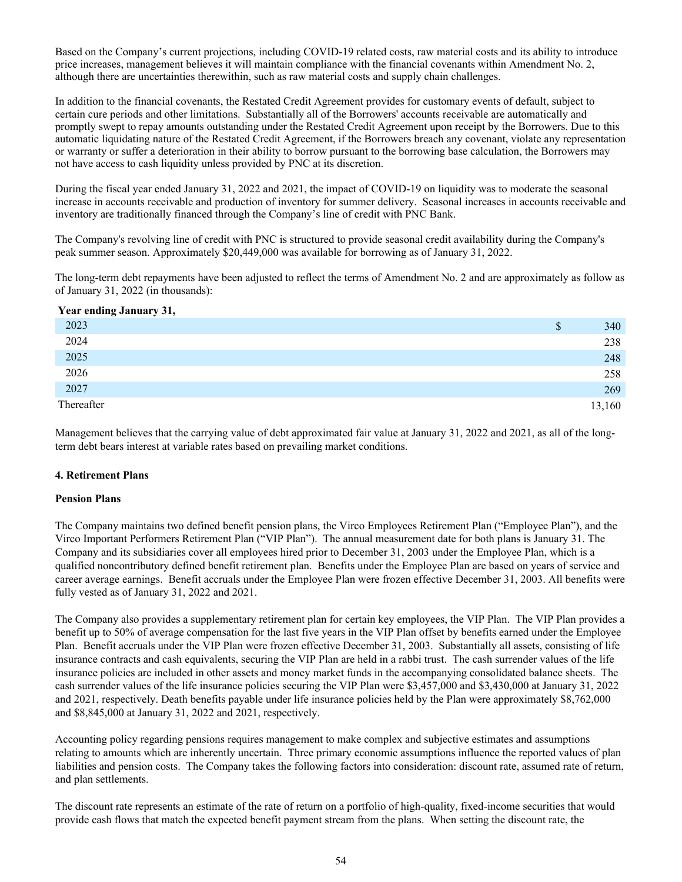Based on the Company's current projections, including COVID-19 related costs, raw material costs and its ability to introduce price increases, management believes it will maintain compliance with the financial covenants within Amendment No. 2, although there are uncertainties therewithin, such as raw material costs and supply chain challenges.

In addition to the financial covenants, the Restated Credit Agreement provides for customary events of default, subject to certain cure periods and other limitations. Substantially all of the Borrowers' accounts receivable are automatically and promptly swept to repay amounts outstanding under the Restated Credit Agreement upon receipt by the Borrowers. Due to this automatic liquidating nature of the Restated Credit Agreement, if the Borrowers breach any covenant, violate any representation or warranty or suffer a deterioration in their ability to borrow pursuant to the borrowing base calculation, the Borrowers may not have access to cash liquidity unless provided by PNC at its discretion.

During the fiscal year ended January 31, 2022 and 2021, the impact of COVID-19 on liquidity was to moderate the seasonal increase in accounts receivable and production of inventory for summer delivery. Seasonal increases in accounts receivable and inventory are traditionally financed through the Company's line of credit with PNC Bank.

The Company's revolving line of credit with PNC is structured to provide seasonal credit availability during the Company's peak summer season. Approximately \$20,449,000 was available for borrowing as of January 31, 2022.

The long-term debt repayments have been adjusted to reflect the terms of Amendment No. 2 and are approximately as follow as of January 31, 2022 (in thousands):

| 2023       | $\ddot{\bullet}$ | 340    |
|------------|------------------|--------|
| 2024       |                  | 238    |
| 2025       |                  | 248    |
| 2026       |                  | 258    |
| 2027       |                  | 269    |
| Thereafter |                  | 13,160 |

Management believes that the carrying value of debt approximated fair value at January 31, 2022 and 2021, as all of the longterm debt bears interest at variable rates based on prevailing market conditions.

## **4. Retirement Plans**

**Year ending January 31,**

#### **Pension Plans**

The Company maintains two defined benefit pension plans, the Virco Employees Retirement Plan ("Employee Plan"), and the Virco Important Performers Retirement Plan ("VIP Plan"). The annual measurement date for both plans is January 31. The Company and its subsidiaries cover all employees hired prior to December 31, 2003 under the Employee Plan, which is a qualified noncontributory defined benefit retirement plan. Benefits under the Employee Plan are based on years of service and career average earnings. Benefit accruals under the Employee Plan were frozen effective December 31, 2003. All benefits were fully vested as of January 31, 2022 and 2021.

The Company also provides a supplementary retirement plan for certain key employees, the VIP Plan. The VIP Plan provides a benefit up to 50% of average compensation for the last five years in the VIP Plan offset by benefits earned under the Employee Plan. Benefit accruals under the VIP Plan were frozen effective December 31, 2003. Substantially all assets, consisting of life insurance contracts and cash equivalents, securing the VIP Plan are held in a rabbi trust. The cash surrender values of the life insurance policies are included in other assets and money market funds in the accompanying consolidated balance sheets. The cash surrender values of the life insurance policies securing the VIP Plan were \$3,457,000 and \$3,430,000 at January 31, 2022 and 2021, respectively. Death benefits payable under life insurance policies held by the Plan were approximately \$8,762,000 and \$8,845,000 at January 31, 2022 and 2021, respectively.

Accounting policy regarding pensions requires management to make complex and subjective estimates and assumptions relating to amounts which are inherently uncertain. Three primary economic assumptions influence the reported values of plan liabilities and pension costs. The Company takes the following factors into consideration: discount rate, assumed rate of return, and plan settlements.

The discount rate represents an estimate of the rate of return on a portfolio of high-quality, fixed-income securities that would provide cash flows that match the expected benefit payment stream from the plans. When setting the discount rate, the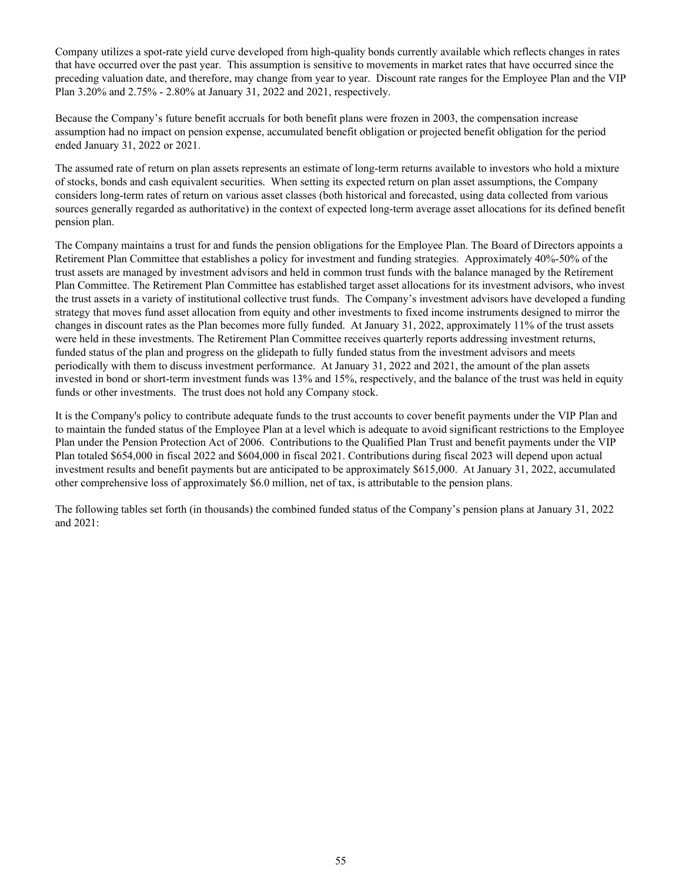Company utilizes a spot-rate yield curve developed from high-quality bonds currently available which reflects changes in rates that have occurred over the past year. This assumption is sensitive to movements in market rates that have occurred since the preceding valuation date, and therefore, may change from year to year. Discount rate ranges for the Employee Plan and the VIP Plan 3.20% and 2.75% - 2.80% at January 31, 2022 and 2021, respectively.

Because the Company's future benefit accruals for both benefit plans were frozen in 2003, the compensation increase assumption had no impact on pension expense, accumulated benefit obligation or projected benefit obligation for the period ended January 31, 2022 or 2021.

The assumed rate of return on plan assets represents an estimate of long-term returns available to investors who hold a mixture of stocks, bonds and cash equivalent securities. When setting its expected return on plan asset assumptions, the Company considers long-term rates of return on various asset classes (both historical and forecasted, using data collected from various sources generally regarded as authoritative) in the context of expected long-term average asset allocations for its defined benefit pension plan.

The Company maintains a trust for and funds the pension obligations for the Employee Plan. The Board of Directors appoints a Retirement Plan Committee that establishes a policy for investment and funding strategies. Approximately 40%-50% of the trust assets are managed by investment advisors and held in common trust funds with the balance managed by the Retirement Plan Committee. The Retirement Plan Committee has established target asset allocations for its investment advisors, who invest the trust assets in a variety of institutional collective trust funds. The Company's investment advisors have developed a funding strategy that moves fund asset allocation from equity and other investments to fixed income instruments designed to mirror the changes in discount rates as the Plan becomes more fully funded. At January 31, 2022, approximately 11% of the trust assets were held in these investments. The Retirement Plan Committee receives quarterly reports addressing investment returns, funded status of the plan and progress on the glidepath to fully funded status from the investment advisors and meets periodically with them to discuss investment performance. At January 31, 2022 and 2021, the amount of the plan assets invested in bond or short-term investment funds was 13% and 15%, respectively, and the balance of the trust was held in equity funds or other investments. The trust does not hold any Company stock.

It is the Company's policy to contribute adequate funds to the trust accounts to cover benefit payments under the VIP Plan and to maintain the funded status of the Employee Plan at a level which is adequate to avoid significant restrictions to the Employee Plan under the Pension Protection Act of 2006. Contributions to the Qualified Plan Trust and benefit payments under the VIP Plan totaled \$654,000 in fiscal 2022 and \$604,000 in fiscal 2021. Contributions during fiscal 2023 will depend upon actual investment results and benefit payments but are anticipated to be approximately \$615,000. At January 31, 2022, accumulated other comprehensive loss of approximately \$6.0 million, net of tax, is attributable to the pension plans.

The following tables set forth (in thousands) the combined funded status of the Company's pension plans at January 31, 2022 and 2021: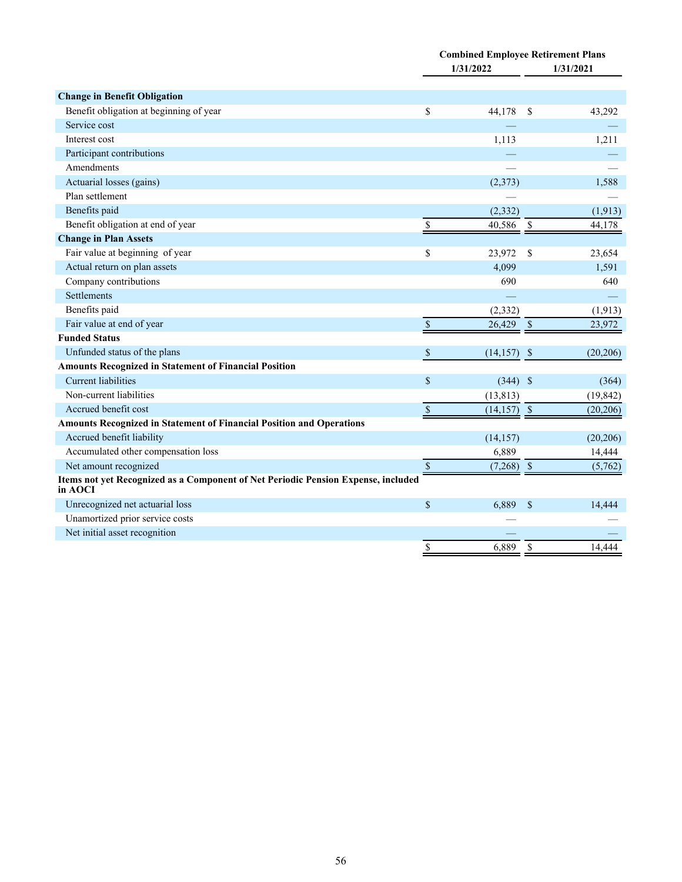|                                                                                              | <b>Combined Employee Retirement Plans</b> |                |                    |           |
|----------------------------------------------------------------------------------------------|-------------------------------------------|----------------|--------------------|-----------|
|                                                                                              |                                           | 1/31/2022      |                    | 1/31/2021 |
|                                                                                              |                                           |                |                    |           |
| <b>Change in Benefit Obligation</b>                                                          |                                           |                |                    |           |
| Benefit obligation at beginning of year                                                      | \$                                        | 44,178         | - \$               | 43,292    |
| Service cost                                                                                 |                                           |                |                    |           |
| Interest cost                                                                                |                                           | 1,113          |                    | 1,211     |
| Participant contributions                                                                    |                                           |                |                    |           |
| Amendments                                                                                   |                                           |                |                    |           |
| Actuarial losses (gains)                                                                     |                                           | (2,373)        |                    | 1,588     |
| Plan settlement                                                                              |                                           |                |                    |           |
| Benefits paid                                                                                |                                           | (2, 332)       |                    | (1, 913)  |
| Benefit obligation at end of year                                                            | \$                                        | 40,586         | \$                 | 44,178    |
| <b>Change in Plan Assets</b>                                                                 |                                           |                |                    |           |
| Fair value at beginning of year                                                              | \$                                        | 23,972         | S                  | 23,654    |
| Actual return on plan assets                                                                 |                                           | 4,099          |                    | 1,591     |
| Company contributions                                                                        |                                           | 690            |                    | 640       |
| Settlements                                                                                  |                                           |                |                    |           |
| Benefits paid                                                                                |                                           | (2, 332)       |                    | (1, 913)  |
| Fair value at end of year                                                                    | $\mathbf{\hat{S}}$                        | 26,429         | $\mathbf{\hat{s}}$ | 23,972    |
| <b>Funded Status</b>                                                                         |                                           |                |                    |           |
| Unfunded status of the plans                                                                 | \$                                        | (14, 157)      | - \$               | (20, 206) |
| <b>Amounts Recognized in Statement of Financial Position</b>                                 |                                           |                |                    |           |
| <b>Current liabilities</b>                                                                   | \$                                        | $(344)$ \$     |                    | (364)     |
| Non-current liabilities                                                                      |                                           | (13, 813)      |                    | (19, 842) |
| Accrued benefit cost                                                                         | \$                                        | $(14, 157)$ \$ |                    | (20, 206) |
| <b>Amounts Recognized in Statement of Financial Position and Operations</b>                  |                                           |                |                    |           |
| Accrued benefit liability                                                                    |                                           | (14, 157)      |                    | (20, 206) |
| Accumulated other compensation loss                                                          |                                           | 6,889          |                    | 14,444    |
| Net amount recognized                                                                        | $\mathbb S$                               | $(7,268)$ \$   |                    | (5,762)   |
| Items not yet Recognized as a Component of Net Periodic Pension Expense, included<br>in AOCI |                                           |                |                    |           |
| Unrecognized net actuarial loss                                                              | \$                                        | 6,889          | \$                 | 14,444    |
| Unamortized prior service costs                                                              |                                           |                |                    |           |
| Net initial asset recognition                                                                |                                           |                |                    |           |
|                                                                                              | $\frac{\mathsf{s}}{\mathsf{s}}$           | 6,889          | \$                 | 14,444    |
|                                                                                              |                                           |                |                    |           |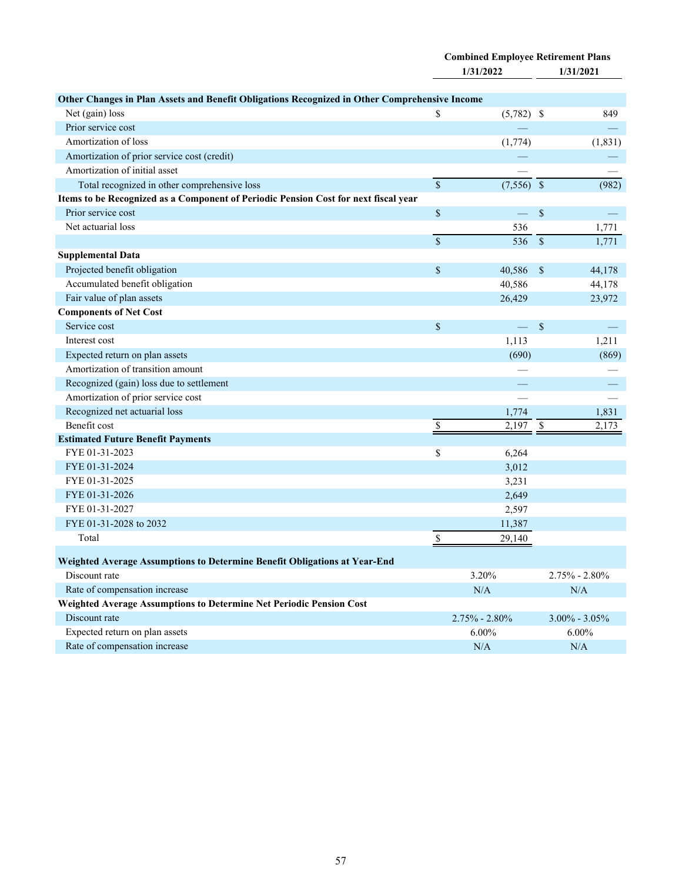|                                                                                               |                           | <b>Combined Employee Retirement Plans</b><br>1/31/2022 |                    | 1/31/2021         |  |
|-----------------------------------------------------------------------------------------------|---------------------------|--------------------------------------------------------|--------------------|-------------------|--|
|                                                                                               |                           |                                                        |                    |                   |  |
| Other Changes in Plan Assets and Benefit Obligations Recognized in Other Comprehensive Income |                           |                                                        |                    |                   |  |
| Net (gain) loss                                                                               | \$                        | $(5,782)$ \$                                           |                    | 849               |  |
| Prior service cost                                                                            |                           |                                                        |                    |                   |  |
| Amortization of loss                                                                          |                           | (1,774)                                                |                    | (1, 831)          |  |
| Amortization of prior service cost (credit)                                                   |                           |                                                        |                    |                   |  |
| Amortization of initial asset                                                                 |                           |                                                        |                    |                   |  |
| Total recognized in other comprehensive loss                                                  | $\boldsymbol{\mathsf{S}}$ | $(7,556)$ \$                                           |                    | (982)             |  |
| Items to be Recognized as a Component of Periodic Pension Cost for next fiscal year           |                           |                                                        |                    |                   |  |
| Prior service cost                                                                            | $\$$                      |                                                        | \$                 |                   |  |
| Net actuarial loss                                                                            |                           | 536                                                    |                    | 1,771             |  |
|                                                                                               | $\sqrt{\ }$               | 536                                                    | $\mathsf{\$}$      | 1,771             |  |
| <b>Supplemental Data</b>                                                                      |                           |                                                        |                    |                   |  |
| Projected benefit obligation                                                                  | \$                        | 40,586                                                 | <sup>\$</sup>      | 44,178            |  |
| Accumulated benefit obligation                                                                |                           | 40,586                                                 |                    | 44,178            |  |
| Fair value of plan assets                                                                     |                           | 26,429                                                 |                    | 23,972            |  |
| <b>Components of Net Cost</b>                                                                 |                           |                                                        |                    |                   |  |
| Service cost                                                                                  | \$                        | $\qquad \qquad -$                                      | $\mathbf{\hat{S}}$ |                   |  |
| Interest cost                                                                                 |                           | 1,113                                                  |                    | 1,211             |  |
| Expected return on plan assets                                                                |                           | (690)                                                  |                    | (869)             |  |
| Amortization of transition amount                                                             |                           |                                                        |                    |                   |  |
| Recognized (gain) loss due to settlement                                                      |                           |                                                        |                    |                   |  |
| Amortization of prior service cost                                                            |                           |                                                        |                    |                   |  |
| Recognized net actuarial loss                                                                 |                           | 1,774                                                  |                    | 1,831             |  |
| Benefit cost                                                                                  | \$                        | 2,197                                                  | -\$                | 2,173             |  |
| <b>Estimated Future Benefit Payments</b>                                                      |                           |                                                        |                    |                   |  |
| FYE 01-31-2023                                                                                | \$                        | 6,264                                                  |                    |                   |  |
| FYE 01-31-2024                                                                                |                           | 3,012                                                  |                    |                   |  |
| FYE 01-31-2025                                                                                |                           | 3,231                                                  |                    |                   |  |
| FYE 01-31-2026                                                                                |                           | 2,649                                                  |                    |                   |  |
| FYE 01-31-2027                                                                                |                           | 2,597                                                  |                    |                   |  |
| FYE 01-31-2028 to 2032                                                                        |                           | 11,387                                                 |                    |                   |  |
| Total                                                                                         | \$                        | 29,140                                                 |                    |                   |  |
| Weighted Average Assumptions to Determine Benefit Obligations at Year-End                     |                           |                                                        |                    |                   |  |
| Discount rate                                                                                 |                           | 3.20%                                                  |                    | $2.75\% - 2.80\%$ |  |
| Rate of compensation increase                                                                 |                           | N/A                                                    |                    | $\rm N/A$         |  |
| Weighted Average Assumptions to Determine Net Periodic Pension Cost                           |                           |                                                        |                    |                   |  |
| Discount rate                                                                                 |                           | $2.75\% - 2.80\%$                                      |                    | $3.00\% - 3.05\%$ |  |
| Expected return on plan assets                                                                |                           | $6.00\%$                                               |                    | $6.00\%$          |  |
| Rate of compensation increase                                                                 |                           | $\rm N/A$                                              |                    | $\rm N/A$         |  |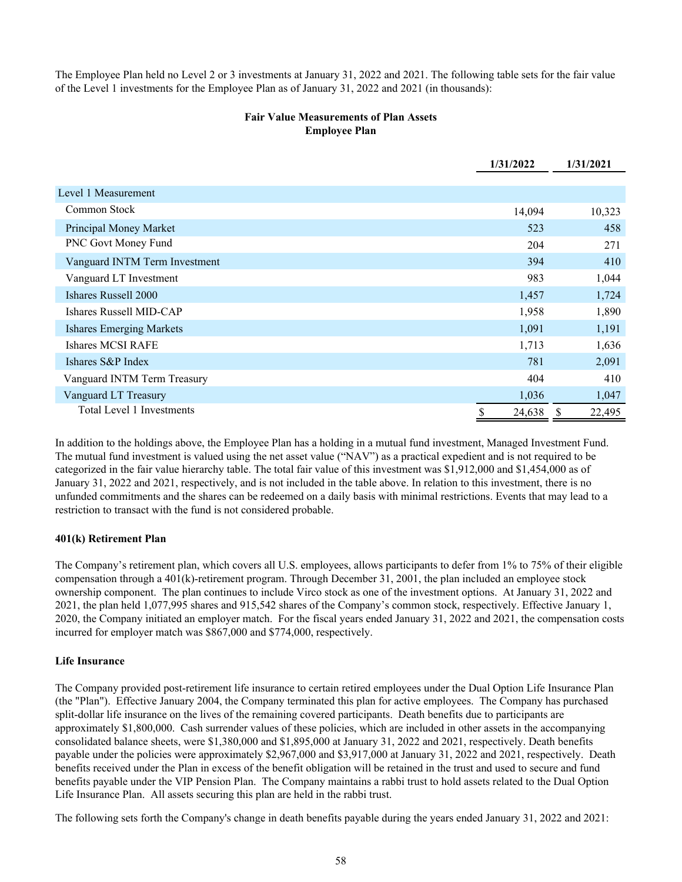The Employee Plan held no Level 2 or 3 investments at January 31, 2022 and 2021. The following table sets for the fair value of the Level 1 investments for the Employee Plan as of January 31, 2022 and 2021 (in thousands):

#### **Fair Value Measurements of Plan Assets Employee Plan**

|                                 | 1/31/2022    | 1/31/2021    |
|---------------------------------|--------------|--------------|
|                                 |              |              |
| Level 1 Measurement             |              |              |
| Common Stock                    | 14,094       | 10,323       |
| Principal Money Market          | 523          | 458          |
| PNC Govt Money Fund             | 204          | 271          |
| Vanguard INTM Term Investment   | 394          | 410          |
| Vanguard LT Investment          | 983          | 1,044        |
| Ishares Russell 2000            | 1,457        | 1,724        |
| Ishares Russell MID-CAP         | 1,958        | 1,890        |
| <b>Ishares Emerging Markets</b> | 1,091        | 1,191        |
| Ishares MCSI RAFE               | 1,713        | 1,636        |
| Ishares S&P Index               | 781          | 2,091        |
| Vanguard INTM Term Treasury     | 404          | 410          |
| Vanguard LT Treasury            | 1,036        | 1,047        |
| Total Level 1 Investments       | \$<br>24,638 | 22,495<br>\$ |

In addition to the holdings above, the Employee Plan has a holding in a mutual fund investment, Managed Investment Fund. The mutual fund investment is valued using the net asset value ("NAV") as a practical expedient and is not required to be categorized in the fair value hierarchy table. The total fair value of this investment was \$1,912,000 and \$1,454,000 as of January 31, 2022 and 2021, respectively, and is not included in the table above. In relation to this investment, there is no unfunded commitments and the shares can be redeemed on a daily basis with minimal restrictions. Events that may lead to a restriction to transact with the fund is not considered probable.

## **401(k) Retirement Plan**

The Company's retirement plan, which covers all U.S. employees, allows participants to defer from 1% to 75% of their eligible compensation through a 401(k)-retirement program. Through December 31, 2001, the plan included an employee stock ownership component. The plan continues to include Virco stock as one of the investment options. At January 31, 2022 and 2021, the plan held 1,077,995 shares and 915,542 shares of the Company's common stock, respectively. Effective January 1, 2020, the Company initiated an employer match. For the fiscal years ended January 31, 2022 and 2021, the compensation costs incurred for employer match was \$867,000 and \$774,000, respectively.

## **Life Insurance**

The Company provided post-retirement life insurance to certain retired employees under the Dual Option Life Insurance Plan (the "Plan"). Effective January 2004, the Company terminated this plan for active employees. The Company has purchased split-dollar life insurance on the lives of the remaining covered participants. Death benefits due to participants are approximately \$1,800,000. Cash surrender values of these policies, which are included in other assets in the accompanying consolidated balance sheets, were \$1,380,000 and \$1,895,000 at January 31, 2022 and 2021, respectively. Death benefits payable under the policies were approximately \$2,967,000 and \$3,917,000 at January 31, 2022 and 2021, respectively. Death benefits received under the Plan in excess of the benefit obligation will be retained in the trust and used to secure and fund benefits payable under the VIP Pension Plan. The Company maintains a rabbi trust to hold assets related to the Dual Option Life Insurance Plan. All assets securing this plan are held in the rabbi trust.

The following sets forth the Company's change in death benefits payable during the years ended January 31, 2022 and 2021: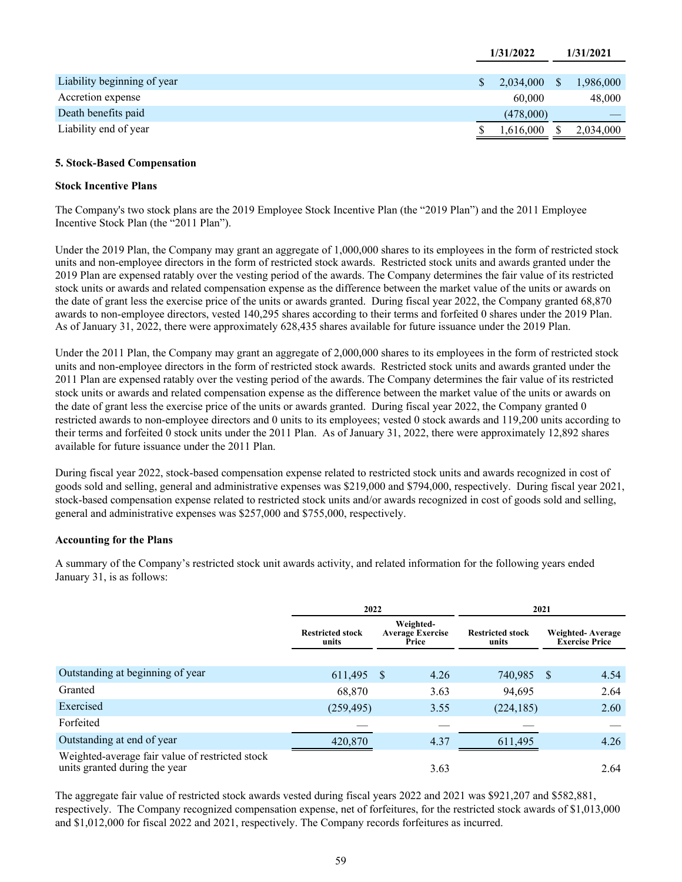|                             | 1/31/2022 |   | 1/31/2021 |  |
|-----------------------------|-----------|---|-----------|--|
|                             |           |   |           |  |
| Liability beginning of year | 2,034,000 | S | 1,986,000 |  |
| Accretion expense           | 60,000    |   | 48,000    |  |
| Death benefits paid         | (478,000) |   |           |  |
| Liability end of year       | 1,616,000 |   | 2,034,000 |  |
|                             |           |   |           |  |

## **5. Stock-Based Compensation**

## **Stock Incentive Plans**

The Company's two stock plans are the 2019 Employee Stock Incentive Plan (the "2019 Plan") and the 2011 Employee Incentive Stock Plan (the "2011 Plan").

Under the 2019 Plan, the Company may grant an aggregate of 1,000,000 shares to its employees in the form of restricted stock units and non-employee directors in the form of restricted stock awards. Restricted stock units and awards granted under the 2019 Plan are expensed ratably over the vesting period of the awards. The Company determines the fair value of its restricted stock units or awards and related compensation expense as the difference between the market value of the units or awards on the date of grant less the exercise price of the units or awards granted. During fiscal year 2022, the Company granted 68,870 awards to non-employee directors, vested 140,295 shares according to their terms and forfeited 0 shares under the 2019 Plan. As of January 31, 2022, there were approximately 628,435 shares available for future issuance under the 2019 Plan.

Under the 2011 Plan, the Company may grant an aggregate of 2,000,000 shares to its employees in the form of restricted stock units and non-employee directors in the form of restricted stock awards. Restricted stock units and awards granted under the 2011 Plan are expensed ratably over the vesting period of the awards. The Company determines the fair value of its restricted stock units or awards and related compensation expense as the difference between the market value of the units or awards on the date of grant less the exercise price of the units or awards granted. During fiscal year 2022, the Company granted 0 restricted awards to non-employee directors and 0 units to its employees; vested 0 stock awards and 119,200 units according to their terms and forfeited 0 stock units under the 2011 Plan. As of January 31, 2022, there were approximately 12,892 shares available for future issuance under the 2011 Plan.

During fiscal year 2022, stock-based compensation expense related to restricted stock units and awards recognized in cost of goods sold and selling, general and administrative expenses was \$219,000 and \$794,000, respectively. During fiscal year 2021, stock-based compensation expense related to restricted stock units and/or awards recognized in cost of goods sold and selling, general and administrative expenses was \$257,000 and \$755,000, respectively.

## **Accounting for the Plans**

A summary of the Company's restricted stock unit awards activity, and related information for the following years ended January 31, is as follows:

|                                                                                  |                                  | 2022<br>2021 |                                               |                                  |              |                                           |
|----------------------------------------------------------------------------------|----------------------------------|--------------|-----------------------------------------------|----------------------------------|--------------|-------------------------------------------|
|                                                                                  | <b>Restricted stock</b><br>units |              | Weighted-<br><b>Average Exercise</b><br>Price | <b>Restricted stock</b><br>units |              | Weighted-Average<br><b>Exercise Price</b> |
|                                                                                  |                                  |              |                                               |                                  |              |                                           |
| Outstanding at beginning of year                                                 | 611,495                          | - \$         | 4.26                                          | 740,985                          | <sup>S</sup> | 4.54                                      |
| Granted                                                                          | 68,870                           |              | 3.63                                          | 94,695                           |              | 2.64                                      |
| Exercised                                                                        | (259, 495)                       |              | 3.55                                          | (224, 185)                       |              | 2.60                                      |
| Forfeited                                                                        |                                  |              |                                               |                                  |              |                                           |
| Outstanding at end of year                                                       | 420,870                          |              | 4.37                                          | 611,495                          |              | 4.26                                      |
| Weighted-average fair value of restricted stock<br>units granted during the year |                                  |              | 3.63                                          |                                  |              | 2.64                                      |

The aggregate fair value of restricted stock awards vested during fiscal years 2022 and 2021 was \$921,207 and \$582,881, respectively. The Company recognized compensation expense, net of forfeitures, for the restricted stock awards of \$1,013,000 and \$1,012,000 for fiscal 2022 and 2021, respectively. The Company records forfeitures as incurred.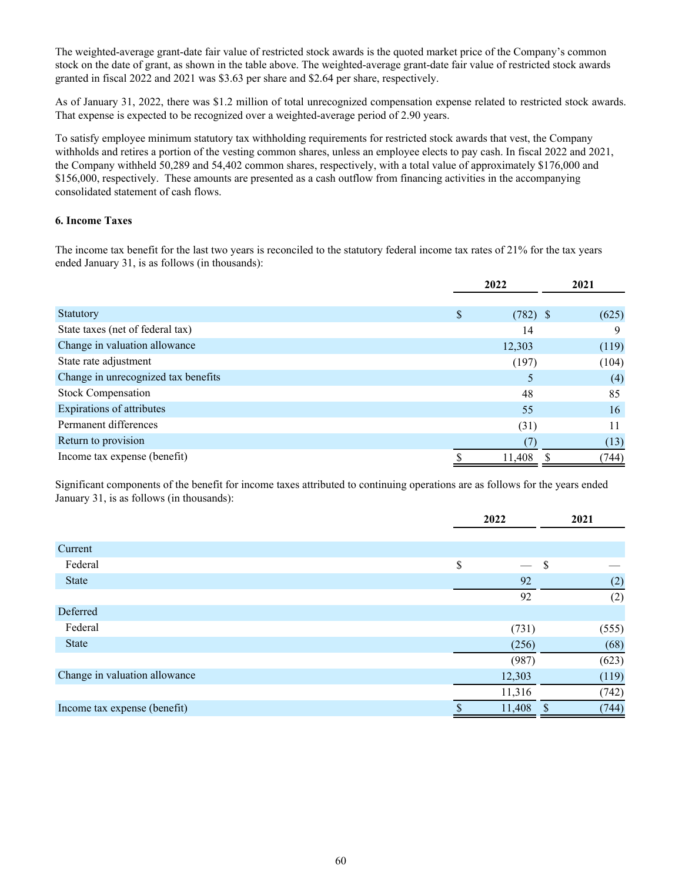The weighted-average grant-date fair value of restricted stock awards is the quoted market price of the Company's common stock on the date of grant, as shown in the table above. The weighted-average grant-date fair value of restricted stock awards granted in fiscal 2022 and 2021 was \$3.63 per share and \$2.64 per share, respectively.

As of January 31, 2022, there was \$1.2 million of total unrecognized compensation expense related to restricted stock awards. That expense is expected to be recognized over a weighted-average period of 2.90 years.

To satisfy employee minimum statutory tax withholding requirements for restricted stock awards that vest, the Company withholds and retires a portion of the vesting common shares, unless an employee elects to pay cash. In fiscal 2022 and 2021, the Company withheld 50,289 and 54,402 common shares, respectively, with a total value of approximately \$176,000 and \$156,000, respectively. These amounts are presented as a cash outflow from financing activities in the accompanying consolidated statement of cash flows.

## **6. Income Taxes**

The income tax benefit for the last two years is reconciled to the statutory federal income tax rates of 21% for the tax years ended January 31, is as follows (in thousands):

|                                     | 2022             | 2021       |  |
|-------------------------------------|------------------|------------|--|
| Statutory                           | \$<br>$(782)$ \$ |            |  |
| State taxes (net of federal tax)    | 14               | (625)<br>9 |  |
| Change in valuation allowance       | 12,303           | (119)      |  |
| State rate adjustment               | (197)            | (104)      |  |
| Change in unrecognized tax benefits | $\mathcal{L}$    | (4)        |  |
| <b>Stock Compensation</b>           | 48               | 85         |  |
| Expirations of attributes           | 55               | 16         |  |
| Permanent differences               | (31)             | 11         |  |
| Return to provision                 | (7)              | (13)       |  |
| Income tax expense (benefit)        | 11,408           | (744)      |  |

Significant components of the benefit for income taxes attributed to continuing operations are as follows for the years ended January 31, is as follows (in thousands):

|                               | 2022 | 2021                  |
|-------------------------------|------|-----------------------|
|                               |      |                       |
| Current                       |      |                       |
| Federal                       | \$   | \$                    |
| State                         |      | 92<br>(2)             |
|                               |      | 92<br>(2)             |
| Deferred                      |      |                       |
| Federal                       |      | (731)<br>(555)        |
| State                         |      | (68)<br>(256)         |
|                               |      | (623)<br>(987)        |
| Change in valuation allowance |      | 12,303<br>(119)       |
|                               |      | 11,316<br>(742)       |
| Income tax expense (benefit)  |      | 11,408<br>(744)<br>\$ |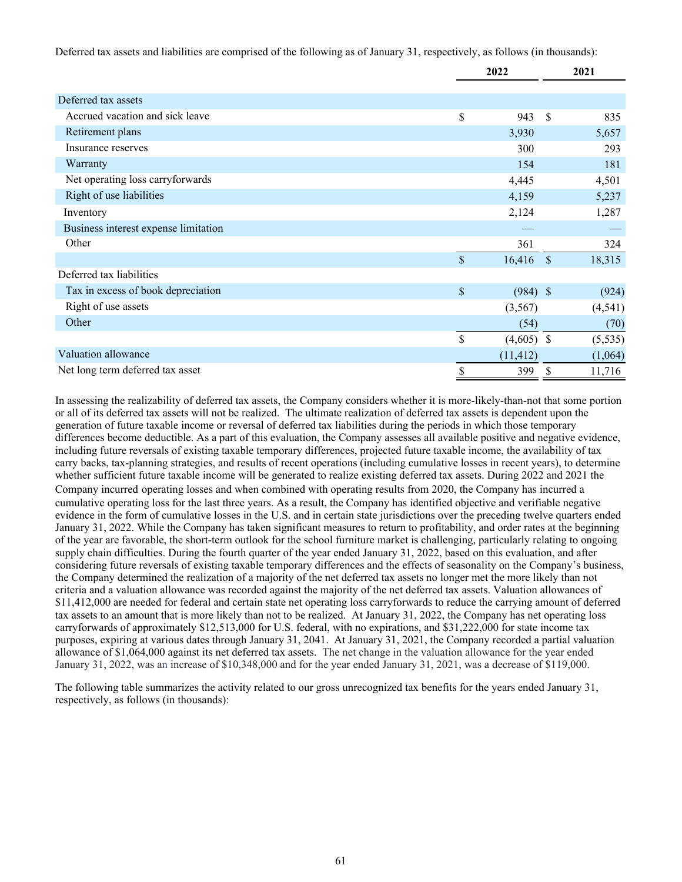Deferred tax assets and liabilities are comprised of the following as of January 31, respectively, as follows (in thousands):

|                                      | 2022                     | 2021     |
|--------------------------------------|--------------------------|----------|
| Deferred tax assets                  |                          |          |
| Accrued vacation and sick leave      | \$<br>943<br>\$          | 835      |
| Retirement plans                     | 3,930                    | 5,657    |
| Insurance reserves                   | 300                      | 293      |
| Warranty                             | 154                      | 181      |
| Net operating loss carryforwards     | 4,445                    | 4,501    |
| Right of use liabilities             | 4,159                    | 5,237    |
| Inventory                            | 2,124                    | 1,287    |
| Business interest expense limitation |                          |          |
| Other                                | 361                      | 324      |
|                                      | \$<br><b>S</b><br>16,416 | 18,315   |
| Deferred tax liabilities             |                          |          |
| Tax in excess of book depreciation   | \$<br>$(984)$ \$         | (924)    |
| Right of use assets                  | (3, 567)                 | (4, 541) |
| Other                                | (54)                     | (70)     |
|                                      | \$<br>$(4,605)$ \$       | (5, 535) |
| Valuation allowance                  | (11, 412)                | (1,064)  |
| Net long term deferred tax asset     | \$<br>399<br>S           | 11,716   |

In assessing the realizability of deferred tax assets, the Company considers whether it is more-likely-than-not that some portion or all of its deferred tax assets will not be realized. The ultimate realization of deferred tax assets is dependent upon the generation of future taxable income or reversal of deferred tax liabilities during the periods in which those temporary differences become deductible. As a part of this evaluation, the Company assesses all available positive and negative evidence, including future reversals of existing taxable temporary differences, projected future taxable income, the availability of tax carry backs, tax-planning strategies, and results of recent operations (including cumulative losses in recent years), to determine whether sufficient future taxable income will be generated to realize existing deferred tax assets. During 2022 and 2021 the Company incurred operating losses and when combined with operating results from 2020, the Company has incurred a cumulative operating loss for the last three years. As a result, the Company has identified objective and verifiable negative evidence in the form of cumulative losses in the U.S. and in certain state jurisdictions over the preceding twelve quarters ended January 31, 2022. While the Company has taken significant measures to return to profitability, and order rates at the beginning of the year are favorable, the short-term outlook for the school furniture market is challenging, particularly relating to ongoing supply chain difficulties. During the fourth quarter of the year ended January 31, 2022, based on this evaluation, and after considering future reversals of existing taxable temporary differences and the effects of seasonality on the Company's business, the Company determined the realization of a majority of the net deferred tax assets no longer met the more likely than not criteria and a valuation allowance was recorded against the majority of the net deferred tax assets. Valuation allowances of \$11,412,000 are needed for federal and certain state net operating loss carryforwards to reduce the carrying amount of deferred tax assets to an amount that is more likely than not to be realized. At January 31, 2022, the Company has net operating loss carryforwards of approximately \$12,513,000 for U.S. federal, with no expirations, and \$31,222,000 for state income tax purposes, expiring at various dates through January 31, 2041. At January 31, 2021, the Company recorded a partial valuation allowance of \$1,064,000 against its net deferred tax assets. The net change in the valuation allowance for the year ended January 31, 2022, was an increase of \$10,348,000 and for the year ended January 31, 2021, was a decrease of \$119,000.

The following table summarizes the activity related to our gross unrecognized tax benefits for the years ended January 31, respectively, as follows (in thousands):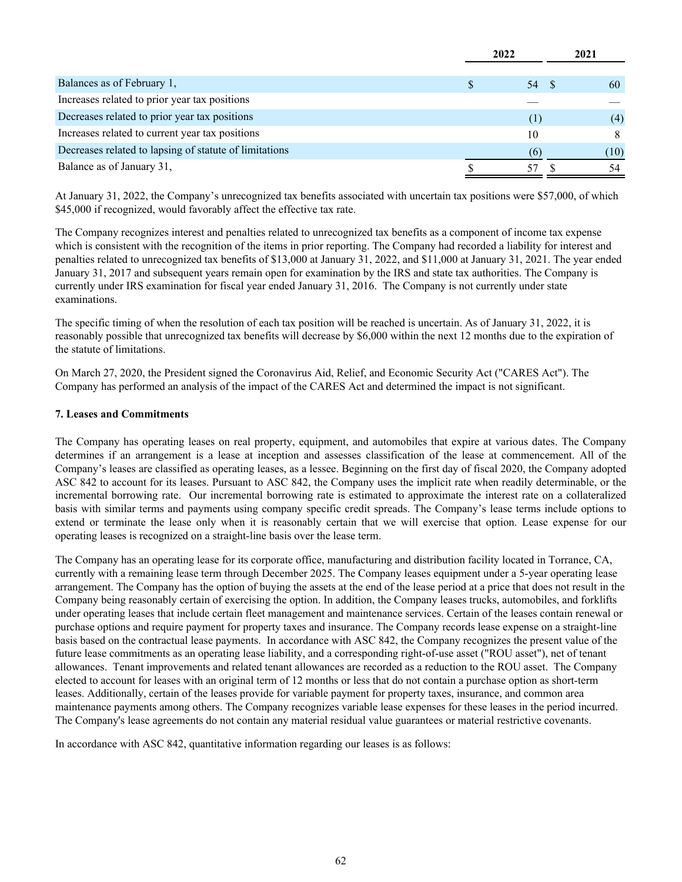|                                                        | 2022 |      | 2021 |  |
|--------------------------------------------------------|------|------|------|--|
|                                                        |      |      |      |  |
| Balances as of February 1,                             |      | 54 S | 60   |  |
| Increases related to prior year tax positions          |      |      |      |  |
| Decreases related to prior year tax positions          |      | (1)  | (4)  |  |
| Increases related to current year tax positions        |      | 10   |      |  |
| Decreases related to lapsing of statute of limitations |      | (6)  | (10) |  |
| Balance as of January 31,                              |      | 57   |      |  |

At January 31, 2022, the Company's unrecognized tax benefits associated with uncertain tax positions were \$57,000, of which \$45,000 if recognized, would favorably affect the effective tax rate.

The Company recognizes interest and penalties related to unrecognized tax benefits as a component of income tax expense which is consistent with the recognition of the items in prior reporting. The Company had recorded a liability for interest and penalties related to unrecognized tax benefits of \$13,000 at January 31, 2022, and \$11,000 at January 31, 2021. The year ended January 31, 2017 and subsequent years remain open for examination by the IRS and state tax authorities. The Company is currently under IRS examination for fiscal year ended January 31, 2016. The Company is not currently under state examinations.

The specific timing of when the resolution of each tax position will be reached is uncertain. As of January 31, 2022, it is reasonably possible that unrecognized tax benefits will decrease by \$6,000 within the next 12 months due to the expiration of the statute of limitations.

On March 27, 2020, the President signed the Coronavirus Aid, Relief, and Economic Security Act ("CARES Act"). The Company has performed an analysis of the impact of the CARES Act and determined the impact is not significant.

## **7. Leases and Commitments**

The Company has operating leases on real property, equipment, and automobiles that expire at various dates. The Company determines if an arrangement is a lease at inception and assesses classification of the lease at commencement. All of the Company's leases are classified as operating leases, as a lessee. Beginning on the first day of fiscal 2020, the Company adopted ASC 842 to account for its leases. Pursuant to ASC 842, the Company uses the implicit rate when readily determinable, or the incremental borrowing rate. Our incremental borrowing rate is estimated to approximate the interest rate on a collateralized basis with similar terms and payments using company specific credit spreads. The Company's lease terms include options to extend or terminate the lease only when it is reasonably certain that we will exercise that option. Lease expense for our operating leases is recognized on a straight-line basis over the lease term.

The Company has an operating lease for its corporate office, manufacturing and distribution facility located in Torrance, CA, currently with a remaining lease term through December 2025. The Company leases equipment under a 5-year operating lease arrangement. The Company has the option of buying the assets at the end of the lease period at a price that does not result in the Company being reasonably certain of exercising the option. In addition, the Company leases trucks, automobiles, and forklifts under operating leases that include certain fleet management and maintenance services. Certain of the leases contain renewal or purchase options and require payment for property taxes and insurance. The Company records lease expense on a straight-line basis based on the contractual lease payments. In accordance with ASC 842, the Company recognizes the present value of the future lease commitments as an operating lease liability, and a corresponding right-of-use asset ("ROU asset"), net of tenant allowances. Tenant improvements and related tenant allowances are recorded as a reduction to the ROU asset. The Company elected to account for leases with an original term of 12 months or less that do not contain a purchase option as short-term leases. Additionally, certain of the leases provide for variable payment for property taxes, insurance, and common area maintenance payments among others. The Company recognizes variable lease expenses for these leases in the period incurred. The Company's lease agreements do not contain any material residual value guarantees or material restrictive covenants.

In accordance with ASC 842, quantitative information regarding our leases is as follows: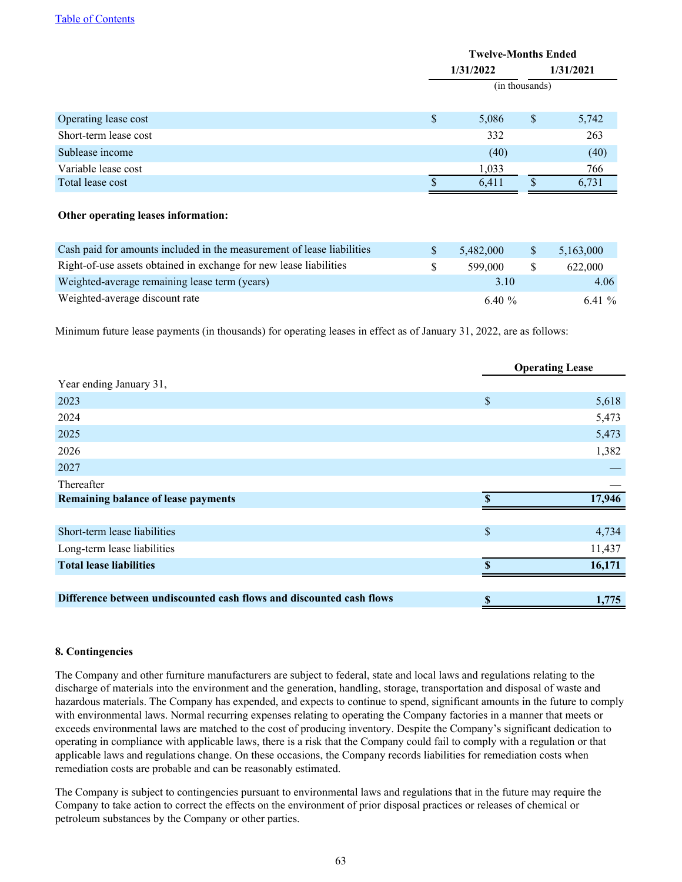|                                                                        | <b>Twelve-Months Ended</b> |               |           |  |
|------------------------------------------------------------------------|----------------------------|---------------|-----------|--|
|                                                                        | 1/31/2022                  | 1/31/2021     |           |  |
|                                                                        | (in thousands)             |               |           |  |
| Operating lease cost                                                   | \$<br>5,086                | \$            | 5,742     |  |
| Short-term lease cost                                                  | 332                        |               | 263       |  |
| Sublease income                                                        | (40)                       |               | (40)      |  |
| Variable lease cost                                                    | 1,033                      |               | 766       |  |
| Total lease cost                                                       | 6,411                      | $\mathcal{S}$ | 6,731     |  |
| Other operating leases information:                                    |                            |               |           |  |
| Cash paid for amounts included in the measurement of lease liabilities | \$<br>5,482,000            | \$            | 5,163,000 |  |
| Right-of-use assets obtained in exchange for new lease liabilities     | \$<br>599,000              | \$            | 622,000   |  |
| Weighted-average remaining lease term (years)                          | 3.10                       |               | 4.06      |  |

Weighted-average discount rate  $6.40\%$  6.41 % 6.41 %

Minimum future lease payments (in thousands) for operating leases in effect as of January 31, 2022, are as follows:

|                                                                      | <b>Operating Lease</b>    |        |  |
|----------------------------------------------------------------------|---------------------------|--------|--|
| Year ending January 31,                                              |                           |        |  |
| 2023                                                                 | $\mathcal{S}$             | 5,618  |  |
| 2024                                                                 |                           | 5,473  |  |
| 2025                                                                 |                           | 5,473  |  |
| 2026                                                                 |                           | 1,382  |  |
| 2027                                                                 |                           |        |  |
| Thereafter                                                           |                           |        |  |
| <b>Remaining balance of lease payments</b>                           | <sup>\$</sup>             | 17,946 |  |
|                                                                      |                           |        |  |
| Short-term lease liabilities                                         | $\boldsymbol{\mathsf{S}}$ | 4,734  |  |
| Long-term lease liabilities                                          |                           | 11,437 |  |
| <b>Total lease liabilities</b>                                       | $\mathbf{s}$              | 16,171 |  |
|                                                                      |                           |        |  |
| Difference between undiscounted cash flows and discounted cash flows | \$                        | 1,775  |  |

#### **8. Contingencies**

The Company and other furniture manufacturers are subject to federal, state and local laws and regulations relating to the discharge of materials into the environment and the generation, handling, storage, transportation and disposal of waste and hazardous materials. The Company has expended, and expects to continue to spend, significant amounts in the future to comply with environmental laws. Normal recurring expenses relating to operating the Company factories in a manner that meets or exceeds environmental laws are matched to the cost of producing inventory. Despite the Company's significant dedication to operating in compliance with applicable laws, there is a risk that the Company could fail to comply with a regulation or that applicable laws and regulations change. On these occasions, the Company records liabilities for remediation costs when remediation costs are probable and can be reasonably estimated.

The Company is subject to contingencies pursuant to environmental laws and regulations that in the future may require the Company to take action to correct the effects on the environment of prior disposal practices or releases of chemical or petroleum substances by the Company or other parties.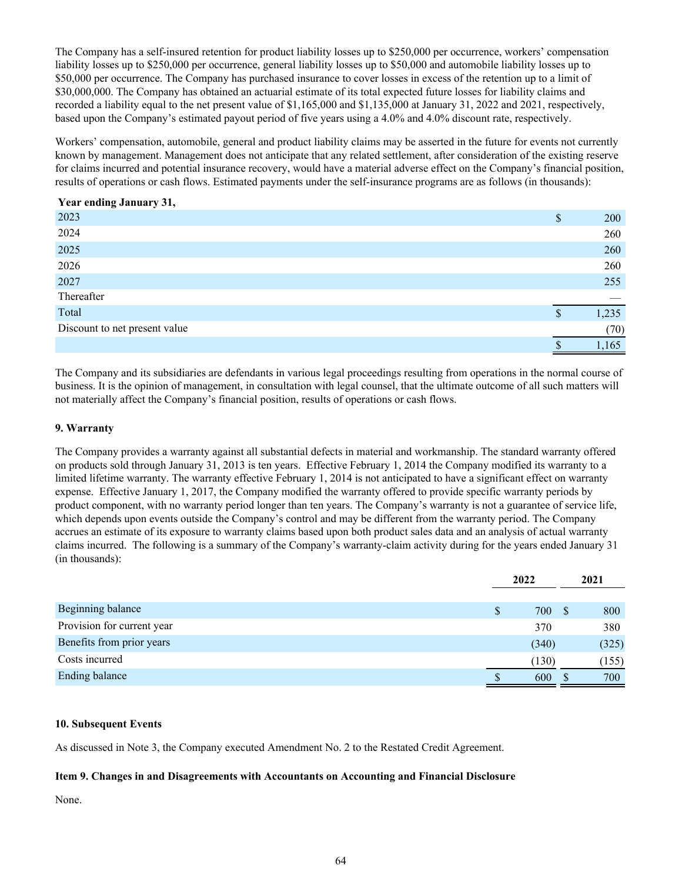The Company has a self-insured retention for product liability losses up to \$250,000 per occurrence, workers' compensation liability losses up to \$250,000 per occurrence, general liability losses up to \$50,000 and automobile liability losses up to \$50,000 per occurrence. The Company has purchased insurance to cover losses in excess of the retention up to a limit of \$30,000,000. The Company has obtained an actuarial estimate of its total expected future losses for liability claims and recorded a liability equal to the net present value of \$1,165,000 and \$1,135,000 at January 31, 2022 and 2021, respectively, based upon the Company's estimated payout period of five years using a 4.0% and 4.0% discount rate, respectively.

Workers' compensation, automobile, general and product liability claims may be asserted in the future for events not currently known by management. Management does not anticipate that any related settlement, after consideration of the existing reserve for claims incurred and potential insurance recovery, would have a material adverse effect on the Company's financial position, results of operations or cash flows. Estimated payments under the self-insurance programs are as follows (in thousands):

| Year ending January 31,       |    |       |
|-------------------------------|----|-------|
| 2023                          | \$ | 200   |
| 2024                          |    | 260   |
| 2025                          |    | 260   |
| 2026                          |    | 260   |
| 2027                          |    | 255   |
| Thereafter                    |    |       |
| Total                         | S  | 1,235 |
| Discount to net present value |    | (70)  |
|                               |    | ,165  |

The Company and its subsidiaries are defendants in various legal proceedings resulting from operations in the normal course of business. It is the opinion of management, in consultation with legal counsel, that the ultimate outcome of all such matters will not materially affect the Company's financial position, results of operations or cash flows.

## **9. Warranty**

The Company provides a warranty against all substantial defects in material and workmanship. The standard warranty offered on products sold through January 31, 2013 is ten years. Effective February 1, 2014 the Company modified its warranty to a limited lifetime warranty. The warranty effective February 1, 2014 is not anticipated to have a significant effect on warranty expense. Effective January 1, 2017, the Company modified the warranty offered to provide specific warranty periods by product component, with no warranty period longer than ten years. The Company's warranty is not a guarantee of service life, which depends upon events outside the Company's control and may be different from the warranty period. The Company accrues an estimate of its exposure to warranty claims based upon both product sales data and an analysis of actual warranty claims incurred. The following is a summary of the Company's warranty-claim activity during for the years ended January 31 (in thousands):

|                            | 2022          |       | 2021 |       |
|----------------------------|---------------|-------|------|-------|
|                            |               |       |      |       |
| Beginning balance          | <sup>\$</sup> | 700   |      | 800   |
| Provision for current year |               | 370   |      | 380   |
| Benefits from prior years  |               | (340) |      | (325) |
| Costs incurred             |               | (130) |      | (155) |
| Ending balance             |               | 600   |      | 700   |

## **10. Subsequent Events**

As discussed in Note 3, the Company executed Amendment No. 2 to the Restated Credit Agreement.

## **Item 9. Changes in and Disagreements with Accountants on Accounting and Financial Disclosure**

None.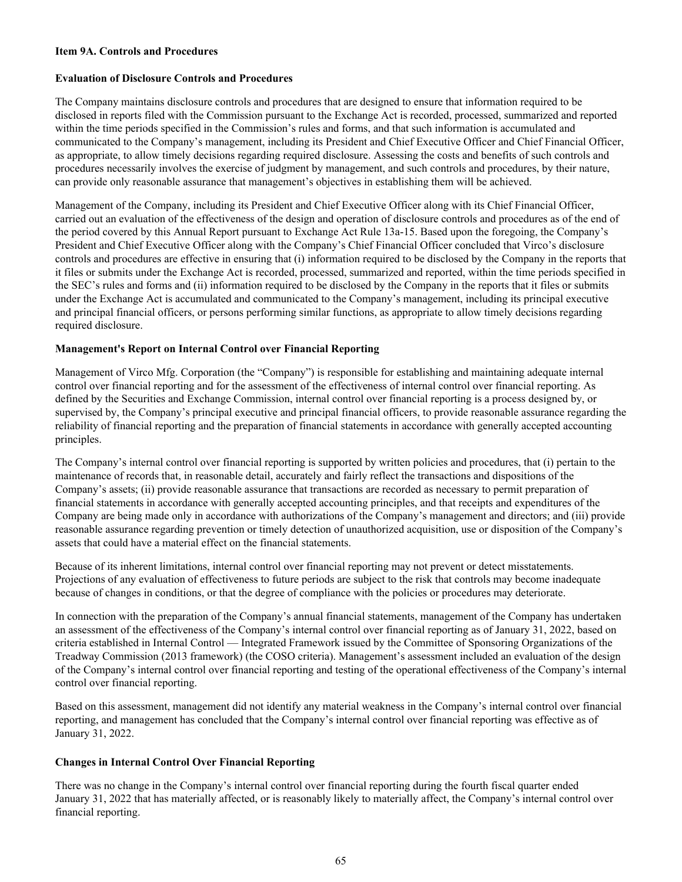#### **Item 9A. Controls and Procedures**

#### **Evaluation of Disclosure Controls and Procedures**

The Company maintains disclosure controls and procedures that are designed to ensure that information required to be disclosed in reports filed with the Commission pursuant to the Exchange Act is recorded, processed, summarized and reported within the time periods specified in the Commission's rules and forms, and that such information is accumulated and communicated to the Company's management, including its President and Chief Executive Officer and Chief Financial Officer, as appropriate, to allow timely decisions regarding required disclosure. Assessing the costs and benefits of such controls and procedures necessarily involves the exercise of judgment by management, and such controls and procedures, by their nature, can provide only reasonable assurance that management's objectives in establishing them will be achieved.

Management of the Company, including its President and Chief Executive Officer along with its Chief Financial Officer, carried out an evaluation of the effectiveness of the design and operation of disclosure controls and procedures as of the end of the period covered by this Annual Report pursuant to Exchange Act Rule 13a-15. Based upon the foregoing, the Company's President and Chief Executive Officer along with the Company's Chief Financial Officer concluded that Virco's disclosure controls and procedures are effective in ensuring that (i) information required to be disclosed by the Company in the reports that it files or submits under the Exchange Act is recorded, processed, summarized and reported, within the time periods specified in the SEC's rules and forms and (ii) information required to be disclosed by the Company in the reports that it files or submits under the Exchange Act is accumulated and communicated to the Company's management, including its principal executive and principal financial officers, or persons performing similar functions, as appropriate to allow timely decisions regarding required disclosure.

## **Management's Report on Internal Control over Financial Reporting**

Management of Virco Mfg. Corporation (the "Company") is responsible for establishing and maintaining adequate internal control over financial reporting and for the assessment of the effectiveness of internal control over financial reporting. As defined by the Securities and Exchange Commission, internal control over financial reporting is a process designed by, or supervised by, the Company's principal executive and principal financial officers, to provide reasonable assurance regarding the reliability of financial reporting and the preparation of financial statements in accordance with generally accepted accounting principles.

The Company's internal control over financial reporting is supported by written policies and procedures, that (i) pertain to the maintenance of records that, in reasonable detail, accurately and fairly reflect the transactions and dispositions of the Company's assets; (ii) provide reasonable assurance that transactions are recorded as necessary to permit preparation of financial statements in accordance with generally accepted accounting principles, and that receipts and expenditures of the Company are being made only in accordance with authorizations of the Company's management and directors; and (iii) provide reasonable assurance regarding prevention or timely detection of unauthorized acquisition, use or disposition of the Company's assets that could have a material effect on the financial statements.

Because of its inherent limitations, internal control over financial reporting may not prevent or detect misstatements. Projections of any evaluation of effectiveness to future periods are subject to the risk that controls may become inadequate because of changes in conditions, or that the degree of compliance with the policies or procedures may deteriorate.

In connection with the preparation of the Company's annual financial statements, management of the Company has undertaken an assessment of the effectiveness of the Company's internal control over financial reporting as of January 31, 2022, based on criteria established in Internal Control — Integrated Framework issued by the Committee of Sponsoring Organizations of the Treadway Commission (2013 framework) (the COSO criteria). Management's assessment included an evaluation of the design of the Company's internal control over financial reporting and testing of the operational effectiveness of the Company's internal control over financial reporting.

Based on this assessment, management did not identify any material weakness in the Company's internal control over financial reporting, and management has concluded that the Company's internal control over financial reporting was effective as of January 31, 2022.

## **Changes in Internal Control Over Financial Reporting**

There was no change in the Company's internal control over financial reporting during the fourth fiscal quarter ended January 31, 2022 that has materially affected, or is reasonably likely to materially affect, the Company's internal control over financial reporting.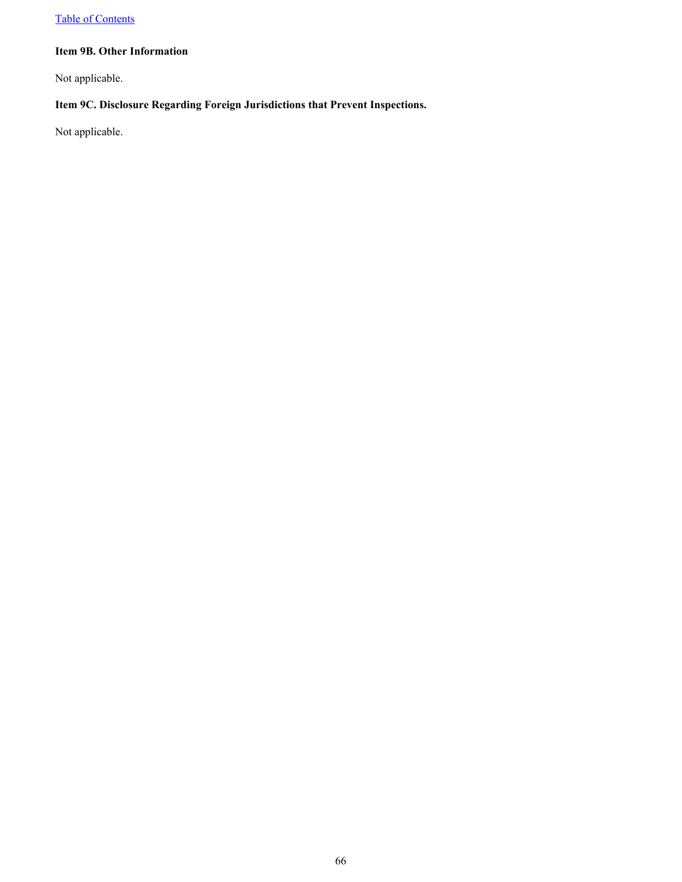[Table of Contents](#page-2-0)

## **Item 9B. Other Information**

Not applicable.

# **Item 9C. Disclosure Regarding Foreign Jurisdictions that Prevent Inspections.**

Not applicable.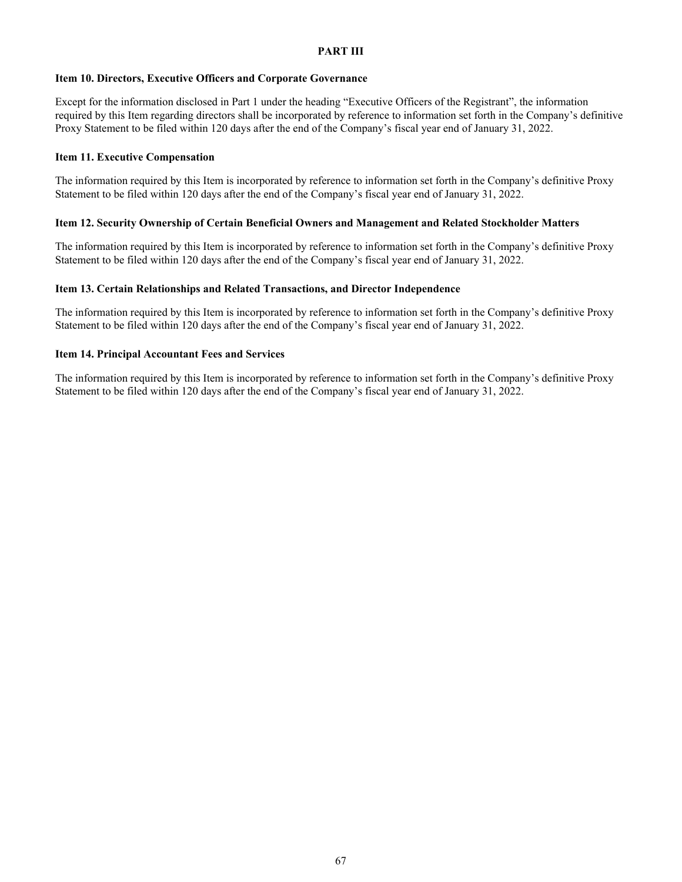#### **PART III**

#### **Item 10. Directors, Executive Officers and Corporate Governance**

Except for the information disclosed in Part 1 under the heading "Executive Officers of the Registrant", the information required by this Item regarding directors shall be incorporated by reference to information set forth in the Company's definitive Proxy Statement to be filed within 120 days after the end of the Company's fiscal year end of January 31, 2022.

#### **Item 11. Executive Compensation**

The information required by this Item is incorporated by reference to information set forth in the Company's definitive Proxy Statement to be filed within 120 days after the end of the Company's fiscal year end of January 31, 2022.

#### **Item 12. Security Ownership of Certain Beneficial Owners and Management and Related Stockholder Matters**

The information required by this Item is incorporated by reference to information set forth in the Company's definitive Proxy Statement to be filed within 120 days after the end of the Company's fiscal year end of January 31, 2022.

#### **Item 13. Certain Relationships and Related Transactions, and Director Independence**

The information required by this Item is incorporated by reference to information set forth in the Company's definitive Proxy Statement to be filed within 120 days after the end of the Company's fiscal year end of January 31, 2022.

#### **Item 14. Principal Accountant Fees and Services**

The information required by this Item is incorporated by reference to information set forth in the Company's definitive Proxy Statement to be filed within 120 days after the end of the Company's fiscal year end of January 31, 2022.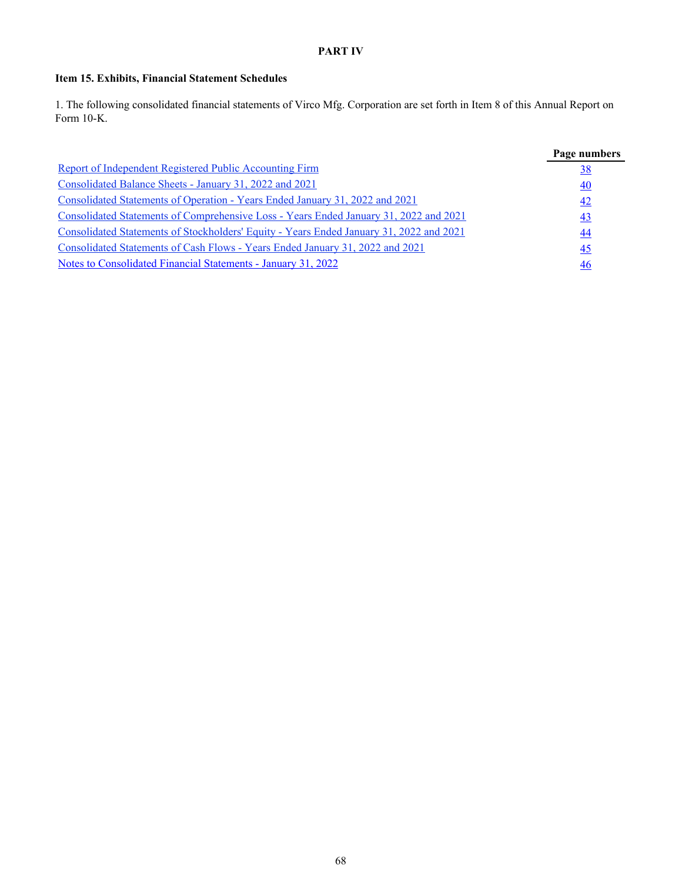## **PART IV**

## **Item 15. Exhibits, Financial Statement Schedules**

1. The following consolidated financial statements of Virco Mfg. Corporation are set forth in Item 8 of this Annual Report on Form 10-K.

|                                                                                         | Page numbers    |
|-----------------------------------------------------------------------------------------|-----------------|
| Report of Independent Registered Public Accounting Firm                                 | <u>38</u>       |
| Consolidated Balance Sheets - January 31, 2022 and 2021                                 | 40              |
| Consolidated Statements of Operation - Years Ended January 31, 2022 and 2021            | 42              |
| Consolidated Statements of Comprehensive Loss - Years Ended January 31, 2022 and 2021   | 43              |
| Consolidated Statements of Stockholders' Equity - Years Ended January 31, 2022 and 2021 | $\overline{44}$ |
| Consolidated Statements of Cash Flows - Years Ended January 31, 2022 and 2021           | 45              |
| Notes to Consolidated Financial Statements - January 31, 2022                           | 46              |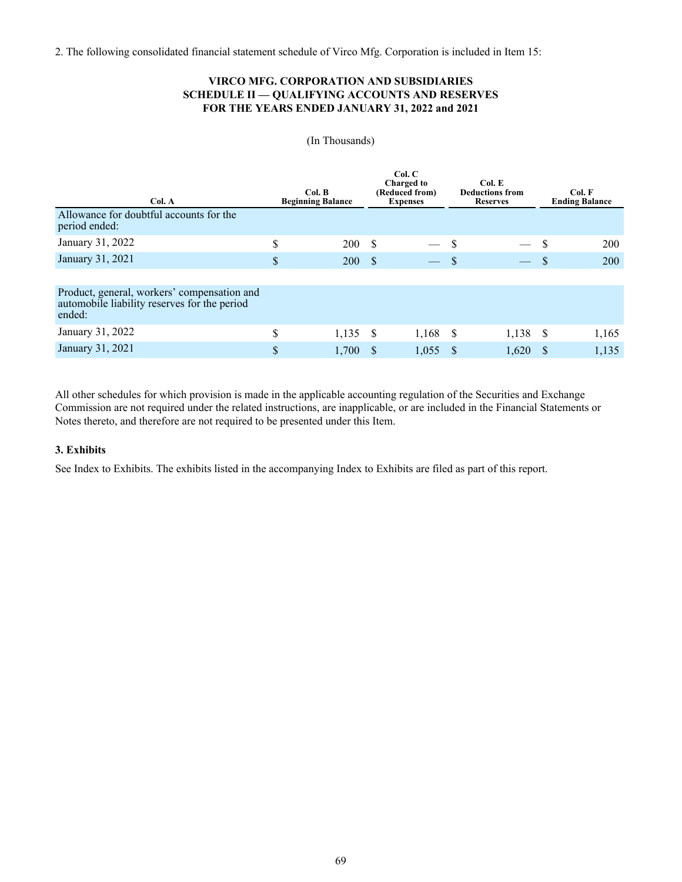2. The following consolidated financial statement schedule of Virco Mfg. Corporation is included in Item 15:

## **VIRCO MFG. CORPORATION AND SUBSIDIARIES SCHEDULE II — QUALIFYING ACCOUNTS AND RESERVES FOR THE YEARS ENDED JANUARY 31, 2022 and 2021**

## (In Thousands)

| Col. A                                                                                                | Col. B<br><b>Beginning Balance</b> |            |          | Col. C<br><b>Charged to</b><br>(Reduced from)<br><b>Expenses</b> | Col. E<br><b>Deductions from</b><br><b>Reserves</b> |            | Col. F<br><b>Ending Balance</b> |       |
|-------------------------------------------------------------------------------------------------------|------------------------------------|------------|----------|------------------------------------------------------------------|-----------------------------------------------------|------------|---------------------------------|-------|
| Allowance for doubtful accounts for the<br>period ended:                                              |                                    |            |          |                                                                  |                                                     |            |                                 |       |
| January 31, 2022                                                                                      | \$                                 | <b>200</b> | - \$     |                                                                  | -S                                                  |            | <sup>\$</sup>                   | 200   |
| January 31, 2021                                                                                      | \$                                 | <b>200</b> | - \$     |                                                                  |                                                     |            |                                 | 200   |
|                                                                                                       |                                    |            |          |                                                                  |                                                     |            |                                 |       |
| Product, general, workers' compensation and<br>automobile liability reserves for the period<br>ended: |                                    |            |          |                                                                  |                                                     |            |                                 |       |
| January 31, 2022                                                                                      | \$                                 | 1,135      | - S      | $1,168$ \$                                                       |                                                     | $1,138$ \$ |                                 | 1,165 |
| January 31, 2021                                                                                      | \$                                 | 1,700      | <b>S</b> | 1,055                                                            |                                                     | 1,620      | \$.                             | 1,135 |

All other schedules for which provision is made in the applicable accounting regulation of the Securities and Exchange Commission are not required under the related instructions, are inapplicable, or are included in the Financial Statements or Notes thereto, and therefore are not required to be presented under this Item.

## **3. Exhibits**

See Index to Exhibits. The exhibits listed in the accompanying Index to Exhibits are filed as part of this report.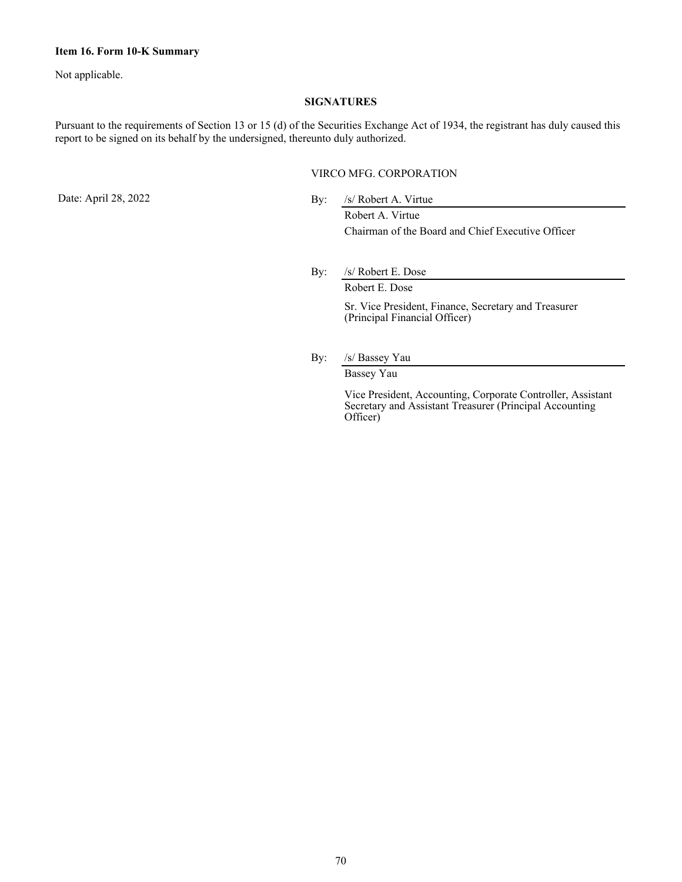#### **Item 16. Form 10-K Summary**

Not applicable.

## **SIGNATURES**

Pursuant to the requirements of Section 13 or 15 (d) of the Securities Exchange Act of 1934, the registrant has duly caused this report to be signed on its behalf by the undersigned, thereunto duly authorized.

## VIRCO MFG. CORPORATION

Date: April 28, 2022 By: /s/ Robert A. Virtue

Robert A. Virtue Chairman of the Board and Chief Executive Officer

By: /s/ Robert E. Dose

Robert E. Dose

Sr. Vice President, Finance, Secretary and Treasurer (Principal Financial Officer)

By: /s/ Bassey Yau

Bassey Yau

Vice President, Accounting, Corporate Controller, Assistant Secretary and Assistant Treasurer (Principal Accounting Officer)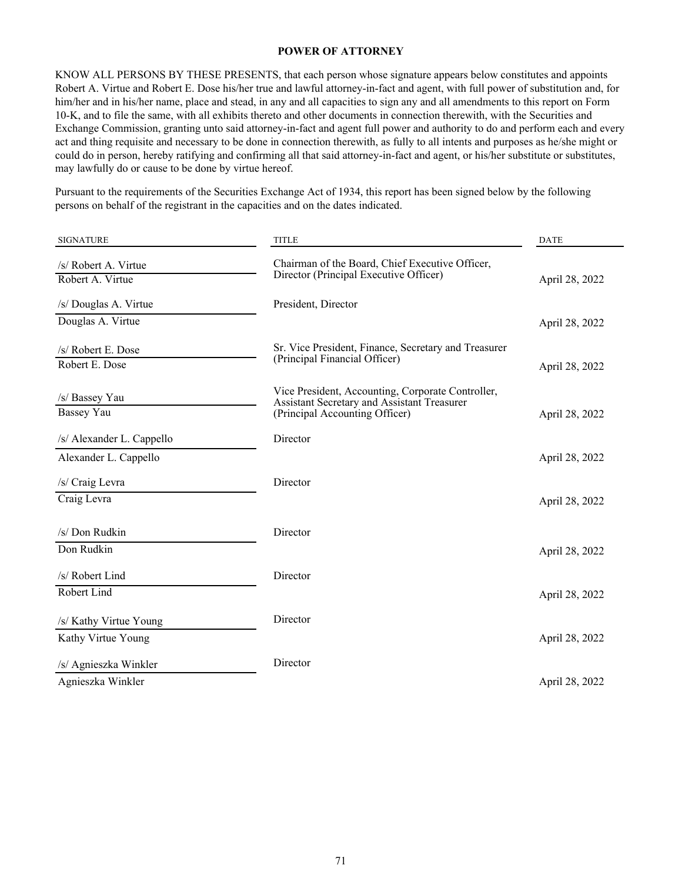## **POWER OF ATTORNEY**

KNOW ALL PERSONS BY THESE PRESENTS, that each person whose signature appears below constitutes and appoints Robert A. Virtue and Robert E. Dose his/her true and lawful attorney-in-fact and agent, with full power of substitution and, for him/her and in his/her name, place and stead, in any and all capacities to sign any and all amendments to this report on Form 10-K, and to file the same, with all exhibits thereto and other documents in connection therewith, with the Securities and Exchange Commission, granting unto said attorney-in-fact and agent full power and authority to do and perform each and every act and thing requisite and necessary to be done in connection therewith, as fully to all intents and purposes as he/she might or could do in person, hereby ratifying and confirming all that said attorney-in-fact and agent, or his/her substitute or substitutes, may lawfully do or cause to be done by virtue hereof.

Pursuant to the requirements of the Securities Exchange Act of 1934, this report has been signed below by the following persons on behalf of the registrant in the capacities and on the dates indicated.

| <b>SIGNATURE</b>                         | <b>TITLE</b>                                                                              | <b>DATE</b>    |
|------------------------------------------|-------------------------------------------------------------------------------------------|----------------|
| /s/ Robert A. Virtue<br>Robert A. Virtue | Chairman of the Board, Chief Executive Officer,<br>Director (Principal Executive Officer) | April 28, 2022 |
|                                          |                                                                                           |                |
| /s/ Douglas A. Virtue                    | President, Director                                                                       |                |
| Douglas A. Virtue                        |                                                                                           | April 28, 2022 |
| /s/ Robert E. Dose                       | Sr. Vice President, Finance, Secretary and Treasurer                                      |                |
| Robert E. Dose                           | (Principal Financial Officer)                                                             | April 28, 2022 |
| /s/ Bassey Yau                           | Vice President, Accounting, Corporate Controller,                                         |                |
| Bassey Yau                               | <b>Assistant Secretary and Assistant Treasurer</b><br>(Principal Accounting Officer)      | April 28, 2022 |
| /s/ Alexander L. Cappello                | Director                                                                                  |                |
| Alexander L. Cappello                    |                                                                                           | April 28, 2022 |
| /s/ Craig Levra                          | Director                                                                                  |                |
| Craig Levra                              |                                                                                           | April 28, 2022 |
| $/s/D$ on Rudkin                         | Director                                                                                  |                |
| Don Rudkin                               |                                                                                           | April 28, 2022 |
| /s/ Robert Lind                          | Director                                                                                  |                |
| Robert Lind                              |                                                                                           | April 28, 2022 |
| /s/ Kathy Virtue Young                   | Director                                                                                  |                |
| Kathy Virtue Young                       |                                                                                           | April 28, 2022 |
| /s/ Agnieszka Winkler                    | Director                                                                                  |                |
| Agnieszka Winkler                        |                                                                                           | April 28, 2022 |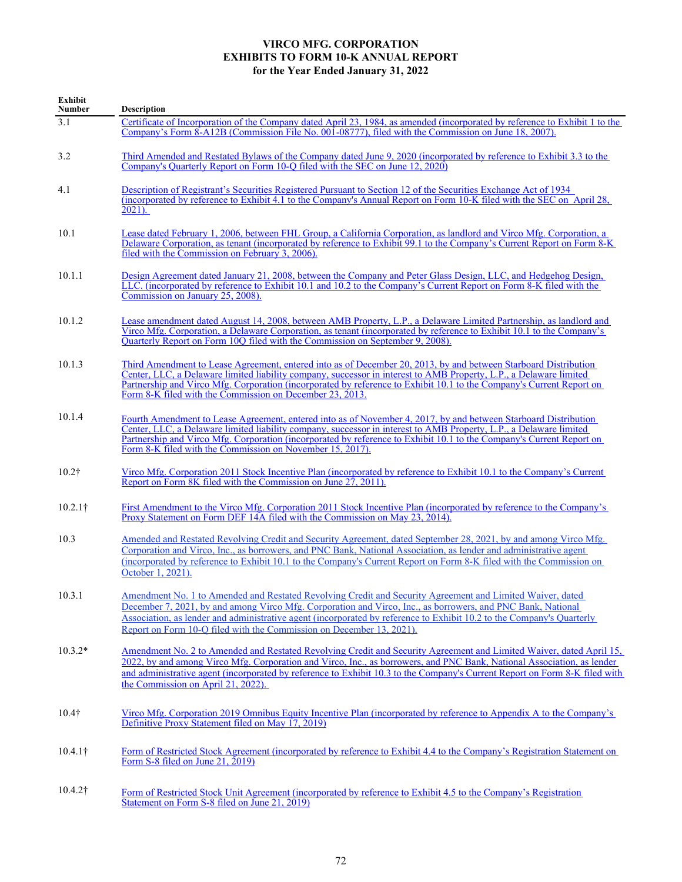## **VIRCO MFG. CORPORATION EXHIBITS TO FORM 10-K ANNUAL REPORT for the Year Ended January 31, 2022**

<span id="page-72-0"></span>

| Exhibit<br>Number | <b>Description</b>                                                                                                                                                                                                                                                                                                                                                                                                         |
|-------------------|----------------------------------------------------------------------------------------------------------------------------------------------------------------------------------------------------------------------------------------------------------------------------------------------------------------------------------------------------------------------------------------------------------------------------|
| 3.1               | Certificate of Incorporation of the Company dated April 23, 1984, as amended (incorporated by reference to Exhibit 1 to the<br>Company's Form 8-A12B (Commission File No. 001-08777), filed with the Commission on June 18, 2007).                                                                                                                                                                                         |
| 3.2               | Third Amended and Restated Bylaws of the Company dated June 9, 2020 (incorporated by reference to Exhibit 3.3 to the<br>Company's Quarterly Report on Form 10-Q filed with the SEC on June 12, 2020)                                                                                                                                                                                                                       |
| 4.1               | Description of Registrant's Securities Registered Pursuant to Section 12 of the Securities Exchange Act of 1934<br>(incorporated by reference to Exhibit 4.1 to the Company's Annual Report on Form 10-K filed with the SEC on April 28,<br>$2021$ ).                                                                                                                                                                      |
| 10.1              | Lease dated February 1, 2006, between FHL Group, a California Corporation, as landlord and Virco Mfg. Corporation, a<br>Delaware Corporation, as tenant (incorporated by reference to Exhibit 99.1 to the Company's Current Report on Form 8-K<br>filed with the Commission on February 3, 2006).                                                                                                                          |
| 10.1.1            | Design Agreement dated January 21, 2008, between the Company and Peter Glass Design, LLC, and Hedgehog Design,<br>LLC. (incorporated by reference to Exhibit 10.1 and 10.2 to the Company's Current Report on Form 8-K filed with the<br>Commission on January 25, 2008).                                                                                                                                                  |
| 10.1.2            | Lease amendment dated August 14, 2008, between AMB Property, L.P., a Delaware Limited Partnership, as landlord and<br>Virco Mfg. Corporation, a Delaware Corporation, as tenant (incorporated by reference to Exhibit 10.1 to the Company's<br>Quarterly Report on Form 10Q filed with the Commission on September 9, 2008).                                                                                               |
| 10.1.3            | Third Amendment to Lease Agreement, entered into as of December 20, 2013, by and between Starboard Distribution<br>Center, LLC, a Delaware limited liability company, successor in interest to AMB Property, L.P., a Delaware limited<br>Partnership and Virco Mfg. Corporation (incorporated by reference to Exhibit 10.1 to the Company's Current Report on<br>Form 8-K filed with the Commission on December 23, 2013.  |
| 10.1.4            | Fourth Amendment to Lease Agreement, entered into as of November 4, 2017, by and between Starboard Distribution<br>Center, LLC, a Delaware limited liability company, successor in interest to AMB Property, L.P., a Delaware limited<br>Partnership and Virco Mfg. Corporation (incorporated by reference to Exhibit 10.1 to the Company's Current Report on<br>Form 8-K filed with the Commission on November 15, 2017). |
| $10.2\dagger$     | Virco Mfg. Corporation 2011 Stock Incentive Plan (incorporated by reference to Exhibit 10.1 to the Company's Current<br>Report on Form 8K filed with the Commission on June 27, 2011).                                                                                                                                                                                                                                     |
| $10.2.1\dagger$   | First Amendment to the Virco Mfg. Corporation 2011 Stock Incentive Plan (incorporated by reference to the Company's<br>Proxy Statement on Form DEF 14A filed with the Commission on May 23, 2014).                                                                                                                                                                                                                         |
| 10.3              | Amended and Restated Revolving Credit and Security Agreement, dated September 28, 2021, by and among Virco Mfg.<br>Corporation and Virco, Inc., as borrowers, and PNC Bank, National Association, as lender and administrative agent<br>(incorporated by reference to Exhibit 10.1 to the Company's Current Report on Form 8-K filed with the Commission on<br>October 1, 2021).                                           |
| 10.3.1            | Amendment No. 1 to Amended and Restated Revolving Credit and Security Agreement and Limited Waiver, dated<br>December 7, 2021, by and among Virco Mfg. Corporation and Virco, Inc., as borrowers, and PNC Bank, National<br>Association, as lender and administrative agent (incorporated by reference to Exhibit 10.2 to the Company's Quarterly<br>Report on Form 10-O filed with the Commission on December 13, 2021).  |
| $10.3.2*$         | Amendment No. 2 to Amended and Restated Revolving Credit and Security Agreement and Limited Waiver, dated April 15,<br>2022, by and among Virco Mfg. Corporation and Virco, Inc., as borrowers, and PNC Bank, National Association, as lender<br>and administrative agent (incorporated by reference to Exhibit 10.3 to the Company's Current Report on Form 8-K filed with<br>the Commission on April 21, 2022).          |
| $10.4\dagger$     | Virco Mfg. Corporation 2019 Omnibus Equity Incentive Plan (incorporated by reference to Appendix A to the Company's<br>Definitive Proxy Statement filed on May 17, 2019)                                                                                                                                                                                                                                                   |
| $10.4.1\dagger$   | Form of Restricted Stock Agreement (incorporated by reference to Exhibit 4.4 to the Company's Registration Statement on<br>Form S-8 filed on June 21, $2019$ )                                                                                                                                                                                                                                                             |
| $10.4.2\dagger$   | Form of Restricted Stock Unit Agreement (incorporated by reference to Exhibit 4.5 to the Company's Registration<br>Statement on Form S-8 filed on June 21, 2019)                                                                                                                                                                                                                                                           |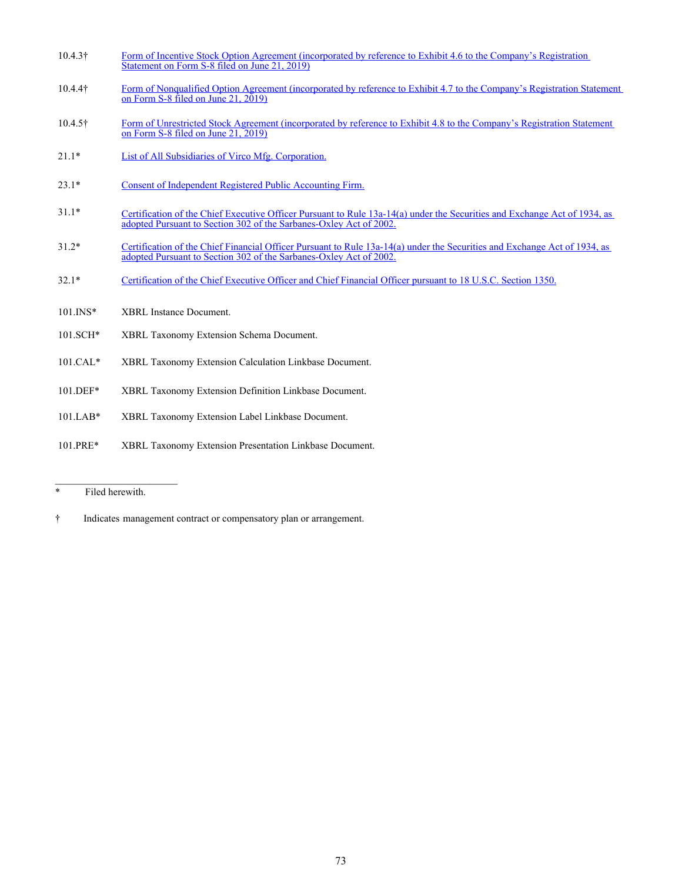- 10.4.3† [Form of Incentive Stock Option Agreement \(incorporated by reference to Exhibit 4.6 to the Company's Registration](#page-72-0)  [Statement on Form S-8 filed on June 21, 2019\)](#page-72-0)
- 10.4.4† [Form of Nonqualified Option Agreement \(incorporated by reference to Exhibit 4.7 to the Company's Registration Statement](#page-72-0)  [on Form S-8 filed on June 21, 2019\)](#page-72-0)
- 10.4.5† [Form of Unrestricted Stock Agreement \(incorporated by reference to Exhibit 4.8 to the Company's Registration Statement](#page-72-0)  [on Form S-8 filed on June 21, 2019\)](#page-72-0)
- 21.1\* List of All Subsidiaries of Virco Mfg. Corporation.
- 23.1\* Consent of Independent Registered Public Accounting Firm.
- 31.1\* Certification of the Chief Executive Officer Pursuant to Rule 13a-14(a) under the Securities and Exchange Act of 1934, as adopted Pursuant to Section 302 of the Sarbanes-Oxley Act of 2002.
- 31.2\* [Certification of the Chief Financial Officer Pursuant to Rule 13a-14\(a\) under the Securities and Exchange Act of 1934, as](#page-77-0)  [adopted Pursuant to Section 302 of the Sarbanes-Oxley Act of 2002.](#page-77-0)
- 32.1\* Certification of the Chief Executive Officer and Chief Financial Officer pursuant to 18 U.S.C. Section 1350.
- 101.INS\* XBRL Instance Document.
- 101.SCH\* XBRL Taxonomy Extension Schema Document.
- 101.CAL\* XBRL Taxonomy Extension Calculation Linkbase Document.
- 101.DEF\* XBRL Taxonomy Extension Definition Linkbase Document.
- 101.LAB\* XBRL Taxonomy Extension Label Linkbase Document.
- 101.PRE\* XBRL Taxonomy Extension Presentation Linkbase Document.

 $\mathcal{L}_\text{max}$  , where  $\mathcal{L}_\text{max}$  , we have the set of  $\mathcal{L}_\text{max}$ 

<sup>\*</sup> Filed herewith.

<sup>†</sup> Indicates management contract or compensatory plan or arrangement.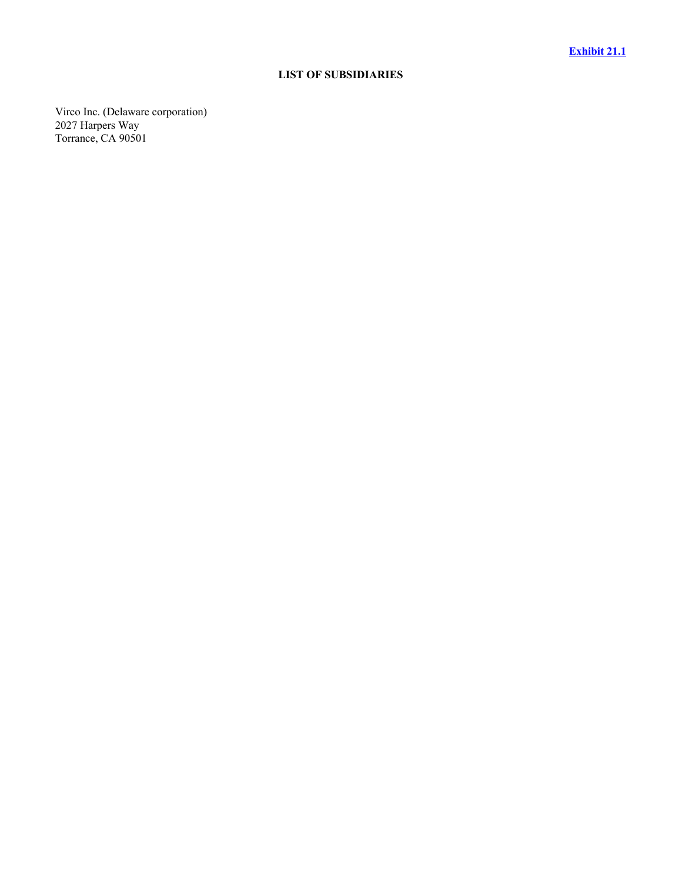# **LIST OF SUBSIDIARIES**

Virco Inc. (Delaware corporation) 2027 Harpers Way Torrance, CA 90501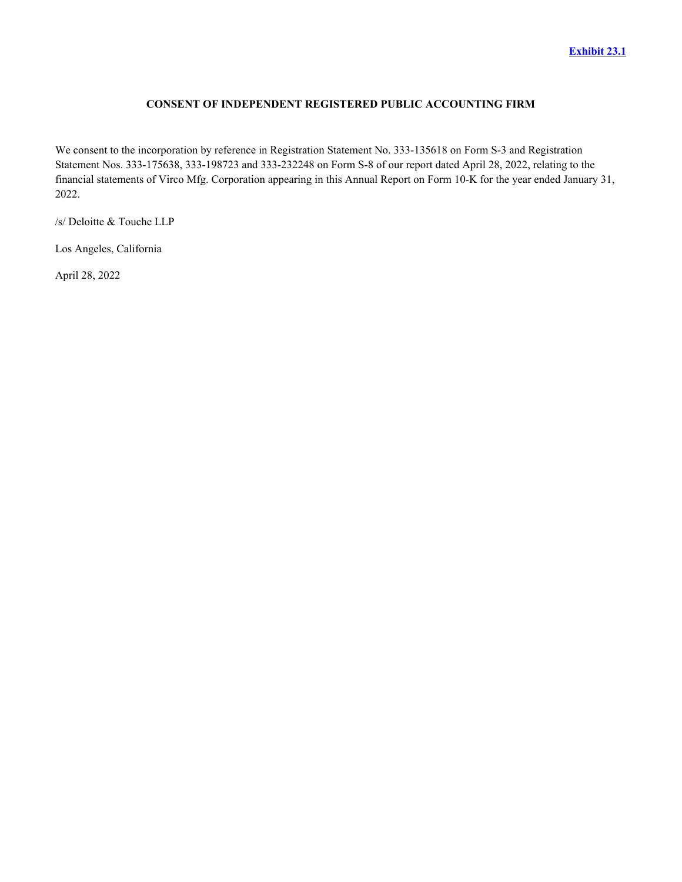## **CONSENT OF INDEPENDENT REGISTERED PUBLIC ACCOUNTING FIRM**

We consent to the incorporation by reference in Registration Statement No. 333-135618 on Form S-3 and Registration Statement Nos. 333-175638, 333-198723 and 333-232248 on Form S-8 of our report dated April 28, 2022, relating to the financial statements of Virco Mfg. Corporation appearing in this Annual Report on Form 10-K for the year ended January 31, 2022.

/s/ Deloitte & Touche LLP

Los Angeles, California

April 28, 2022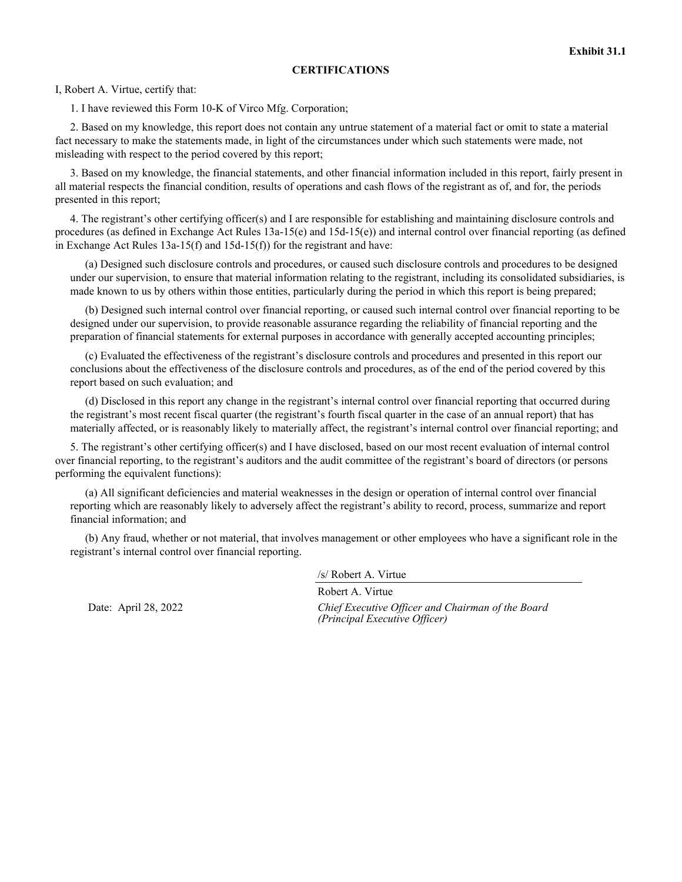#### **CERTIFICATIONS**

I, Robert A. Virtue, certify that:

1. I have reviewed this Form 10-K of Virco Mfg. Corporation;

2. Based on my knowledge, this report does not contain any untrue statement of a material fact or omit to state a material fact necessary to make the statements made, in light of the circumstances under which such statements were made, not misleading with respect to the period covered by this report;

3. Based on my knowledge, the financial statements, and other financial information included in this report, fairly present in all material respects the financial condition, results of operations and cash flows of the registrant as of, and for, the periods presented in this report;

4. The registrant's other certifying officer(s) and I are responsible for establishing and maintaining disclosure controls and procedures (as defined in Exchange Act Rules 13a-15(e) and 15d-15(e)) and internal control over financial reporting (as defined in Exchange Act Rules 13a-15(f) and 15d-15(f)) for the registrant and have:

(a) Designed such disclosure controls and procedures, or caused such disclosure controls and procedures to be designed under our supervision, to ensure that material information relating to the registrant, including its consolidated subsidiaries, is made known to us by others within those entities, particularly during the period in which this report is being prepared;

(b) Designed such internal control over financial reporting, or caused such internal control over financial reporting to be designed under our supervision, to provide reasonable assurance regarding the reliability of financial reporting and the preparation of financial statements for external purposes in accordance with generally accepted accounting principles;

(c) Evaluated the effectiveness of the registrant's disclosure controls and procedures and presented in this report our conclusions about the effectiveness of the disclosure controls and procedures, as of the end of the period covered by this report based on such evaluation; and

(d) Disclosed in this report any change in the registrant's internal control over financial reporting that occurred during the registrant's most recent fiscal quarter (the registrant's fourth fiscal quarter in the case of an annual report) that has materially affected, or is reasonably likely to materially affect, the registrant's internal control over financial reporting; and

5. The registrant's other certifying officer(s) and I have disclosed, based on our most recent evaluation of internal control over financial reporting, to the registrant's auditors and the audit committee of the registrant's board of directors (or persons performing the equivalent functions):

(a) All significant deficiencies and material weaknesses in the design or operation of internal control over financial reporting which are reasonably likely to adversely affect the registrant's ability to record, process, summarize and report financial information; and

(b) Any fraud, whether or not material, that involves management or other employees who have a significant role in the registrant's internal control over financial reporting.

/s/ Robert A. Virtue

Robert A. Virtue

Date: April 28, 2022 *Chief Executive Officer and Chairman of the Board (Principal Executive Officer)*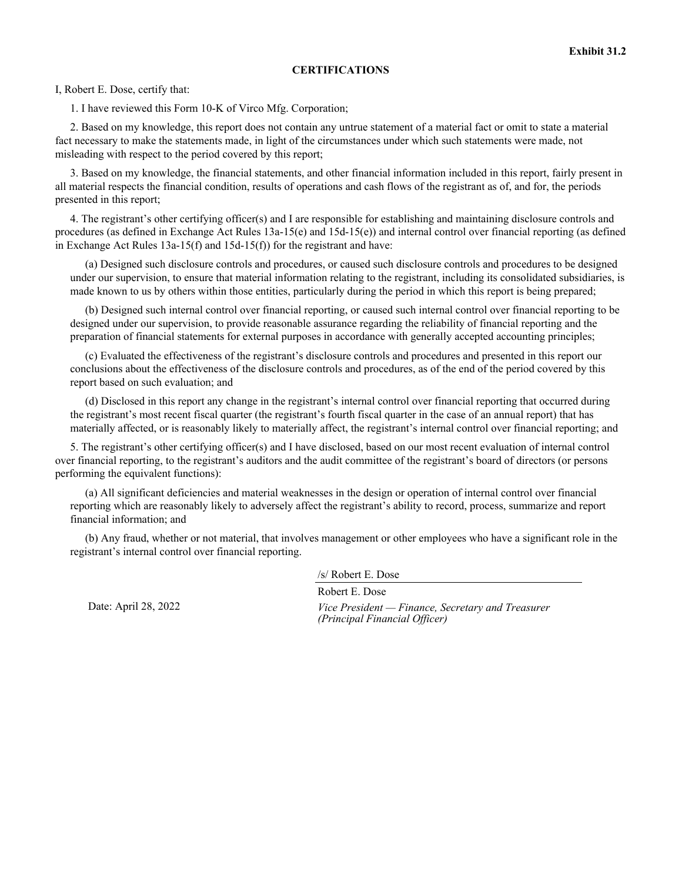#### **CERTIFICATIONS**

<span id="page-77-0"></span>I, Robert E. Dose, certify that:

1. I have reviewed this Form 10-K of Virco Mfg. Corporation;

2. Based on my knowledge, this report does not contain any untrue statement of a material fact or omit to state a material fact necessary to make the statements made, in light of the circumstances under which such statements were made, not misleading with respect to the period covered by this report;

3. Based on my knowledge, the financial statements, and other financial information included in this report, fairly present in all material respects the financial condition, results of operations and cash flows of the registrant as of, and for, the periods presented in this report;

4. The registrant's other certifying officer(s) and I are responsible for establishing and maintaining disclosure controls and procedures (as defined in Exchange Act Rules 13a-15(e) and 15d-15(e)) and internal control over financial reporting (as defined in Exchange Act Rules 13a-15(f) and 15d-15(f)) for the registrant and have:

(a) Designed such disclosure controls and procedures, or caused such disclosure controls and procedures to be designed under our supervision, to ensure that material information relating to the registrant, including its consolidated subsidiaries, is made known to us by others within those entities, particularly during the period in which this report is being prepared;

(b) Designed such internal control over financial reporting, or caused such internal control over financial reporting to be designed under our supervision, to provide reasonable assurance regarding the reliability of financial reporting and the preparation of financial statements for external purposes in accordance with generally accepted accounting principles;

(c) Evaluated the effectiveness of the registrant's disclosure controls and procedures and presented in this report our conclusions about the effectiveness of the disclosure controls and procedures, as of the end of the period covered by this report based on such evaluation; and

(d) Disclosed in this report any change in the registrant's internal control over financial reporting that occurred during the registrant's most recent fiscal quarter (the registrant's fourth fiscal quarter in the case of an annual report) that has materially affected, or is reasonably likely to materially affect, the registrant's internal control over financial reporting; and

5. The registrant's other certifying officer(s) and I have disclosed, based on our most recent evaluation of internal control over financial reporting, to the registrant's auditors and the audit committee of the registrant's board of directors (or persons performing the equivalent functions):

(a) All significant deficiencies and material weaknesses in the design or operation of internal control over financial reporting which are reasonably likely to adversely affect the registrant's ability to record, process, summarize and report financial information; and

(b) Any fraud, whether or not material, that involves management or other employees who have a significant role in the registrant's internal control over financial reporting.

/s/ Robert E. Dose

Robert E. Dose

Date: April 28, 2022 *Vice President — Finance, Secretary and Treasurer (Principal Financial Officer)*